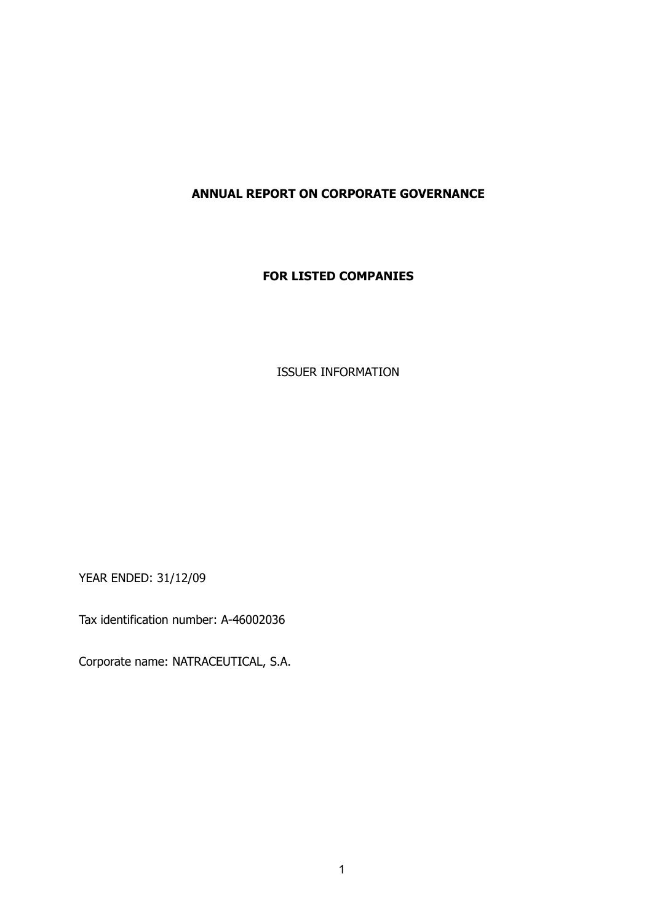# **ANNUAL REPORT ON CORPORATE GOVERNANCE**

## **FOR LISTED COMPANIES**

ISSUER INFORMATION

YEAR ENDED: 31/12/09

Tax identification number: A-46002036

Corporate name: NATRACEUTICAL, S.A.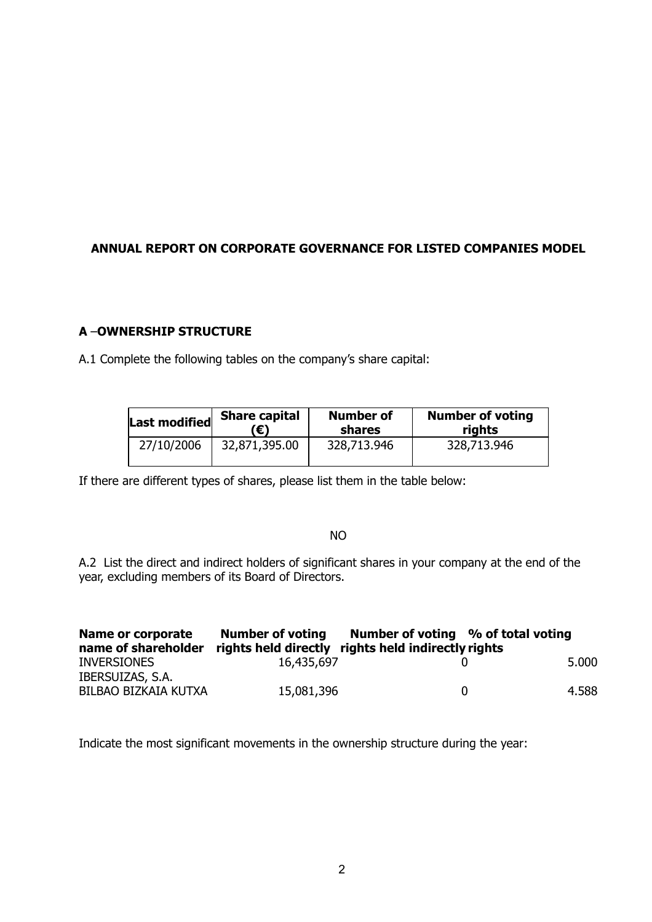# **ANNUAL REPORT ON CORPORATE GOVERNANCE FOR LISTED COMPANIES MODEL**

# **A** –**OWNERSHIP STRUCTURE**

A.1 Complete the following tables on the company's share capital:

| Last modified | <b>Share capital</b> | <b>Number of</b> | <b>Number of voting</b> |  |
|---------------|----------------------|------------------|-------------------------|--|
|               | ′€)                  | <b>shares</b>    | rights                  |  |
| 27/10/2006    | 32,871,395.00        | 328,713.946      | 328,713.946             |  |

If there are different types of shares, please list them in the table below:

## NO

A.2 List the direct and indirect holders of significant shares in your company at the end of the year, excluding members of its Board of Directors.

| Name or corporate<br>name of shareholder | <b>Number of voting</b><br>rights held directly rights held indirectly rights | Number of voting % of total voting |              |       |
|------------------------------------------|-------------------------------------------------------------------------------|------------------------------------|--------------|-------|
| <b>INVERSIONES</b>                       | 16,435,697                                                                    |                                    |              | 5.000 |
| IBERSUIZAS, S.A.<br>BILBAO BIZKAIA KUTXA | 15,081,396                                                                    |                                    | $\mathbf{U}$ | 4.588 |

Indicate the most significant movements in the ownership structure during the year: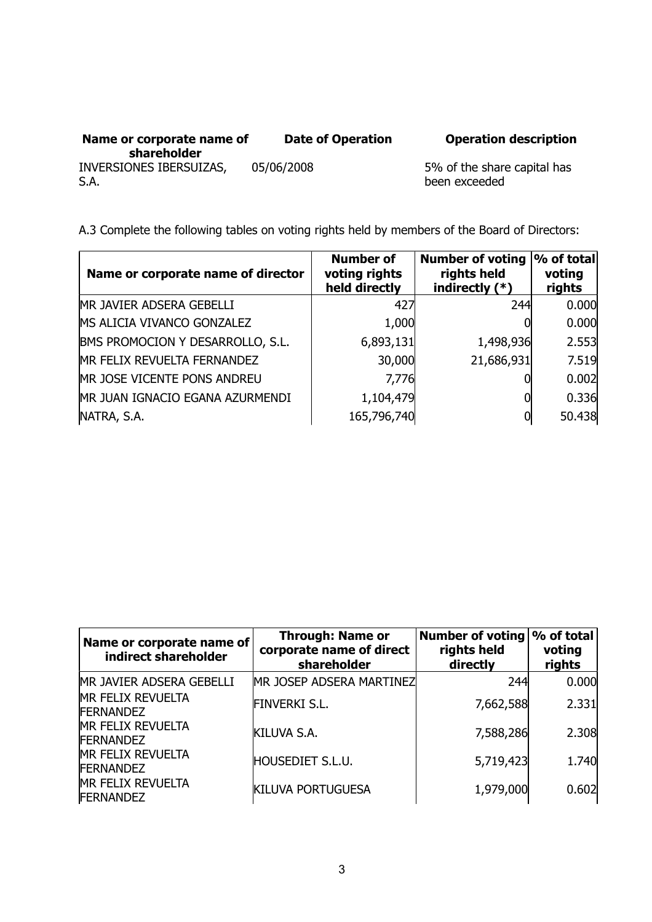| Name or corporate name of<br>shareholder | <b>Date of Operation</b> |
|------------------------------------------|--------------------------|
| INVERSIONES IBERSUIZAS,<br>S.A.          | 05/06/2008               |

**Date of Operation Operation description**

5% of the share capital has been exceeded

A.3 Complete the following tables on voting rights held by members of the Board of Directors:

| Name or corporate name of director | <b>Number of</b><br>voting rights<br>held directly | Number of voting  % of total <br>rights held<br>indirectly $(*)$ | voting<br>rights |
|------------------------------------|----------------------------------------------------|------------------------------------------------------------------|------------------|
| MR JAVIER ADSERA GEBELLI           | 427                                                | 244                                                              | 0.000            |
| MS ALICIA VIVANCO GONZALEZ         | 1,000                                              |                                                                  | 0.000            |
| BMS PROMOCION Y DESARROLLO, S.L.   | 6,893,131                                          | 1,498,936                                                        | 2.553            |
| MR FELIX REVUELTA FERNANDEZ        | 30,000                                             | 21,686,931                                                       | 7.519            |
| MR JOSE VICENTE PONS ANDREU        | 7,776                                              |                                                                  | 0.002            |
| MR JUAN IGNACIO EGANA AZURMENDI    | 1,104,479                                          |                                                                  | 0.336            |
| NATRA, S.A.                        | 165,796,740                                        | 0                                                                | 50.438           |

| Name or corporate name of<br>indirect shareholder | <b>Through: Name or</b><br>corporate name of direct<br>shareholder | <b>Number of voting</b><br>rights held<br>directly | % of total<br>voting<br>rights |
|---------------------------------------------------|--------------------------------------------------------------------|----------------------------------------------------|--------------------------------|
| MR JAVIER ADSERA GEBELLI                          | MR JOSEP ADSERA MARTINEZ                                           | 244                                                | 0.000                          |
| <b>MR FELIX REVUELTA</b><br><b>FERNANDEZ</b>      | <b>FINVERKI S.L.</b>                                               | 7,662,588                                          | 2.331                          |
| <b>MR FELIX REVUELTA</b><br><b>FERNANDEZ</b>      | KILUVA S.A.                                                        | 7,588,286                                          | 2.308                          |
| <b>MR FELIX REVUELTA</b><br><b>FERNANDEZ</b>      | <b>HOUSEDIET S.L.U.</b>                                            | 5,719,423                                          | 1.740                          |
| <b>MR FELIX REVUELTA</b><br><b>FERNANDEZ</b>      | <b>KILUVA PORTUGUESA</b>                                           | 1,979,000                                          | 0.602                          |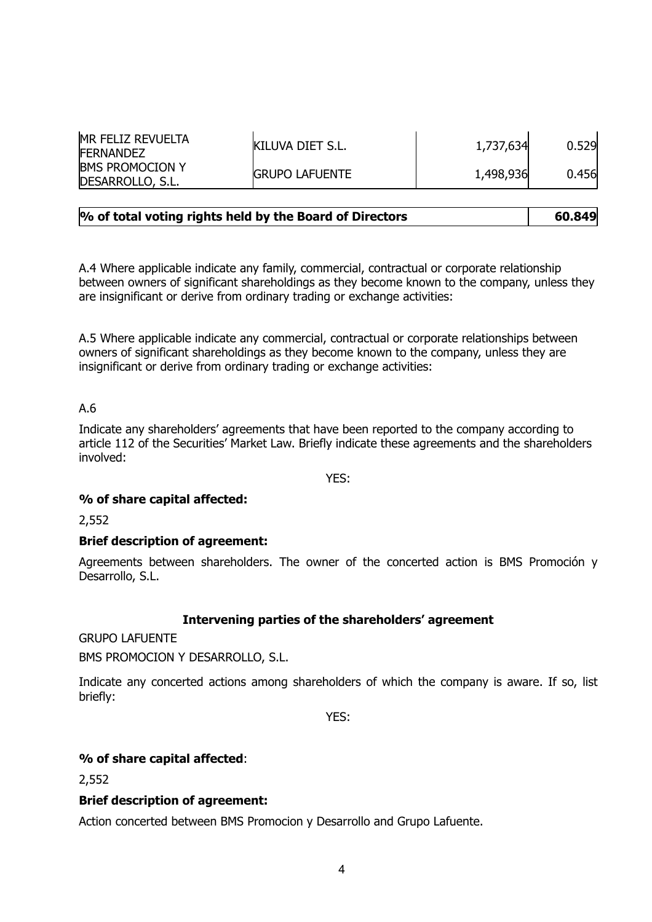| <b>MR FELIZ REVUELTA</b><br><b>FERNANDEZ</b> | <b>KILUVA DIET S.L.</b> | 1,737,634 | 0.529 |
|----------------------------------------------|-------------------------|-----------|-------|
| <b>IBMS PROMOCION Y</b><br>DESARROLLO, S.L.  | <b>GRUPO LAFUENTE</b>   | 1,498,936 | 0.456 |

| % of total voting rights held by the Board of Directors | 60.849 |
|---------------------------------------------------------|--------|
|                                                         |        |

A.4 Where applicable indicate any family, commercial, contractual or corporate relationship between owners of significant shareholdings as they become known to the company, unless they are insignificant or derive from ordinary trading or exchange activities:

A.5 Where applicable indicate any commercial, contractual or corporate relationships between owners of significant shareholdings as they become known to the company, unless they are insignificant or derive from ordinary trading or exchange activities:

## A.6

Indicate any shareholders' agreements that have been reported to the company according to article 112 of the Securities' Market Law. Briefly indicate these agreements and the shareholders involved:

YES:

## **% of share capital affected:**

2,552

## **Brief description of agreement:**

Agreements between shareholders. The owner of the concerted action is BMS Promoción y Desarrollo, S.L.

## **Intervening parties of the shareholders' agreement**

GRUPO LAFUENTE

BMS PROMOCION Y DESARROLLO, S.L.

Indicate any concerted actions among shareholders of which the company is aware. If so, list briefly:

YES:

## **% of share capital affected**:

2,552

## **Brief description of agreement:**

Action concerted between BMS Promocion y Desarrollo and Grupo Lafuente.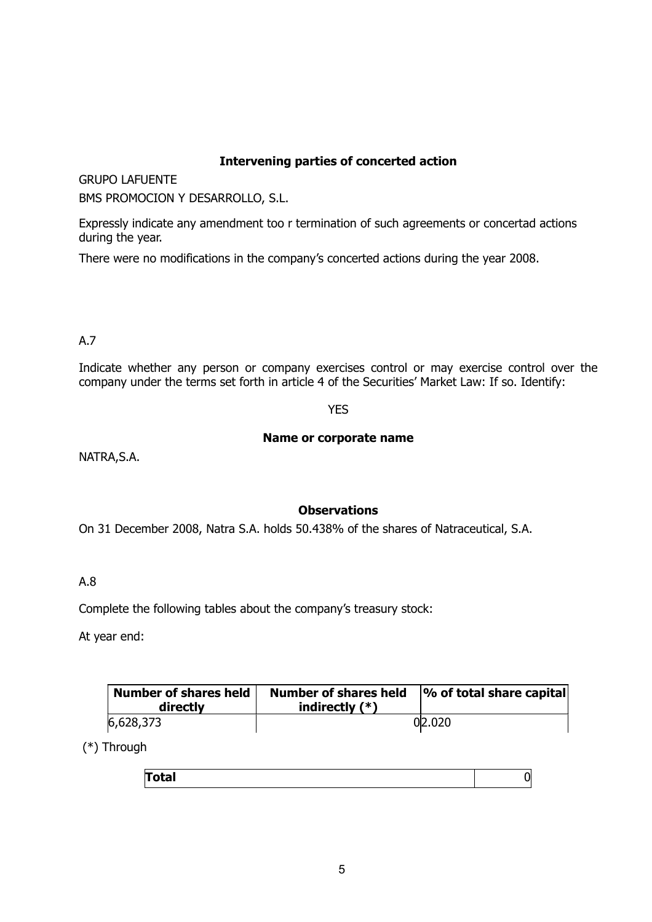## **Intervening parties of concerted action**

GRUPO LAFUENTE

BMS PROMOCION Y DESARROLLO, S.L.

Expressly indicate any amendment too r termination of such agreements or concertad actions during the year.

There were no modifications in the company's concerted actions during the year 2008.

## A.7

Indicate whether any person or company exercises control or may exercise control over the company under the terms set forth in article 4 of the Securities' Market Law: If so. Identify:

# YES

## **Name or corporate name**

NATRA,S.A.

# **Observations**

On 31 December 2008, Natra S.A. holds 50.438% of the shares of Natraceutical, S.A.

## A.8

Complete the following tables about the company's treasury stock:

At year end:

| <b>Number of shares held</b><br>directly | <b>Number of shares held</b><br>indirectly $(*)$ | $\sim$ of total share capital |  |
|------------------------------------------|--------------------------------------------------|-------------------------------|--|
| 6,628,373                                |                                                  | 02.020                        |  |

(\*) Through

| $\sim$ |  |
|--------|--|
|        |  |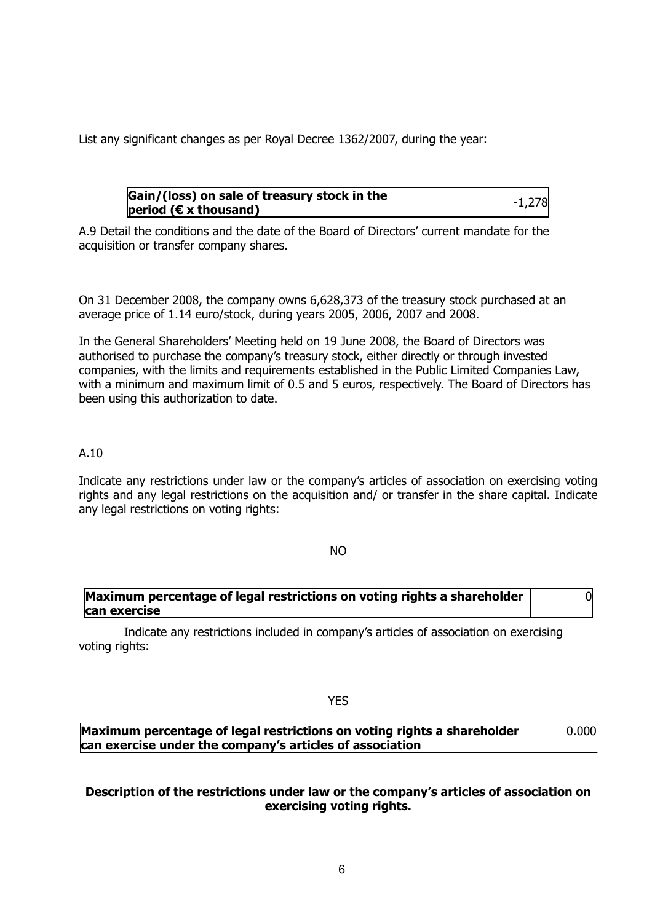List any significant changes as per Royal Decree 1362/2007, during the year:

## **Gain/(loss) on sale of treasury stock in the period (€ x thousand)** -1,278

 $\Omega$ 

A.9 Detail the conditions and the date of the Board of Directors' current mandate for the acquisition or transfer company shares.

On 31 December 2008, the company owns 6,628,373 of the treasury stock purchased at an average price of 1.14 euro/stock, during years 2005, 2006, 2007 and 2008.

In the General Shareholders' Meeting held on 19 June 2008, the Board of Directors was authorised to purchase the company's treasury stock, either directly or through invested companies, with the limits and requirements established in the Public Limited Companies Law, with a minimum and maximum limit of 0.5 and 5 euros, respectively. The Board of Directors has been using this authorization to date.

## A.10

Indicate any restrictions under law or the company's articles of association on exercising voting rights and any legal restrictions on the acquisition and/ or transfer in the share capital. Indicate any legal restrictions on voting rights:

#### NO

## **Maximum percentage of legal restrictions on voting rights a shareholder can exercise**

 Indicate any restrictions included in company's articles of association on exercising voting rights:

#### **YES**

| Maximum percentage of legal restrictions on voting rights a shareholder | 0.000 |
|-------------------------------------------------------------------------|-------|
| can exercise under the company's articles of association                |       |

## **Description of the restrictions under law or the company's articles of association on exercising voting rights.**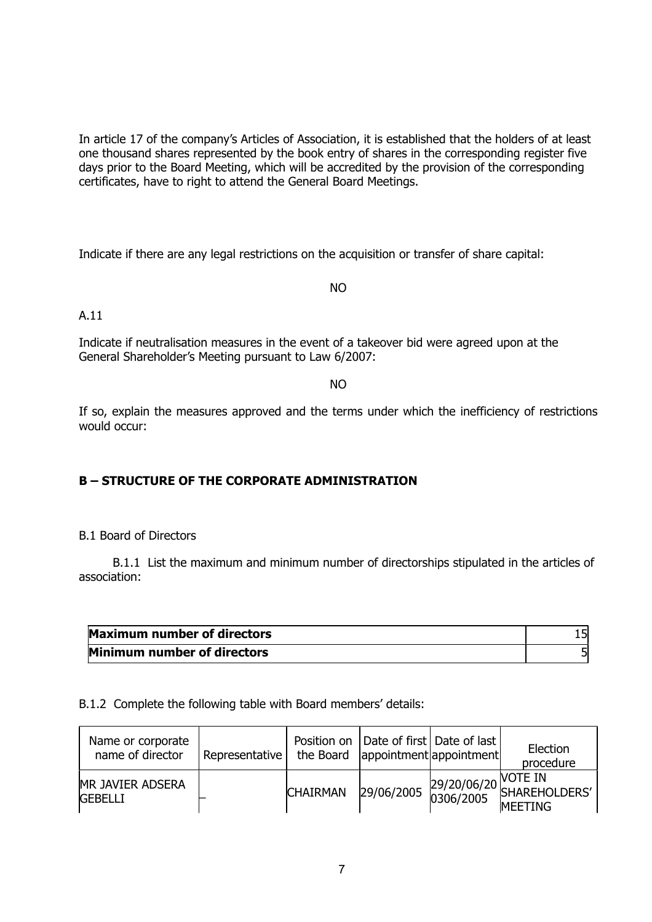In article 17 of the company's Articles of Association, it is established that the holders of at least one thousand shares represented by the book entry of shares in the corresponding register five days prior to the Board Meeting, which will be accredited by the provision of the corresponding certificates, have to right to attend the General Board Meetings.

Indicate if there are any legal restrictions on the acquisition or transfer of share capital:

NO

A.11

Indicate if neutralisation measures in the event of a takeover bid were agreed upon at the General Shareholder's Meeting pursuant to Law 6/2007:

NO

If so, explain the measures approved and the terms under which the inefficiency of restrictions would occur:

## **B – STRUCTURE OF THE CORPORATE ADMINISTRATION**

B.1 Board of Directors

 B.1.1 List the maximum and minimum number of directorships stipulated in the articles of association:

| <b>Maximum number of directors</b> |  |
|------------------------------------|--|
| Minimum number of directors        |  |

#### B.1.2 Complete the following table with Board members' details:

| Name or corporate<br>name of director     | Representative |                 | Position on   Date of first   Date of last  <br>the Board   appointment   appointment | Election<br>procedure                                    |
|-------------------------------------------|----------------|-----------------|---------------------------------------------------------------------------------------|----------------------------------------------------------|
| <b>MR JAVIER ADSERA</b><br><b>GEBELLI</b> |                | <b>CHAIRMAN</b> |                                                                                       | 29/06/2005 29/20/06/20 VOTE IN<br>0306/2005 SHAREHOLDERS |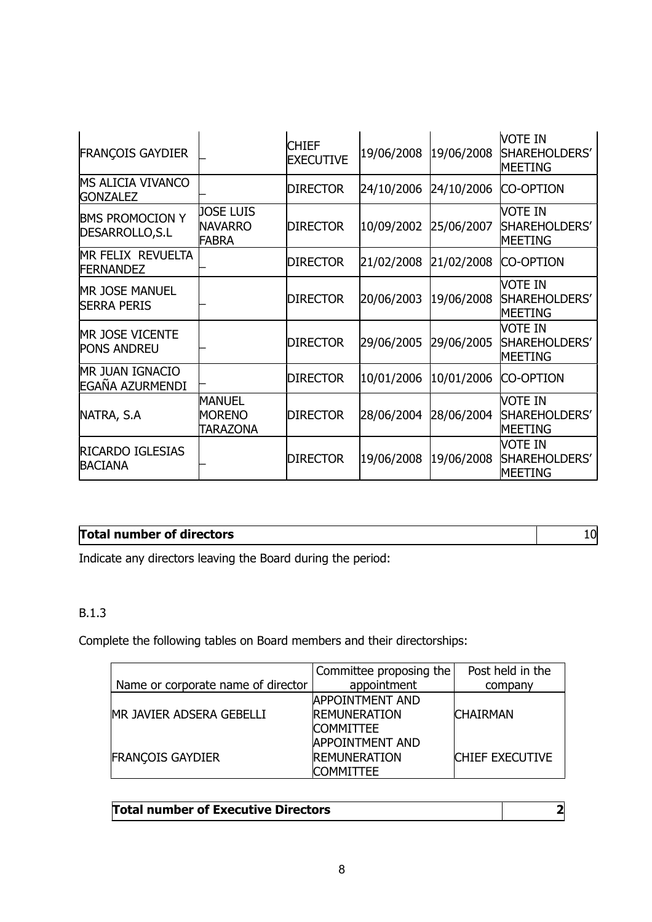| <b>FRANÇOIS GAYDIER</b>                      |                                             | <b>CHIEF</b><br><b>EXECUTIVE</b> | 19/06/2008 | 19/06/2008 | vote in<br>SHAREHOLDERS'<br>MEETING        |
|----------------------------------------------|---------------------------------------------|----------------------------------|------------|------------|--------------------------------------------|
| MS ALICIA VIVANCO<br><b>GONZALEZ</b>         |                                             | <b>DIRECTOR</b>                  | 24/10/2006 | 24/10/2006 | <b>CO-OPTION</b>                           |
| <b>BMS PROMOCION Y</b><br>DESARROLLO, S.L    | <b>JOSE LUIS</b><br><b>NAVARRO</b><br>FABRA | <b>DIRECTOR</b>                  | 10/09/2002 | 25/06/2007 | iote in<br>SHAREHOLDERS'<br>MEETING        |
| MR FELIX REVUELTA<br><b>FERNANDEZ</b>        |                                             | <b>DIRECTOR</b>                  | 21/02/2008 | 21/02/2008 | <b>CO-OPTION</b>                           |
| <b>MR JOSE MANUEL</b><br><b>SERRA PERIS</b>  |                                             | <b>DIRECTOR</b>                  | 20/06/2003 | 19/06/2008 | iote in<br>SHAREHOLDERS'<br>MEETING        |
| <b>MR JOSE VICENTE</b><br><b>PONS ANDREU</b> |                                             | <b>DIRECTOR</b>                  | 29/06/2005 | 29/06/2005 | iote in<br>SHAREHOLDERS'<br>MEETING        |
| <b>MR JUAN IGNACIO</b><br>EGAÑA AZURMENDI    |                                             | <b>DIRECTOR</b>                  | 10/01/2006 | 10/01/2006 | <b>CO-OPTION</b>                           |
| NATRA, S.A                                   | MANUEL<br><b>MORENO</b><br>TARAZONA         | <b>DIRECTOR</b>                  | 28/06/2004 | 28/06/2004 | iote in<br>SHAREHOLDERS'<br><b>MEETING</b> |
| <b>RICARDO IGLESIAS</b><br><b>BACIANA</b>    |                                             | <b>DIRECTOR</b>                  | 19/06/2008 | 19/06/2008 | vote in<br>SHAREHOLDERS'<br>MEETING        |

# **Total number of directors** 10

Indicate any directors leaving the Board during the period:

# B.1.3

Complete the following tables on Board members and their directorships:

|                                    | Committee proposing the | Post held in the       |
|------------------------------------|-------------------------|------------------------|
| Name or corporate name of director | appointment             | company                |
|                                    | <b>APPOINTMENT AND</b>  |                        |
| MR JAVIER ADSERA GEBELLI           | <b>REMUNERATION</b>     | <b>CHAIRMAN</b>        |
|                                    | <b>COMMITTEE</b>        |                        |
|                                    | <b>APPOINTMENT AND</b>  |                        |
| <b>FRANCOIS GAYDIER</b>            | <b>REMUNERATION</b>     | <b>CHIEF EXECUTIVE</b> |
|                                    | <b>COMMITTEE</b>        |                        |

| <b>Total number of Executive Directors</b> |  |
|--------------------------------------------|--|
|--------------------------------------------|--|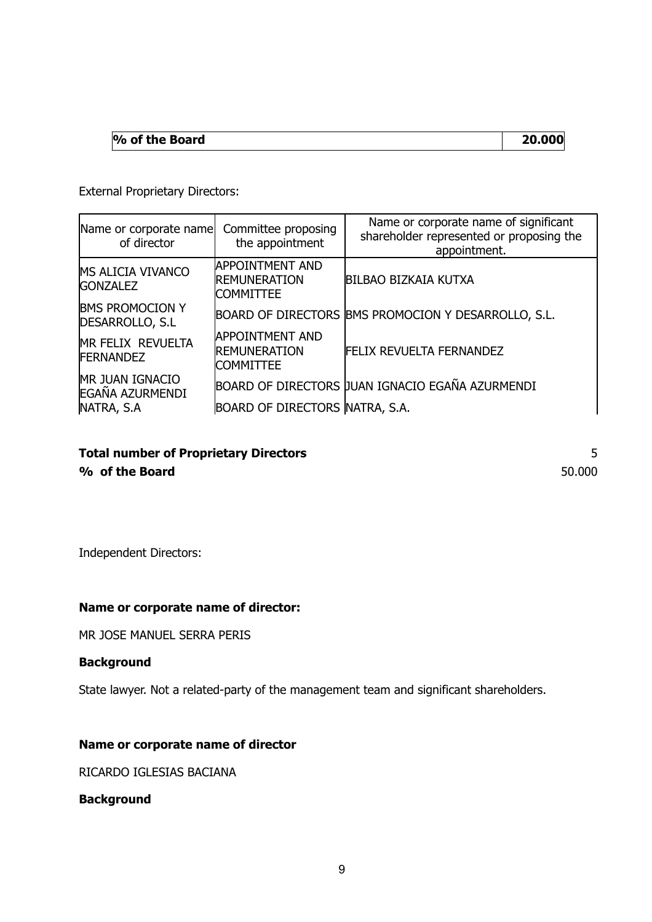| 20.000<br>$\%$ of the Board |  |
|-----------------------------|--|
|-----------------------------|--|

External Proprietary Directors:

| Name or corporate name<br>of director                   | Committee proposing<br>the appointment                            | Name or corporate name of significant<br>shareholder represented or proposing the<br>appointment. |
|---------------------------------------------------------|-------------------------------------------------------------------|---------------------------------------------------------------------------------------------------|
| <b>MS ALICIA VIVANCO</b><br><b>GONZALEZ</b>             | <b>APPOINTMENT AND</b><br><b>REMUNERATION</b><br><b>COMMITTEE</b> | <b>BILBAO BIZKAIA KUTXA</b>                                                                       |
| <b>BMS PROMOCION Y</b><br>DESARROLLO, S.L.              |                                                                   | BOARD OF DIRECTORS BMS PROMOCION Y DESARROLLO, S.L.                                               |
| MR FELIX REVUELTA<br><b>FERNANDEZ</b>                   | <b>APPOINTMENT AND</b><br><b>REMUNERATION</b><br><b>COMMITTEE</b> | <b>FELIX REVUELTA FERNANDEZ</b>                                                                   |
| <b>MR JUAN IGNACIO</b><br>EGAÑA AZURMENDI<br>NATRA, S.A | <b>BOARD OF DIRECTORS NATRA, S.A.</b>                             | BOARD OF DIRECTORS JUAN IGNACIO EGAÑA AZURMENDI                                                   |

# **Total number of Proprietary Directors** 5 **% of the Board** 50.000

Independent Directors:

## **Name or corporate name of director:**

MR JOSE MANUEL SERRA PERIS

## **Background**

State lawyer. Not a related-party of the management team and significant shareholders.

## **Name or corporate name of director**

RICARDO IGLESIAS BACIANA

**Background**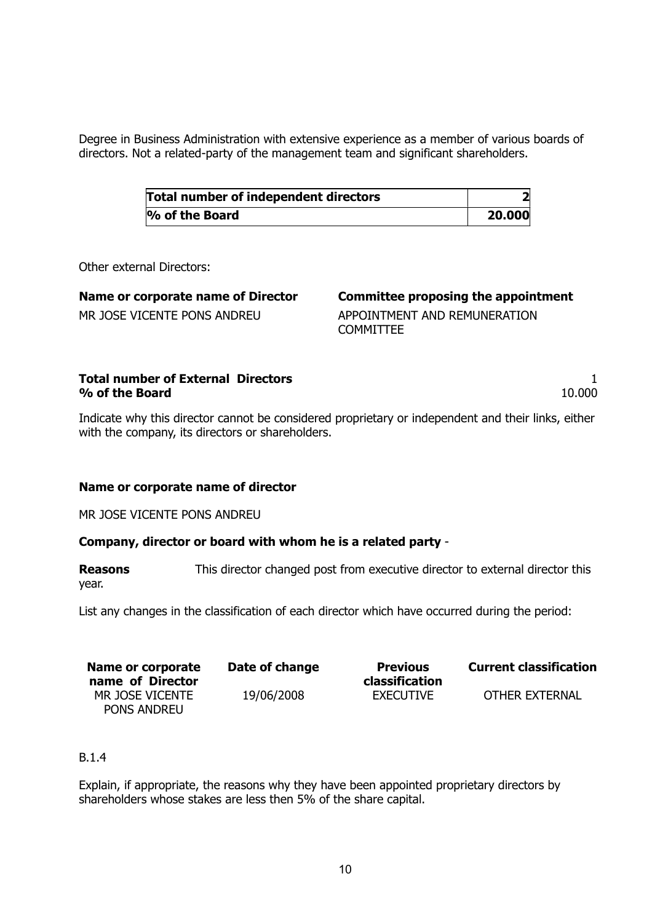Degree in Business Administration with extensive experience as a member of various boards of directors. Not a related-party of the management team and significant shareholders.

| <b>Total number of independent directors</b> |        |
|----------------------------------------------|--------|
| $\%$ of the Board                            | 20.000 |

Other external Directors:

| Name or corporate name of Director |  |
|------------------------------------|--|
| MR JOSE VICENTE PONS ANDREU        |  |

**Committee proposing the appointment** 

APPOINTMENT AND REMUNERATION **COMMITTEE** 

| <b>Total number of External Directors</b> |        |
|-------------------------------------------|--------|
| % of the Board                            | 10.000 |

Indicate why this director cannot be considered proprietary or independent and their links, either with the company, its directors or shareholders.

## **Name or corporate name of director**

MR JOSE VICENTE PONS ANDREU

## **Company, director or board with whom he is a related party** -

**Reasons** This director changed post from executive director to external director this year.

List any changes in the classification of each director which have occurred during the period:

| Name or corporate<br>name of Director | Date of change | <b>Previous</b><br>classification | <b>Current classification</b> |
|---------------------------------------|----------------|-----------------------------------|-------------------------------|
| MR JOSE VICENTE<br><b>PONS ANDREU</b> | 19/06/2008     | EXECUTIVE                         | OTHER EXTERNAL                |

## B.1.4

Explain, if appropriate, the reasons why they have been appointed proprietary directors by shareholders whose stakes are less then 5% of the share capital.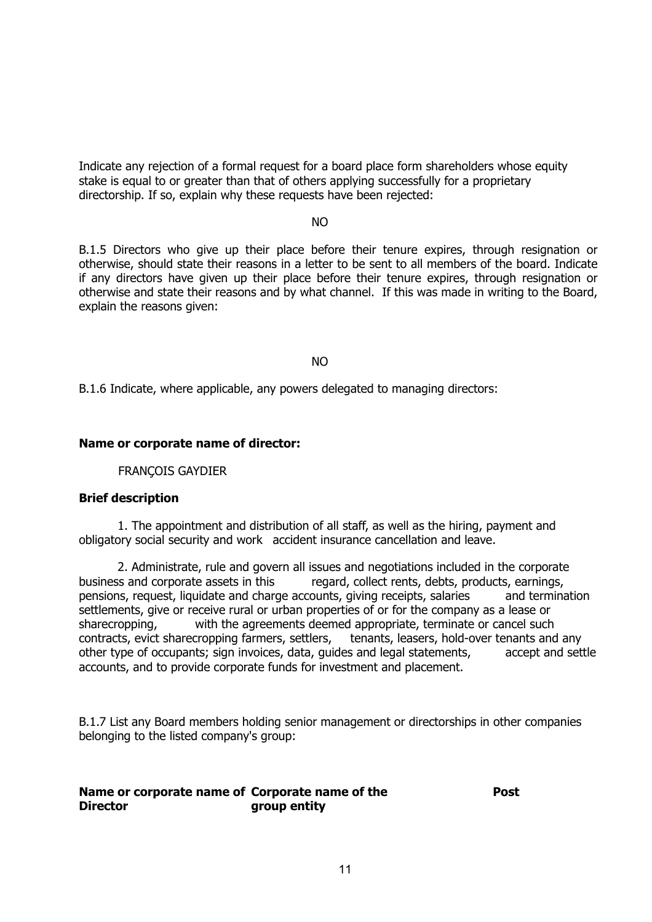Indicate any rejection of a formal request for a board place form shareholders whose equity stake is equal to or greater than that of others applying successfully for a proprietary directorship. If so, explain why these requests have been rejected:

#### not a series and the series of the series of the series of the series of the series of the series of the series

B.1.5 Directors who give up their place before their tenure expires, through resignation or otherwise, should state their reasons in a letter to be sent to all members of the board. Indicate if any directors have given up their place before their tenure expires, through resignation or otherwise and state their reasons and by what channel. If this was made in writing to the Board, explain the reasons given:

#### not a series and the series of the series of the series of the series of the series of the series of the series

B.1.6 Indicate, where applicable, any powers delegated to managing directors:

#### **Name or corporate name of director:**

FRANÇOIS GAYDIER

#### **Brief description**

 1. The appointment and distribution of all staff, as well as the hiring, payment and obligatory social security and work accident insurance cancellation and leave.

 2. Administrate, rule and govern all issues and negotiations included in the corporate business and corporate assets in this regard, collect rents, debts, products, earnings, pensions, request, liquidate and charge accounts, giving receipts, salaries and termination settlements, give or receive rural or urban properties of or for the company as a lease or sharecropping, with the agreements deemed appropriate, terminate or cancel such contracts, evict sharecropping farmers, settlers, tenants, leasers, hold-over tenants and any other type of occupants; sign invoices, data, guides and legal statements, accept and settle accounts, and to provide corporate funds for investment and placement.

B.1.7 List any Board members holding senior management or directorships in other companies belonging to the listed company's group:

#### **Name or corporate name of Corporate name of the Director group entity**

**Post**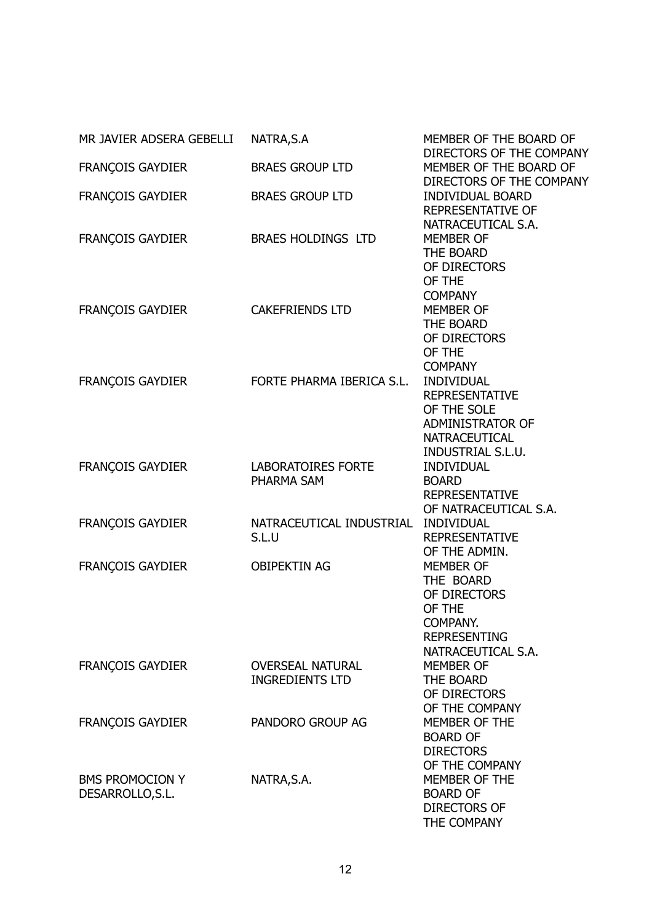| MR JAVIER ADSERA GEBELLI | NATRA, S.A                          | MEMBER OF THE BOARD OF                             |
|--------------------------|-------------------------------------|----------------------------------------------------|
| <b>FRANÇOIS GAYDIER</b>  | <b>BRAES GROUP LTD</b>              | DIRECTORS OF THE COMPANY<br>MEMBER OF THE BOARD OF |
|                          |                                     | DIRECTORS OF THE COMPANY                           |
| <b>FRANÇOIS GAYDIER</b>  | <b>BRAES GROUP LTD</b>              | <b>INDIVIDUAL BOARD</b>                            |
|                          |                                     | <b>REPRESENTATIVE OF</b>                           |
|                          |                                     | NATRACEUTICAL S.A.                                 |
| FRANÇOIS GAYDIER         | BRAES HOLDINGS LTD                  | <b>MEMBER OF</b>                                   |
|                          |                                     | THE BOARD                                          |
|                          |                                     | OF DIRECTORS                                       |
|                          |                                     | OF THE                                             |
|                          |                                     | <b>COMPANY</b>                                     |
| <b>FRANÇOIS GAYDIER</b>  | <b>CAKEFRIENDS LTD</b>              | <b>MEMBER OF</b><br>THE BOARD                      |
|                          |                                     | OF DIRECTORS                                       |
|                          |                                     | OF THE                                             |
|                          |                                     | <b>COMPANY</b>                                     |
| <b>FRANÇOIS GAYDIER</b>  | FORTE PHARMA IBERICA S.L.           | <b>INDIVIDUAL</b>                                  |
|                          |                                     | <b>REPRESENTATIVE</b>                              |
|                          |                                     | OF THE SOLE                                        |
|                          |                                     | ADMINISTRATOR OF                                   |
|                          |                                     | <b>NATRACEUTICAL</b>                               |
|                          |                                     | <b>INDUSTRIAL S.L.U.</b>                           |
| <b>FRANÇOIS GAYDIER</b>  | LABORATOIRES FORTE                  | <b>INDIVIDUAL</b>                                  |
|                          | PHARMA SAM                          | <b>BOARD</b>                                       |
|                          |                                     | <b>REPRESENTATIVE</b>                              |
|                          | NATRACEUTICAL INDUSTRIAL INDIVIDUAL | OF NATRACEUTICAL S.A.                              |
| <b>FRANÇOIS GAYDIER</b>  | S.L.U                               | <b>REPRESENTATIVE</b>                              |
|                          |                                     | OF THE ADMIN.                                      |
| <b>FRANÇOIS GAYDIER</b>  | <b>OBIPEKTIN AG</b>                 | <b>MEMBER OF</b>                                   |
|                          |                                     | THE BOARD                                          |
|                          |                                     | OF DIRECTORS                                       |
|                          |                                     | OF THE                                             |
|                          |                                     | COMPANY.                                           |
|                          |                                     | <b>REPRESENTING</b>                                |
|                          |                                     | NATRACEUTICAL S.A.                                 |
| <b>FRANÇOIS GAYDIER</b>  | <b>OVERSEAL NATURAL</b>             | <b>MEMBER OF</b>                                   |
|                          | <b>INGREDIENTS LTD</b>              | THE BOARD                                          |
|                          |                                     | OF DIRECTORS<br>OF THE COMPANY                     |
| <b>FRANÇOIS GAYDIER</b>  | PANDORO GROUP AG                    | MEMBER OF THE                                      |
|                          |                                     | <b>BOARD OF</b>                                    |
|                          |                                     | <b>DIRECTORS</b>                                   |
|                          |                                     | OF THE COMPANY                                     |
| <b>BMS PROMOCION Y</b>   | NATRA, S.A.                         | MEMBER OF THE                                      |
| DESARROLLO, S.L.         |                                     | <b>BOARD OF</b>                                    |
|                          |                                     | <b>DIRECTORS OF</b>                                |
|                          |                                     | THE COMPANY                                        |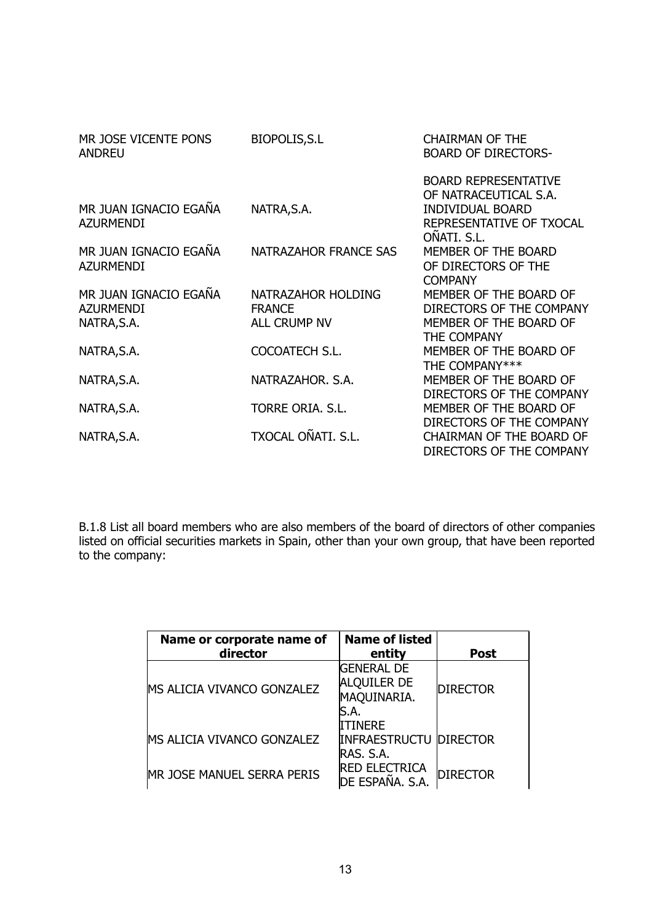| MR JOSE VICENTE PONS<br><b>ANDREU</b> | <b>BIOPOLIS, S.L</b>  | <b>CHAIRMAN OF THE</b><br><b>BOARD OF DIRECTORS-</b> |
|---------------------------------------|-----------------------|------------------------------------------------------|
|                                       |                       | <b>BOARD REPRESENTATIVE</b>                          |
|                                       |                       | OF NATRACEUTICAL S.A.                                |
| MR JUAN IGNACIO EGAÑA                 | NATRA, S.A.           | <b>INDIVIDUAL BOARD</b>                              |
| <b>AZURMENDI</b>                      |                       | REPRESENTATIVE OF TXOCAL                             |
|                                       |                       | OÑATI. S.L.                                          |
| MR JUAN IGNACIO EGAÑA                 | NATRAZAHOR FRANCE SAS | MEMBER OF THE BOARD                                  |
| <b>AZURMENDI</b>                      |                       | OF DIRECTORS OF THE                                  |
|                                       |                       | <b>COMPANY</b>                                       |
| MR JUAN IGNACIO EGAÑA                 | NATRAZAHOR HOLDING    | MEMBER OF THE BOARD OF                               |
| <b>AZURMENDI</b>                      | <b>FRANCE</b>         | DIRECTORS OF THE COMPANY                             |
| NATRA, S.A.                           | <b>ALL CRUMP NV</b>   | MEMBER OF THE BOARD OF                               |
|                                       |                       | THE COMPANY                                          |
| NATRA, S.A.                           | COCOATECH S.L.        | MEMBER OF THE BOARD OF                               |
|                                       |                       | THE COMPANY***                                       |
| NATRA, S.A.                           | NATRAZAHOR, S.A.      | MEMBER OF THE BOARD OF                               |
|                                       |                       | DIRECTORS OF THE COMPANY                             |
| NATRA, S.A.                           | TORRE ORIA, S.L.      | MEMBER OF THE BOARD OF                               |
|                                       |                       | DIRECTORS OF THE COMPANY                             |
| NATRA, S.A.                           | TXOCAL OÑATI. S.L.    | <b>CHAIRMAN OF THE BOARD OF</b>                      |
|                                       |                       | DIRECTORS OF THE COMPANY                             |

B.1.8 List all board members who are also members of the board of directors of other companies listed on official securities markets in Spain, other than your own group, that have been reported to the company:

| Name or corporate name of<br>director | <b>Name of listed</b><br>entity                                | <b>Post</b>     |
|---------------------------------------|----------------------------------------------------------------|-----------------|
| MS ALICIA VIVANCO GONZALEZ            | <b>GENERAL DE</b><br><b>ALQUILER DE</b><br>MAQUINARIA.<br>S.A. | <b>DIRECTOR</b> |
| MS ALICIA VIVANCO GONZALEZ            | ITINERE<br><b>INFRAESTRUCTU DIRECTOR</b><br>RAS. S.A.          |                 |
| MR JOSE MANUEL SERRA PERIS            | <b>RED ELECTRICA</b><br>de España. S.A.                        | <b>DIRECTOR</b> |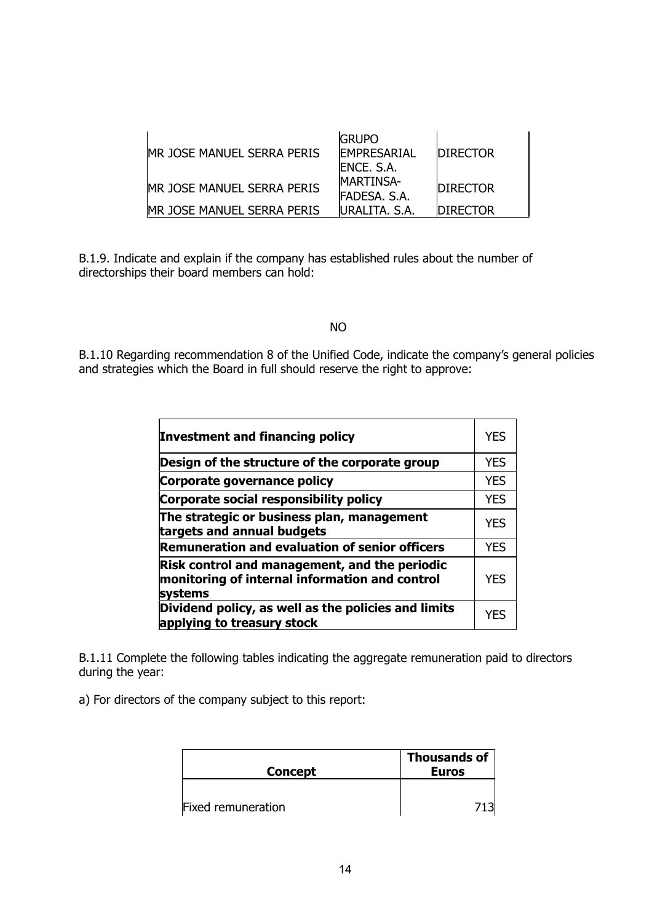| <b>IMR JOSE MANUEL SERRA PERIS</b> | <b>GRUPO</b><br><b>FMPRFSARIAL</b><br>ENCE, S.A. | <b>IDIRECTOR</b> |
|------------------------------------|--------------------------------------------------|------------------|
| MR JOSE MANUEL SERRA PERIS         | <b>MARTINSA-</b><br>FADESA, S.A.                 | <b>IDIRECTOR</b> |
| MR JOSE MANUEL SERRA PERIS         | URALITA, S.A.                                    | <b>IDIRECTOR</b> |

B.1.9. Indicate and explain if the company has established rules about the number of directorships their board members can hold:

#### NO

B.1.10 Regarding recommendation 8 of the Unified Code, indicate the company's general policies and strategies which the Board in full should reserve the right to approve:

| Investment and financing policy                                                                            | YFS        |
|------------------------------------------------------------------------------------------------------------|------------|
| Design of the structure of the corporate group                                                             | <b>YES</b> |
| Corporate governance policy                                                                                | <b>YES</b> |
| Corporate social responsibility policy                                                                     | <b>YES</b> |
| The strategic or business plan, management<br>targets and annual budgets                                   | <b>YES</b> |
| Remuneration and evaluation of senior officers                                                             | <b>YES</b> |
| Risk control and management, and the periodic<br>monitoring of internal information and control<br>systems | <b>YES</b> |
| Dividend policy, as well as the policies and limits<br>applying to treasury stock                          | YFS        |

B.1.11 Complete the following tables indicating the aggregate remuneration paid to directors during the year:

a) For directors of the company subject to this report:

| <b>Concept</b>     | <b>Thousands of</b><br><b>Euros</b> |
|--------------------|-------------------------------------|
|                    |                                     |
| Fixed remuneration |                                     |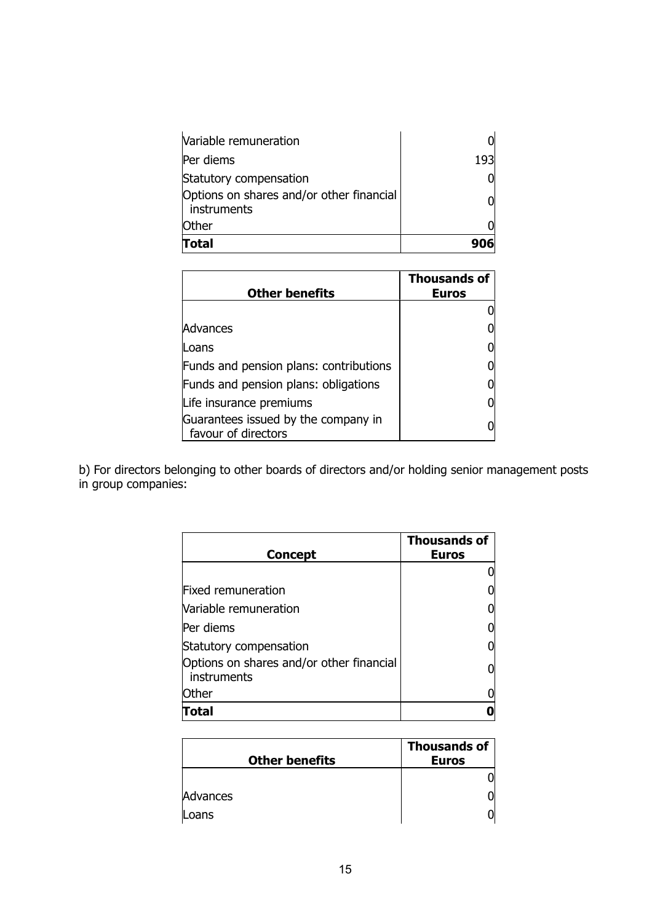| Variable remuneration                                     |     |
|-----------------------------------------------------------|-----|
| Per diems                                                 | 193 |
| Statutory compensation                                    |     |
| Options on shares and/or other financial<br>  instruments |     |
| <b>Other</b>                                              |     |
| Total                                                     |     |

| <b>Other benefits</b>                                      | <b>Thousands of</b><br><b>Euros</b> |
|------------------------------------------------------------|-------------------------------------|
|                                                            |                                     |
| Advances                                                   |                                     |
| Loans                                                      |                                     |
| Funds and pension plans: contributions                     |                                     |
| Funds and pension plans: obligations                       |                                     |
| Life insurance premiums                                    |                                     |
| Guarantees issued by the company in<br>favour of directors |                                     |

b) For directors belonging to other boards of directors and/or holding senior management posts in group companies:

| <b>Concept</b>                                          | Thousands of<br><b>Euros</b> |
|---------------------------------------------------------|------------------------------|
|                                                         |                              |
| Fixed remuneration                                      |                              |
| Variable remuneration                                   |                              |
| Per diems                                               |                              |
| Statutory compensation                                  |                              |
| Options on shares and/or other financial<br>instruments |                              |
| Other                                                   |                              |
| <b>Fotal</b>                                            |                              |

| <b>Other benefits</b> | <b>Thousands of</b><br><b>Euros</b> |
|-----------------------|-------------------------------------|
|                       |                                     |
| Advances              |                                     |
| Loans                 |                                     |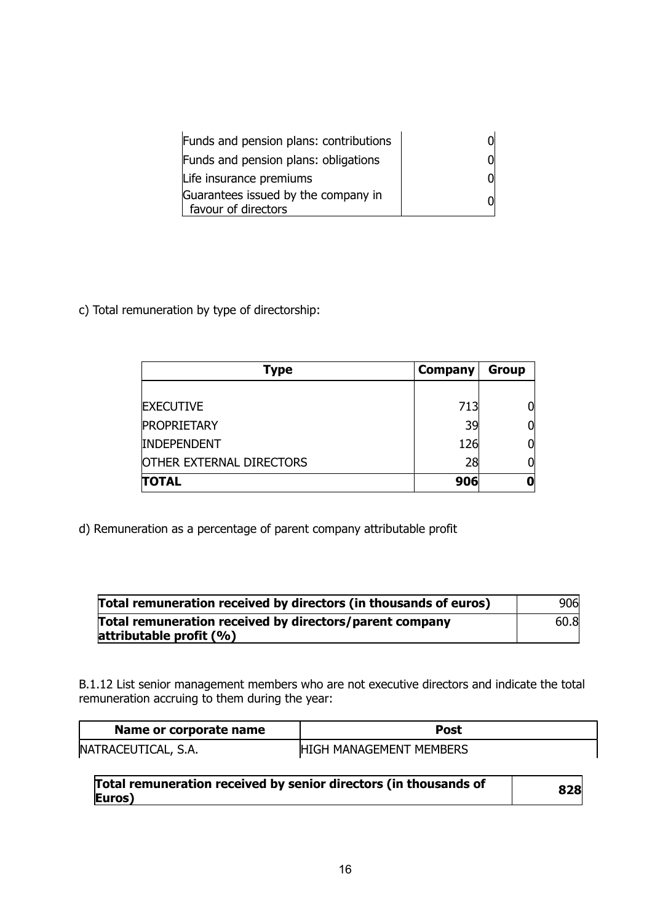| Funds and pension plans: contributions                     |  |
|------------------------------------------------------------|--|
| Funds and pension plans: obligations                       |  |
| Life insurance premiums                                    |  |
| Guarantees issued by the company in<br>favour of directors |  |

c) Total remuneration by type of directorship:

| Type                            | Company | <b>Group</b> |
|---------------------------------|---------|--------------|
|                                 |         |              |
| <b>EXECUTIVE</b>                | 713     | 01           |
| <b>PROPRIETARY</b>              | 39      | 01           |
| <b>INDEPENDENT</b>              | 126     | 01           |
| <b>OTHER EXTERNAL DIRECTORS</b> | 28      | Ol           |
| <b>TOTAL</b>                    | 906     |              |

d) Remuneration as a percentage of parent company attributable profit

| Total remuneration received by directors (in thousands of euros)                       | 906  |
|----------------------------------------------------------------------------------------|------|
| Total remuneration received by directors/parent company<br>attributable profit $(\% )$ | 60.8 |

B.1.12 List senior management members who are not executive directors and indicate the total remuneration accruing to them during the year:

| Name or corporate name | Post                    |
|------------------------|-------------------------|
| NATRACEUTICAL, S.A.    | HIGH MANAGEMENT MEMBERS |

**Total remuneration received by senior directors (in thousands of Euros) <sup>828</sup>**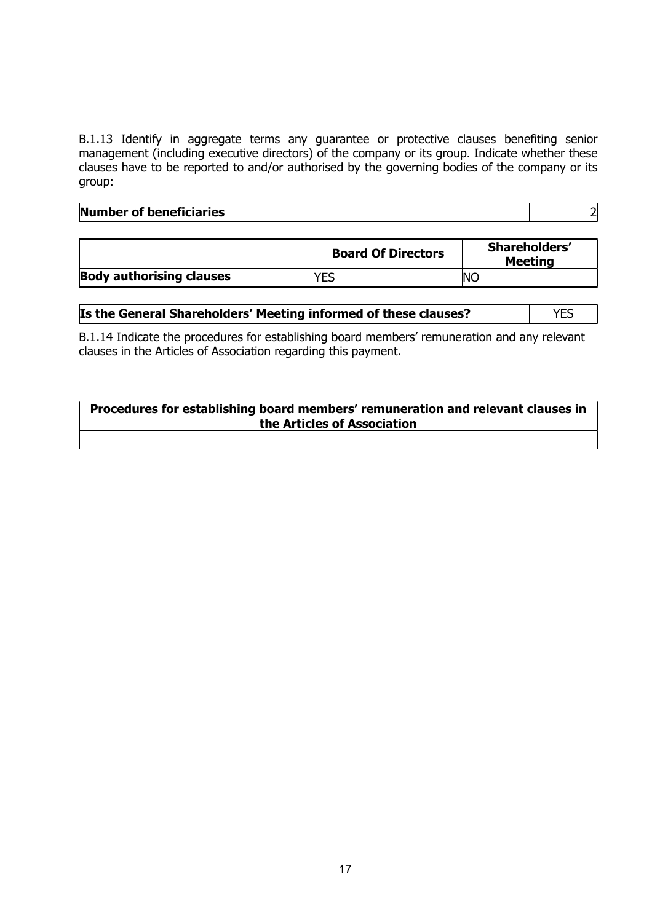B.1.13 Identify in aggregate terms any guarantee or protective clauses benefiting senior management (including executive directors) of the company or its group. Indicate whether these clauses have to be reported to and/or authorised by the governing bodies of the company or its group:

# **Number of beneficiaries** 2

|                                 | <b>Board Of Directors</b> | Shareholders'<br><b>Meeting</b> |
|---------------------------------|---------------------------|---------------------------------|
| <b>Body authorising clauses</b> | <b>NEC</b>                | <b>NC</b>                       |

## **Is the General Shareholders' Meeting informed of these clauses?** | YES

B.1.14 Indicate the procedures for establishing board members' remuneration and any relevant clauses in the Articles of Association regarding this payment.

## **Procedures for establishing board members' remuneration and relevant clauses in the Articles of Association**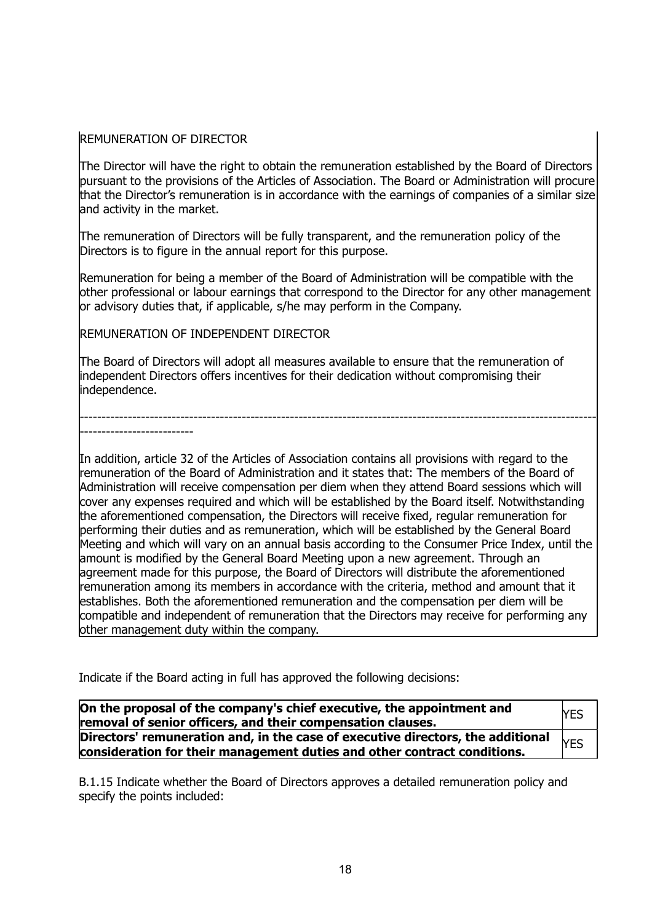## REMUNERATION OF DIRECTOR

The Director will have the right to obtain the remuneration established by the Board of Directors pursuant to the provisions of the Articles of Association. The Board or Administration will procure that the Director's remuneration is in accordance with the earnings of companies of a similar size and activity in the market.

The remuneration of Directors will be fully transparent, and the remuneration policy of the Directors is to figure in the annual report for this purpose.

Remuneration for being a member of the Board of Administration will be compatible with the other professional or labour earnings that correspond to the Director for any other management or advisory duties that, if applicable, s/he may perform in the Company.

REMUNERATION OF INDEPENDENT DIRECTOR

The Board of Directors will adopt all measures available to ensure that the remuneration of independent Directors offers incentives for their dedication without compromising their independence.

---------------------------------------------------------------------------------------------------------------------- --------------------------

In addition, article 32 of the Articles of Association contains all provisions with regard to the remuneration of the Board of Administration and it states that: The members of the Board of Administration will receive compensation per diem when they attend Board sessions which will cover any expenses required and which will be established by the Board itself. Notwithstanding the aforementioned compensation, the Directors will receive fixed, regular remuneration for performing their duties and as remuneration, which will be established by the General Board Meeting and which will vary on an annual basis according to the Consumer Price Index, until the amount is modified by the General Board Meeting upon a new agreement. Through an agreement made for this purpose, the Board of Directors will distribute the aforementioned remuneration among its members in accordance with the criteria, method and amount that it establishes. Both the aforementioned remuneration and the compensation per diem will be compatible and independent of remuneration that the Directors may receive for performing any other management duty within the company.

Indicate if the Board acting in full has approved the following decisions:

| On the proposal of the company's chief executive, the appointment and<br>removal of senior officers, and their compensation clauses.                        | <b>YES</b> |
|-------------------------------------------------------------------------------------------------------------------------------------------------------------|------------|
| Directors' remuneration and, in the case of executive directors, the additional<br>consideration for their management duties and other contract conditions. | <b>YES</b> |

B.1.15 Indicate whether the Board of Directors approves a detailed remuneration policy and specify the points included: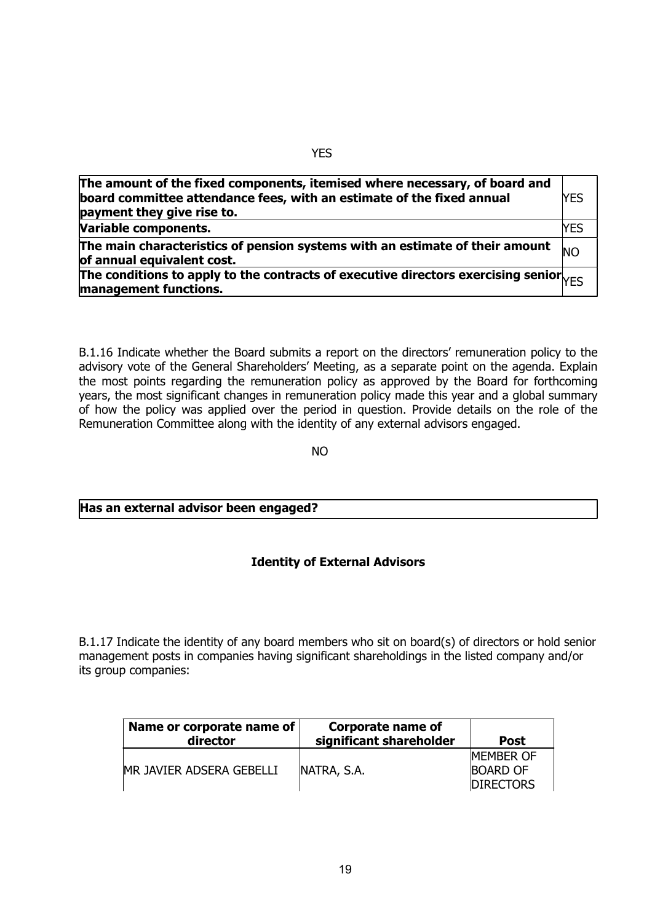| The amount of the fixed components, itemised where necessary, of board and<br>board committee attendance fees, with an estimate of the fixed annual<br>payment they give rise to. | lyes |
|-----------------------------------------------------------------------------------------------------------------------------------------------------------------------------------|------|
| Variable components.                                                                                                                                                              | YES  |
| The main characteristics of pension systems with an estimate of their amount<br>of annual equivalent cost.                                                                        |      |
| The conditions to apply to the contracts of executive directors exercising senior $V_{\text{FSS}}$<br>management functions.                                                       |      |

B.1.16 Indicate whether the Board submits a report on the directors' remuneration policy to the advisory vote of the General Shareholders' Meeting, as a separate point on the agenda. Explain the most points regarding the remuneration policy as approved by the Board for forthcoming years, the most significant changes in remuneration policy made this year and a global summary of how the policy was applied over the period in question. Provide details on the role of the Remuneration Committee along with the identity of any external advisors engaged.

not a series and the series of the series of the series of the series of the series of the series of the series

## **Has an external advisor been engaged?**

## **Identity of External Advisors**

B.1.17 Indicate the identity of any board members who sit on board(s) of directors or hold senior management posts in companies having significant shareholdings in the listed company and/or its group companies:

| Name or corporate name of<br>director | <b>Corporate name of</b><br>significant shareholder | <b>Post</b>      |
|---------------------------------------|-----------------------------------------------------|------------------|
|                                       |                                                     | <b>MEMBER OF</b> |
| MR JAVIER ADSERA GEBELLI              | NATRA, S.A.                                         | <b>BOARD OF</b>  |
|                                       |                                                     | <b>DIRECTORS</b> |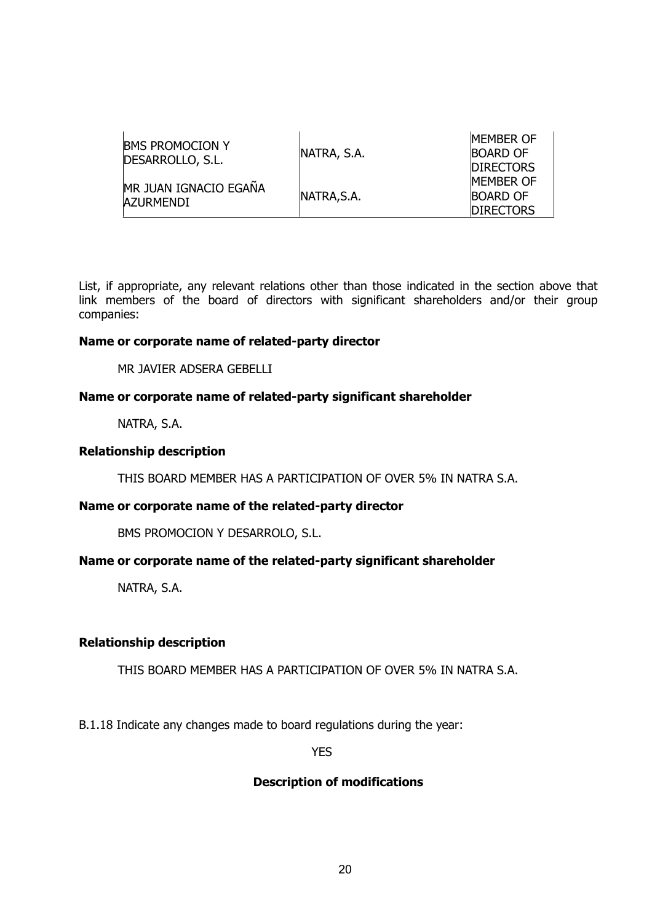| <b>IBMS PROMOCION Y</b><br>DESARROLLO, S.L. | NATRA, S.A. | <b>MEMBER OF</b><br><b>BOARD OF</b><br><b>DIRECTORS</b> |
|---------------------------------------------|-------------|---------------------------------------------------------|
| MR JUAN IGNACIO EGAÑA<br><b>AZURMENDI</b>   | NATRA, S.A. | <b>MEMBER OF</b><br><b>BOARD OF</b>                     |
|                                             |             | <b>DIRECTORS</b>                                        |

List, if appropriate, any relevant relations other than those indicated in the section above that link members of the board of directors with significant shareholders and/or their group companies:

## **Name or corporate name of related-party director**

MR JAVIER ADSERA GEBELLI

## **Name or corporate name of related-party significant shareholder**

NATRA, S.A.

#### **Relationship description**

THIS BOARD MEMBER HAS A PARTICIPATION OF OVER 5% IN NATRA S.A.

## **Name or corporate name of the related-party director**

BMS PROMOCION Y DESARROLO, S.L.

## **Name or corporate name of the related-party significant shareholder**

NATRA, S.A.

## **Relationship description**

THIS BOARD MEMBER HAS A PARTICIPATION OF OVER 5% IN NATRA S.A.

B.1.18 Indicate any changes made to board regulations during the year:

**YES** STATES AND RESPONDED TO A RESPONDED TO A RESPONDED TO A RESPONDED TO A RESPONDED TO A RESPONDED TO A RESPONDED TO A RESPONDED TO A RESPONDED TO A REPORT OF A RESPONDED TO A REPORT OF A REPORT OF A REPORT OF A REPORT

## **Description of modifications**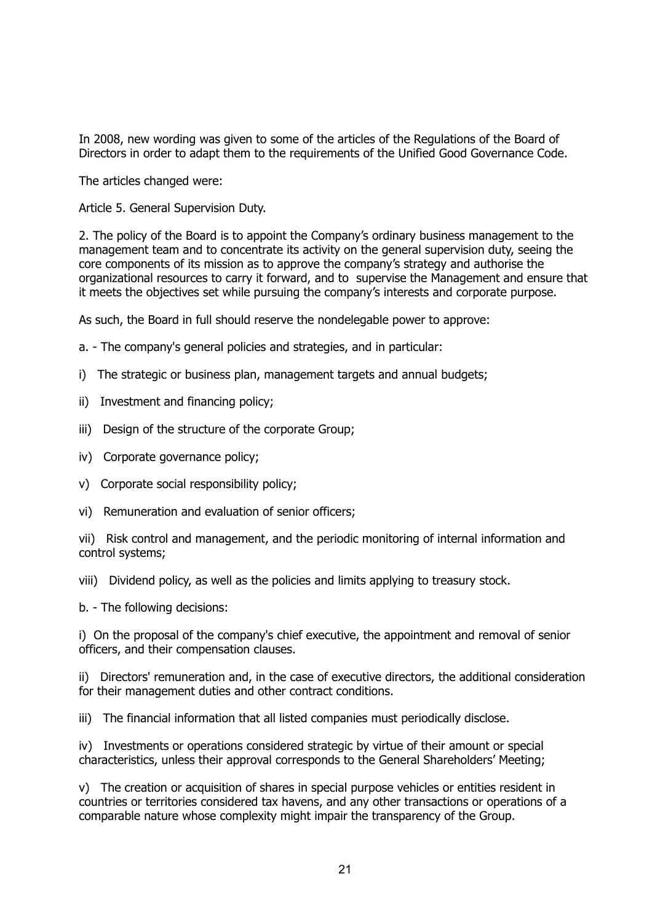In 2008, new wording was given to some of the articles of the Regulations of the Board of Directors in order to adapt them to the requirements of the Unified Good Governance Code.

The articles changed were:

Article 5. General Supervision Duty.

2. The policy of the Board is to appoint the Company's ordinary business management to the management team and to concentrate its activity on the general supervision duty, seeing the core components of its mission as to approve the company's strategy and authorise the organizational resources to carry it forward, and to supervise the Management and ensure that it meets the objectives set while pursuing the company's interests and corporate purpose.

As such, the Board in full should reserve the nondelegable power to approve:

- a. The company's general policies and strategies, and in particular:
- i) The strategic or business plan, management targets and annual budgets;
- ii) Investment and financing policy;
- iii) Design of the structure of the corporate Group;
- iv) Corporate governance policy;
- v) Corporate social responsibility policy;
- vi) Remuneration and evaluation of senior officers;

vii) Risk control and management, and the periodic monitoring of internal information and control systems;

viii) Dividend policy, as well as the policies and limits applying to treasury stock.

b. - The following decisions:

i) On the proposal of the company's chief executive, the appointment and removal of senior officers, and their compensation clauses.

ii) Directors' remuneration and, in the case of executive directors, the additional consideration for their management duties and other contract conditions.

iii) The financial information that all listed companies must periodically disclose.

iv) Investments or operations considered strategic by virtue of their amount or special characteristics, unless their approval corresponds to the General Shareholders' Meeting;

v) The creation or acquisition of shares in special purpose vehicles or entities resident in countries or territories considered tax havens, and any other transactions or operations of a comparable nature whose complexity might impair the transparency of the Group.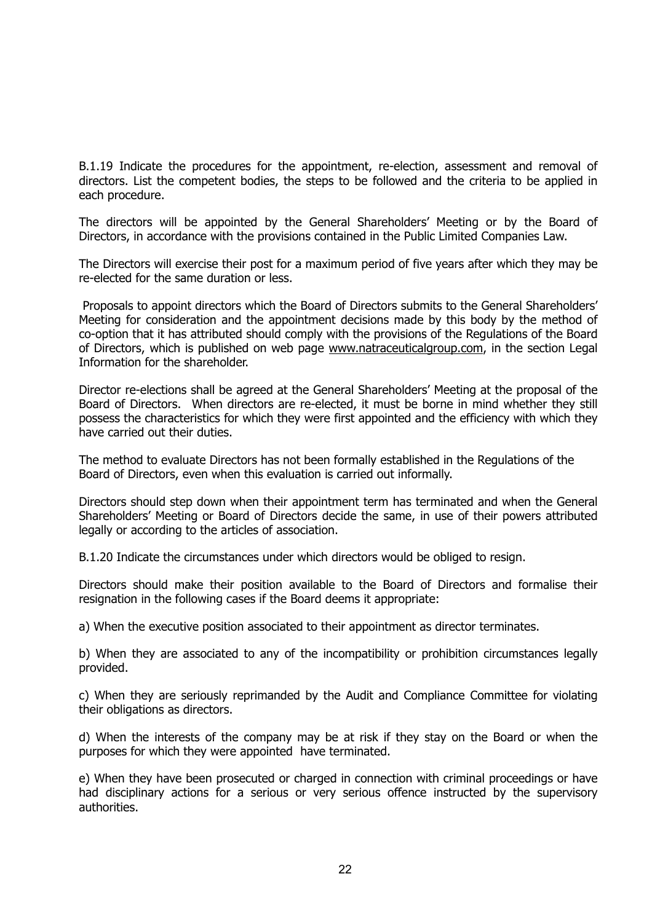B.1.19 Indicate the procedures for the appointment, re-election, assessment and removal of directors. List the competent bodies, the steps to be followed and the criteria to be applied in each procedure.

The directors will be appointed by the General Shareholders' Meeting or by the Board of Directors, in accordance with the provisions contained in the Public Limited Companies Law.

The Directors will exercise their post for a maximum period of five years after which they may be re-elected for the same duration or less.

 Proposals to appoint directors which the Board of Directors submits to the General Shareholders' Meeting for consideration and the appointment decisions made by this body by the method of co-option that it has attributed should comply with the provisions of the Regulations of the Board of Directors, which is published on web page [www.natraceuticalgroup.com,](http://www.natraceuticalgroup.com) in the section Legal Information for the shareholder.

Director re-elections shall be agreed at the General Shareholders' Meeting at the proposal of the Board of Directors. When directors are re-elected, it must be borne in mind whether they still possess the characteristics for which they were first appointed and the efficiency with which they have carried out their duties.

The method to evaluate Directors has not been formally established in the Regulations of the Board of Directors, even when this evaluation is carried out informally.

Directors should step down when their appointment term has terminated and when the General Shareholders' Meeting or Board of Directors decide the same, in use of their powers attributed legally or according to the articles of association.

B.1.20 Indicate the circumstances under which directors would be obliged to resign.

Directors should make their position available to the Board of Directors and formalise their resignation in the following cases if the Board deems it appropriate:

a) When the executive position associated to their appointment as director terminates.

b) When they are associated to any of the incompatibility or prohibition circumstances legally provided.

c) When they are seriously reprimanded by the Audit and Compliance Committee for violating their obligations as directors.

d) When the interests of the company may be at risk if they stay on the Board or when the purposes for which they were appointed have terminated.

e) When they have been prosecuted or charged in connection with criminal proceedings or have had disciplinary actions for a serious or very serious offence instructed by the supervisory authorities.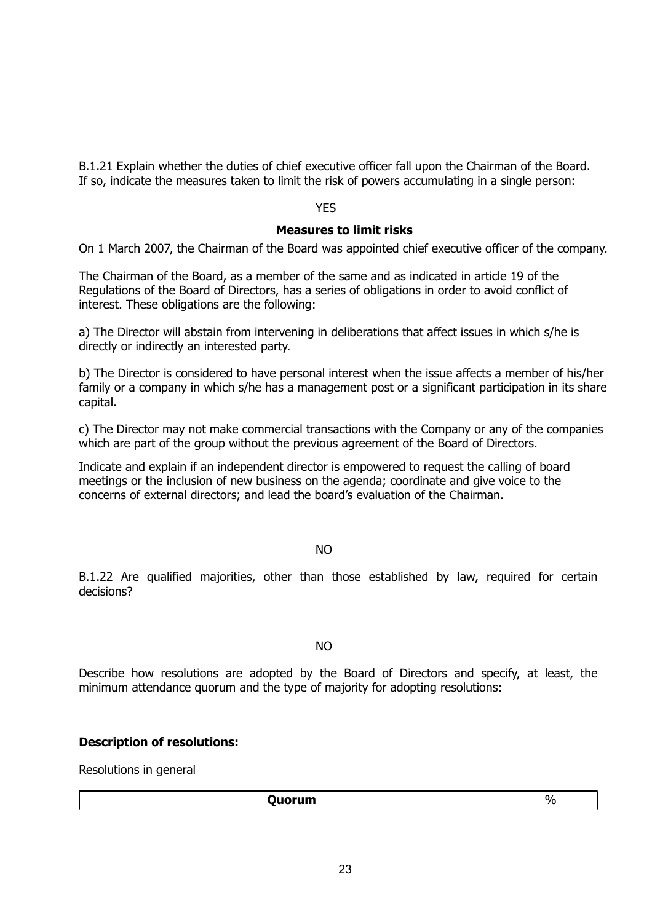B.1.21 Explain whether the duties of chief executive officer fall upon the Chairman of the Board. If so, indicate the measures taken to limit the risk of powers accumulating in a single person:

#### YES

## **Measures to limit risks**

On 1 March 2007, the Chairman of the Board was appointed chief executive officer of the company.

The Chairman of the Board, as a member of the same and as indicated in article 19 of the Regulations of the Board of Directors, has a series of obligations in order to avoid conflict of interest. These obligations are the following:

a) The Director will abstain from intervening in deliberations that affect issues in which s/he is directly or indirectly an interested party.

b) The Director is considered to have personal interest when the issue affects a member of his/her family or a company in which s/he has a management post or a significant participation in its share capital.

c) The Director may not make commercial transactions with the Company or any of the companies which are part of the group without the previous agreement of the Board of Directors.

Indicate and explain if an independent director is empowered to request the calling of board meetings or the inclusion of new business on the agenda; coordinate and give voice to the concerns of external directors; and lead the board's evaluation of the Chairman.

#### NO

B.1.22 Are qualified majorities, other than those established by law, required for certain decisions?

#### NO

Describe how resolutions are adopted by the Board of Directors and specify, at least, the minimum attendance quorum and the type of majority for adopting resolutions:

## **Description of resolutions:**

Resolutions in general

| Quorum | $U_{\alpha}$<br>$\overline{\phantom{a}}$ |
|--------|------------------------------------------|
|        |                                          |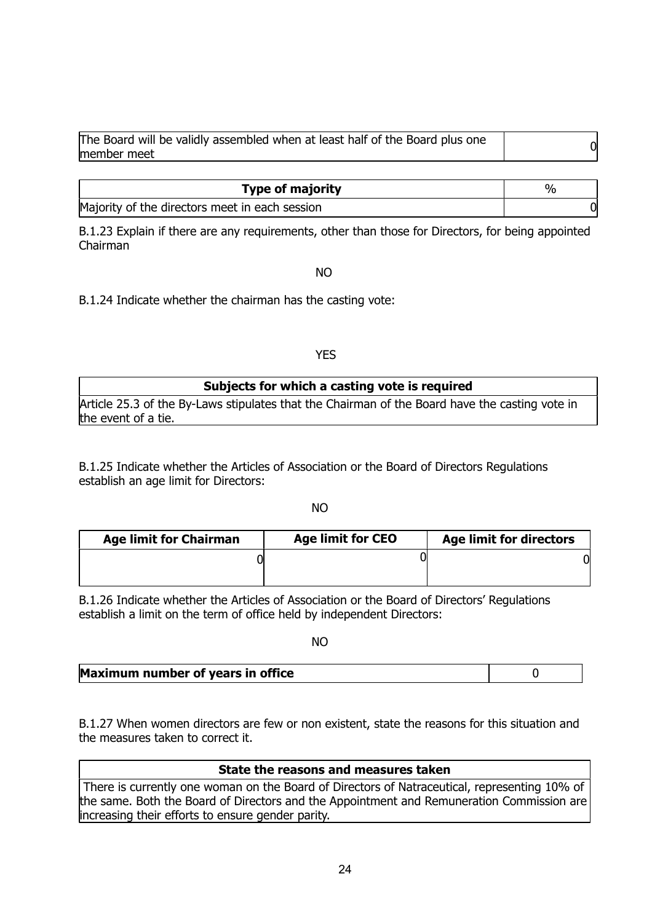| The Board will be validly assembled when at least half of the Board plus one<br>member meet |  |
|---------------------------------------------------------------------------------------------|--|
|                                                                                             |  |

| <b>Type of majority</b>                        | $\%$ |
|------------------------------------------------|------|
| Majority of the directors meet in each session |      |

B.1.23 Explain if there are any requirements, other than those for Directors, for being appointed Chairman

#### NO

B.1.24 Indicate whether the chairman has the casting vote:

## YES

| Subjects for which a casting vote is required                                                  |
|------------------------------------------------------------------------------------------------|
| Article 25.3 of the By-Laws stipulates that the Chairman of the Board have the casting vote in |
| the event of a tie.                                                                            |

B.1.25 Indicate whether the Articles of Association or the Board of Directors Regulations establish an age limit for Directors:

not a series and the series of the series of the series of the series of the series of the series of the series

| <b>Age limit for Chairman</b> | <b>Age limit for CEO</b> | <b>Age limit for directors</b> |
|-------------------------------|--------------------------|--------------------------------|
|                               |                          |                                |
|                               |                          |                                |

B.1.26 Indicate whether the Articles of Association or the Board of Directors' Regulations establish a limit on the term of office held by independent Directors:

#### not a series and the series of the series of the series of the series of the series of the series of the series

| Maximum number of years in office |  |
|-----------------------------------|--|
|-----------------------------------|--|

B.1.27 When women directors are few or non existent, state the reasons for this situation and the measures taken to correct it.

## **State the reasons and measures taken**

 There is currently one woman on the Board of Directors of Natraceutical, representing 10% of the same. Both the Board of Directors and the Appointment and Remuneration Commission are increasing their efforts to ensure gender parity.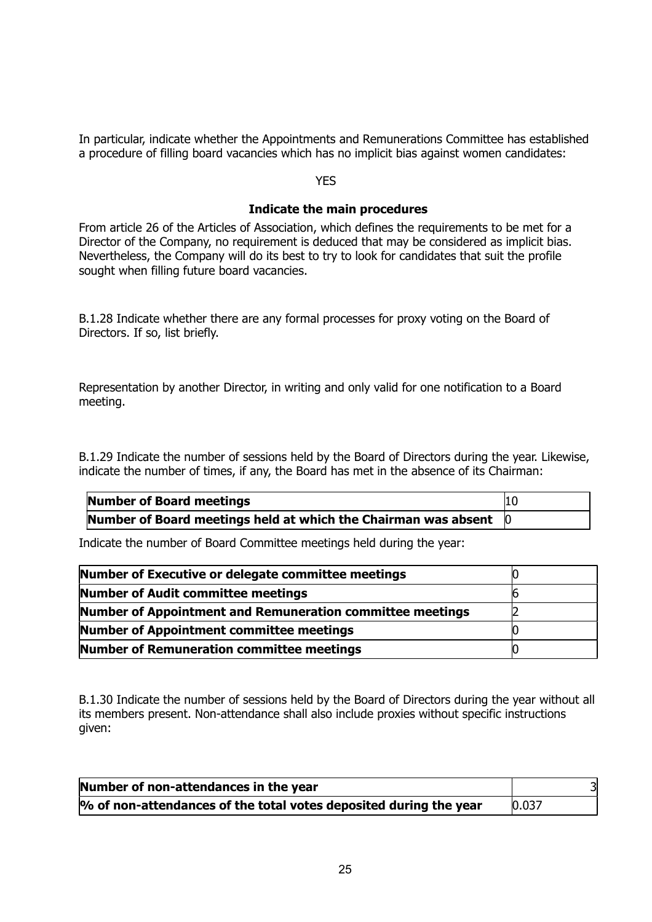In particular, indicate whether the Appointments and Remunerations Committee has established a procedure of filling board vacancies which has no implicit bias against women candidates:

#### **YES**

#### **Indicate the main procedures**

From article 26 of the Articles of Association, which defines the requirements to be met for a Director of the Company, no requirement is deduced that may be considered as implicit bias. Nevertheless, the Company will do its best to try to look for candidates that suit the profile sought when filling future board vacancies.

B.1.28 Indicate whether there are any formal processes for proxy voting on the Board of Directors. If so, list briefly.

Representation by another Director, in writing and only valid for one notification to a Board meeting.

B.1.29 Indicate the number of sessions held by the Board of Directors during the year. Likewise, indicate the number of times, if any, the Board has met in the absence of its Chairman:

| Number of Board meetings                                                       | 10 |
|--------------------------------------------------------------------------------|----|
| Number of Board meetings held at which the Chairman was absent $\vert 0 \vert$ |    |

Indicate the number of Board Committee meetings held during the year:

| Number of Executive or delegate committee meetings        |  |
|-----------------------------------------------------------|--|
| Number of Audit committee meetings                        |  |
| Number of Appointment and Remuneration committee meetings |  |
| <b>Number of Appointment committee meetings</b>           |  |
| Number of Remuneration committee meetings                 |  |

B.1.30 Indicate the number of sessions held by the Board of Directors during the year without all its members present. Non-attendance shall also include proxies without specific instructions given:

| Number of non-attendances in the year                             | 31    |
|-------------------------------------------------------------------|-------|
| % of non-attendances of the total votes deposited during the year | 0.037 |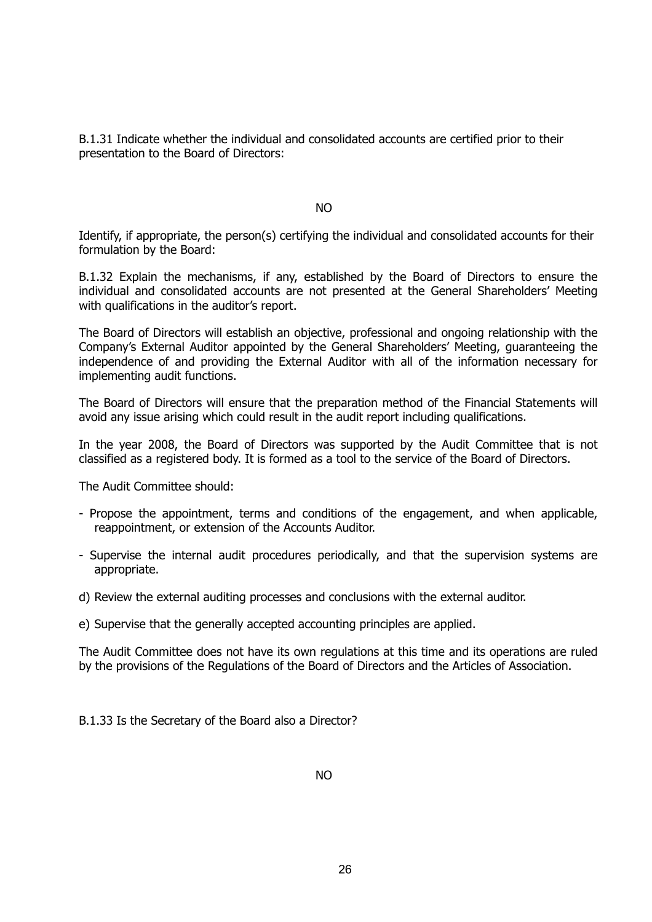B.1.31 Indicate whether the individual and consolidated accounts are certified prior to their presentation to the Board of Directors:

NO

Identify, if appropriate, the person(s) certifying the individual and consolidated accounts for their formulation by the Board:

B.1.32 Explain the mechanisms, if any, established by the Board of Directors to ensure the individual and consolidated accounts are not presented at the General Shareholders' Meeting with qualifications in the auditor's report.

The Board of Directors will establish an objective, professional and ongoing relationship with the Company's External Auditor appointed by the General Shareholders' Meeting, guaranteeing the independence of and providing the External Auditor with all of the information necessary for implementing audit functions.

The Board of Directors will ensure that the preparation method of the Financial Statements will avoid any issue arising which could result in the audit report including qualifications.

In the year 2008, the Board of Directors was supported by the Audit Committee that is not classified as a registered body. It is formed as a tool to the service of the Board of Directors.

The Audit Committee should:

- Propose the appointment, terms and conditions of the engagement, and when applicable, reappointment, or extension of the Accounts Auditor.
- Supervise the internal audit procedures periodically, and that the supervision systems are appropriate.
- d) Review the external auditing processes and conclusions with the external auditor.

e) Supervise that the generally accepted accounting principles are applied.

The Audit Committee does not have its own regulations at this time and its operations are ruled by the provisions of the Regulations of the Board of Directors and the Articles of Association.

B.1.33 Is the Secretary of the Board also a Director?

NO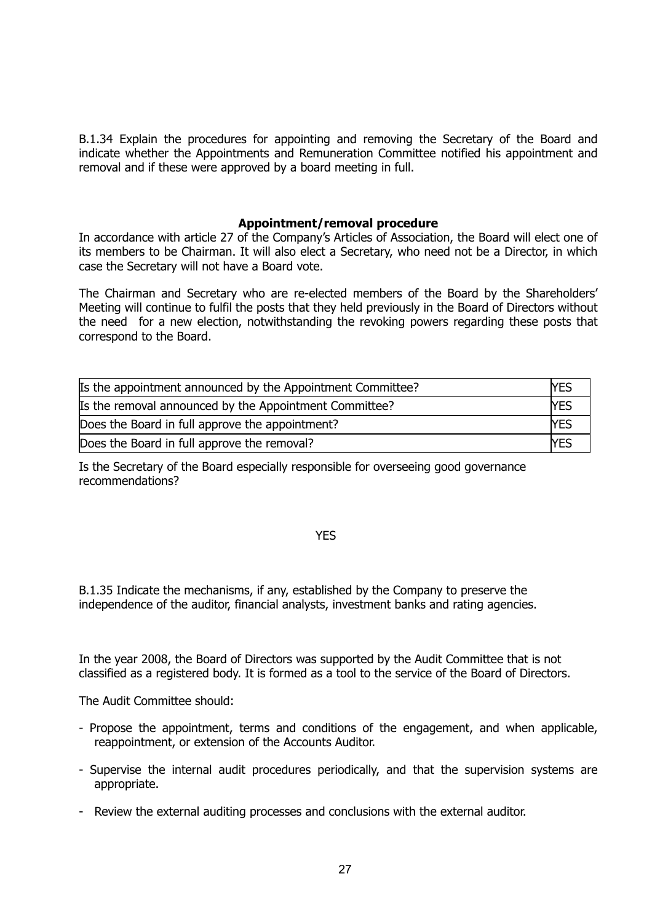B.1.34 Explain the procedures for appointing and removing the Secretary of the Board and indicate whether the Appointments and Remuneration Committee notified his appointment and removal and if these were approved by a board meeting in full.

## **Appointment/removal procedure**

In accordance with article 27 of the Company's Articles of Association, the Board will elect one of its members to be Chairman. It will also elect a Secretary, who need not be a Director, in which case the Secretary will not have a Board vote.

The Chairman and Secretary who are re-elected members of the Board by the Shareholders' Meeting will continue to fulfil the posts that they held previously in the Board of Directors without the need for a new election, notwithstanding the revoking powers regarding these posts that correspond to the Board.

| Is the appointment announced by the Appointment Committee? | lyes |
|------------------------------------------------------------|------|
| Is the removal announced by the Appointment Committee?     | lyes |
| Does the Board in full approve the appointment?            | lYES |
| Does the Board in full approve the removal?                | lyes |

Is the Secretary of the Board especially responsible for overseeing good governance recommendations?

#### YES

B.1.35 Indicate the mechanisms, if any, established by the Company to preserve the independence of the auditor, financial analysts, investment banks and rating agencies.

In the year 2008, the Board of Directors was supported by the Audit Committee that is not classified as a registered body. It is formed as a tool to the service of the Board of Directors.

The Audit Committee should:

- Propose the appointment, terms and conditions of the engagement, and when applicable, reappointment, or extension of the Accounts Auditor.
- Supervise the internal audit procedures periodically, and that the supervision systems are appropriate.
- Review the external auditing processes and conclusions with the external auditor.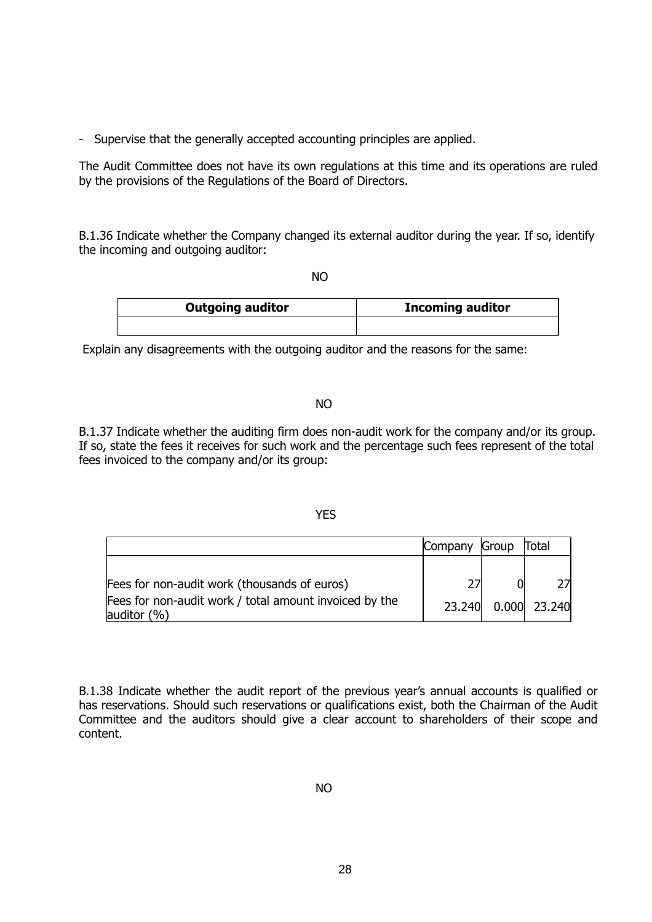- Supervise that the generally accepted accounting principles are applied.

The Audit Committee does not have its own regulations at this time and its operations are ruled by the provisions of the Regulations of the Board of Directors.

B.1.36 Indicate whether the Company changed its external auditor during the year. If so, identify the incoming and outgoing auditor:

not a series and the series of the series of the series of the series of the series of the series of the series

| <b>Outgoing auditor</b> | <b>Incoming auditor</b> |
|-------------------------|-------------------------|
|                         |                         |

Explain any disagreements with the outgoing auditor and the reasons for the same:

#### NO

B.1.37 Indicate whether the auditing firm does non-audit work for the company and/or its group. If so, state the fees it receives for such work and the percentage such fees represent of the total fees invoiced to the company and/or its group:

#### YES

|                                                                           | Company | Group               | Total |  |
|---------------------------------------------------------------------------|---------|---------------------|-------|--|
|                                                                           |         |                     |       |  |
| Fees for non-audit work (thousands of euros)                              |         |                     |       |  |
| Fees for non-audit work / total amount invoiced by the<br>auditor $(\% )$ |         | 23.240 0.000 23.240 |       |  |

B.1.38 Indicate whether the audit report of the previous year's annual accounts is qualified or has reservations. Should such reservations or qualifications exist, both the Chairman of the Audit Committee and the auditors should give a clear account to shareholders of their scope and content.

NO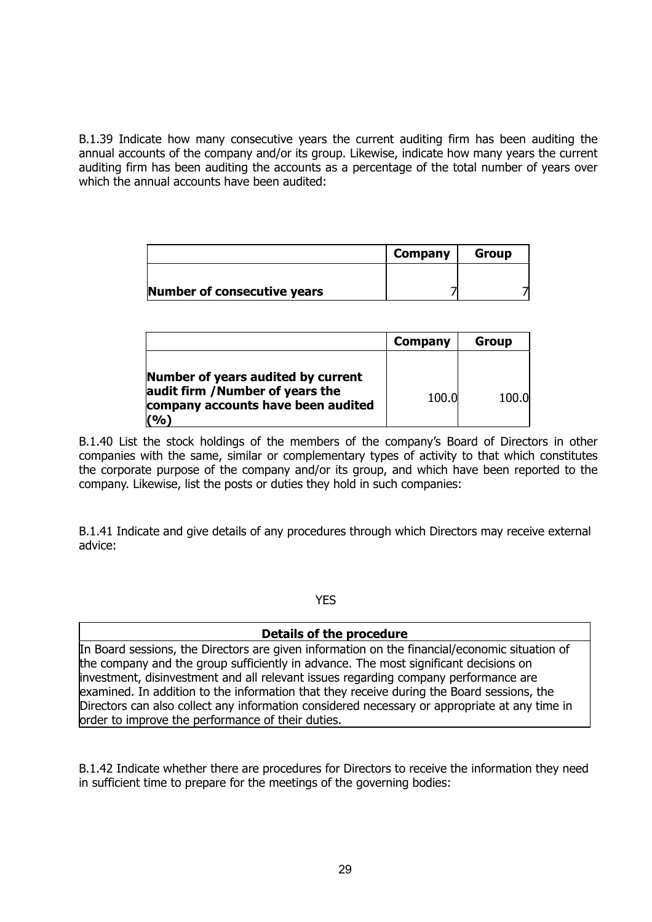B.1.39 Indicate how many consecutive years the current auditing firm has been auditing the annual accounts of the company and/or its group. Likewise, indicate how many years the current auditing firm has been auditing the accounts as a percentage of the total number of years over which the annual accounts have been audited:

|                             | Company | <b>Group</b> |
|-----------------------------|---------|--------------|
|                             |         |              |
| Number of consecutive years |         |              |

|                                                                                                                     | Company | Group |
|---------------------------------------------------------------------------------------------------------------------|---------|-------|
| Number of years audited by current<br>audit firm / Number of years the<br>company accounts have been audited<br>(%) | 100.0   | 100.0 |

B.1.40 List the stock holdings of the members of the company's Board of Directors in other companies with the same, similar or complementary types of activity to that which constitutes the corporate purpose of the company and/or its group, and which have been reported to the company. Likewise, list the posts or duties they hold in such companies:

B.1.41 Indicate and give details of any procedures through which Directors may receive external advice:

YES

## **Details of the procedure**

In Board sessions, the Directors are given information on the financial/economic situation of the company and the group sufficiently in advance. The most significant decisions on investment, disinvestment and all relevant issues regarding company performance are examined. In addition to the information that they receive during the Board sessions, the Directors can also collect any information considered necessary or appropriate at any time in order to improve the performance of their duties.

B.1.42 Indicate whether there are procedures for Directors to receive the information they need in sufficient time to prepare for the meetings of the governing bodies: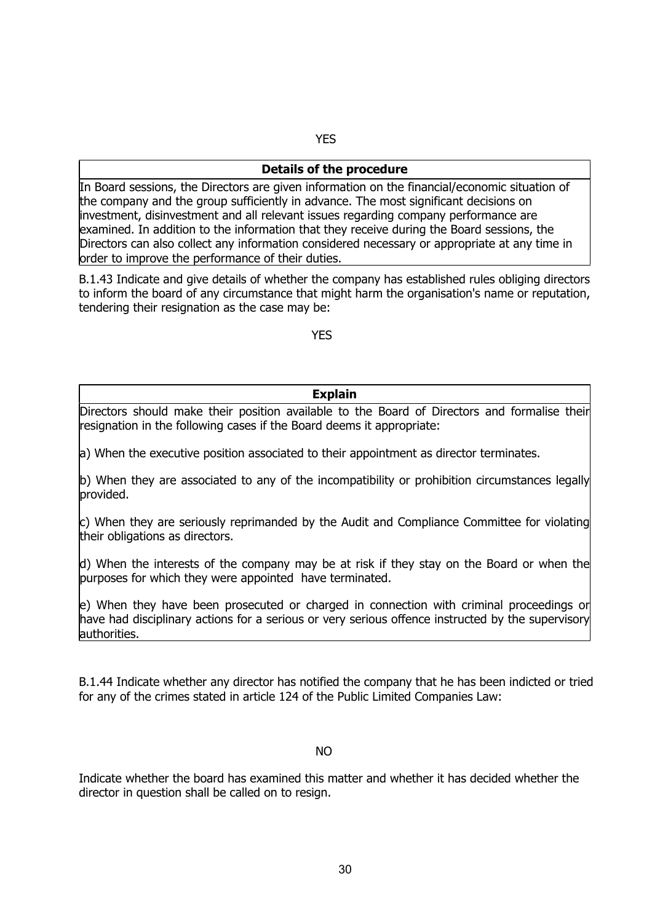## YES

#### **Details of the procedure**

In Board sessions, the Directors are given information on the financial/economic situation of the company and the group sufficiently in advance. The most significant decisions on investment, disinvestment and all relevant issues regarding company performance are examined. In addition to the information that they receive during the Board sessions, the Directors can also collect any information considered necessary or appropriate at any time in order to improve the performance of their duties.

B.1.43 Indicate and give details of whether the company has established rules obliging directors to inform the board of any circumstance that might harm the organisation's name or reputation, tendering their resignation as the case may be:

**The Community of the Community of the Community of the Community of the Community of the Community of the Community** 

## **Explain**

Directors should make their position available to the Board of Directors and formalise their resignation in the following cases if the Board deems it appropriate:

a) When the executive position associated to their appointment as director terminates.

b) When they are associated to any of the incompatibility or prohibition circumstances legally provided.

c) When they are seriously reprimanded by the Audit and Compliance Committee for violating their obligations as directors.

d) When the interests of the company may be at risk if they stay on the Board or when the purposes for which they were appointed have terminated.

e) When they have been prosecuted or charged in connection with criminal proceedings or have had disciplinary actions for a serious or very serious offence instructed by the supervisory authorities.

B.1.44 Indicate whether any director has notified the company that he has been indicted or tried for any of the crimes stated in article 124 of the Public Limited Companies Law:

#### $N<sub>O</sub>$

Indicate whether the board has examined this matter and whether it has decided whether the director in question shall be called on to resign.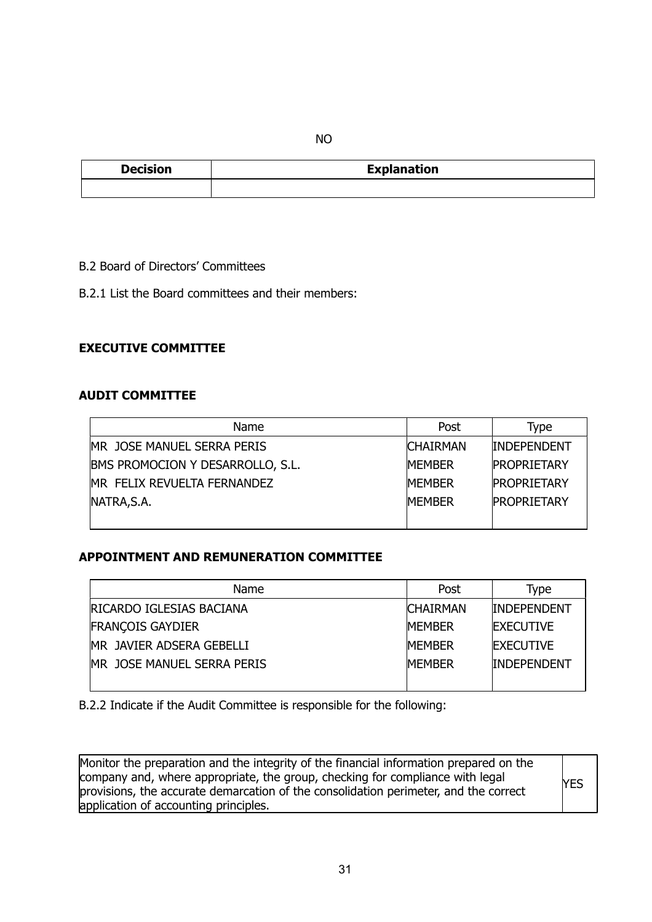NO

| <b>Decision</b> | <b>Explanation</b> |
|-----------------|--------------------|
|                 |                    |

B.2 Board of Directors' Committees

B.2.1 List the Board committees and their members:

## **EXECUTIVE COMMITTEE**

## **AUDIT COMMITTEE**

| Name                             | Post            | Type               |
|----------------------------------|-----------------|--------------------|
| MR JOSE MANUEL SERRA PERIS       | <b>CHAIRMAN</b> | <b>INDEPENDENT</b> |
| BMS PROMOCION Y DESARROLLO, S.L. | <b>MEMBER</b>   | <b>PROPRIETARY</b> |
| MR FELIX REVUELTA FERNANDEZ      | <b>IMEMBER</b>  | <b>PROPRIETARY</b> |
| NATRA, S.A.                      | <b>MEMBER</b>   | <b>PROPRIETARY</b> |
|                                  |                 |                    |

## **APPOINTMENT AND REMUNERATION COMMITTEE**

| Name                            | Post             | Type               |
|---------------------------------|------------------|--------------------|
| <b>RICARDO IGLESIAS BACIANA</b> | <b>ICHAIRMAN</b> | <b>INDEPENDENT</b> |
| <b>FRANÇOIS GAYDIER</b>         | <b>MFMBFR</b>    | <b>IEXECUTIVE</b>  |
| MR JAVIER ADSERA GEBELLI        | <b>MFMBFR</b>    | <b>IEXECUTIVE</b>  |
| MR JOSE MANUEL SERRA PERIS      | <b>MFMBFR</b>    | <b>INDEPENDENT</b> |
|                                 |                  |                    |

B.2.2 Indicate if the Audit Committee is responsible for the following:

Monitor the preparation and the integrity of the financial information prepared on the company and, where appropriate, the group, checking for compliance with legal provisions, the accurate demarcation of the consolidation perimeter, and the correct application of accounting principles. YES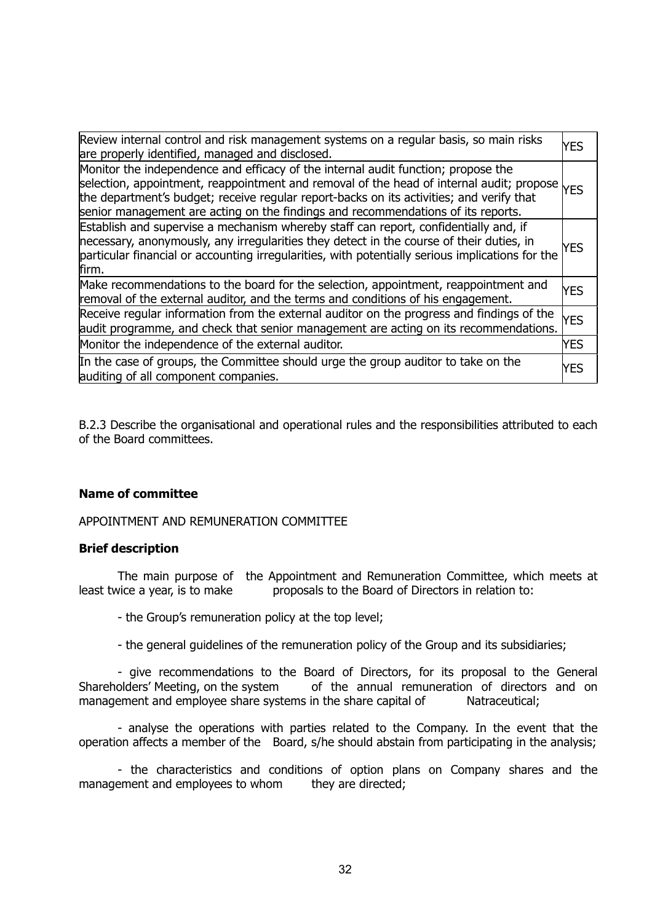| Review internal control and risk management systems on a regular basis, so main risks<br>are properly identified, managed and disclosed.                                                                                                                                                                                                                      | lyes       |
|---------------------------------------------------------------------------------------------------------------------------------------------------------------------------------------------------------------------------------------------------------------------------------------------------------------------------------------------------------------|------------|
| Monitor the independence and efficacy of the internal audit function; propose the<br>selection, appointment, reappointment and removal of the head of internal audit; propose<br>the department's budget; receive regular report-backs on its activities; and verify that<br>senior management are acting on the findings and recommendations of its reports. | <b>YES</b> |
| Establish and supervise a mechanism whereby staff can report, confidentially and, if<br>necessary, anonymously, any irregularities they detect in the course of their duties, in<br>particular financial or accounting irregularities, with potentially serious implications for the<br>firm.                                                                 | YES        |
| Make recommendations to the board for the selection, appointment, reappointment and<br>removal of the external auditor, and the terms and conditions of his engagement.                                                                                                                                                                                       | YES        |
| Receive regular information from the external auditor on the progress and findings of the<br>audit programme, and check that senior management are acting on its recommendations.                                                                                                                                                                             | <b>YES</b> |
| Monitor the independence of the external auditor.                                                                                                                                                                                                                                                                                                             | <b>YES</b> |
| In the case of groups, the Committee should urge the group auditor to take on the<br>auditing of all component companies.                                                                                                                                                                                                                                     | YES        |

B.2.3 Describe the organisational and operational rules and the responsibilities attributed to each of the Board committees.

## **Name of committee**

APPOINTMENT AND REMUNERATION COMMITTEE

## **Brief description**

 The main purpose of the Appointment and Remuneration Committee, which meets at least twice a year, is to make proposals to the Board of Directors in relation to:

- the Group's remuneration policy at the top level;

- the general guidelines of the remuneration policy of the Group and its subsidiaries;

 - give recommendations to the Board of Directors, for its proposal to the General Shareholders' Meeting, on the system of the annual remuneration of directors and on management and employee share systems in the share capital of Natraceutical;

 - analyse the operations with parties related to the Company. In the event that the operation affects a member of the Board, s/he should abstain from participating in the analysis;

 - the characteristics and conditions of option plans on Company shares and the management and employees to whom they are directed;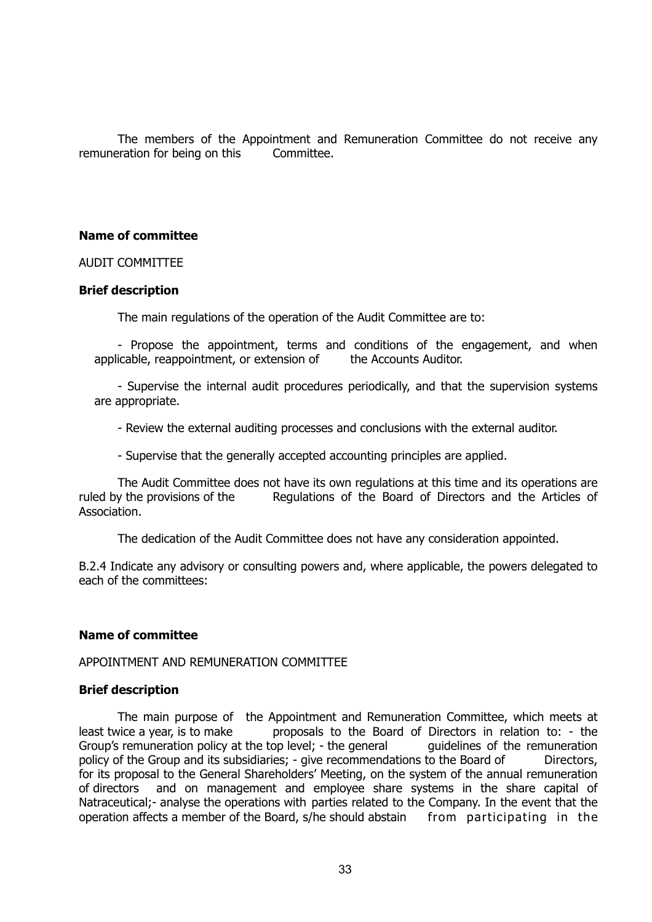The members of the Appointment and Remuneration Committee do not receive any remuneration for being on this Committee.

## **Name of committee**

AUDIT COMMITTEE

#### **Brief description**

The main regulations of the operation of the Audit Committee are to:

 - Propose the appointment, terms and conditions of the engagement, and when applicable, reappointment, or extension of the Accounts Auditor.

 - Supervise the internal audit procedures periodically, and that the supervision systems are appropriate.

- Review the external auditing processes and conclusions with the external auditor.

- Supervise that the generally accepted accounting principles are applied.

 The Audit Committee does not have its own regulations at this time and its operations are ruled by the provisions of the Regulations of the Board of Directors and the Articles of Association.

The dedication of the Audit Committee does not have any consideration appointed.

B.2.4 Indicate any advisory or consulting powers and, where applicable, the powers delegated to each of the committees:

## **Name of committee**

#### APPOINTMENT AND REMUNERATION COMMITTEE

## **Brief description**

 The main purpose of the Appointment and Remuneration Committee, which meets at least twice a year, is to make proposals to the Board of Directors in relation to: - the Group's remuneration policy at the top level; - the general quidelines of the remuneration policy of the Group and its subsidiaries; - give recommendations to the Board of Directors, for its proposal to the General Shareholders' Meeting, on the system of the annual remuneration of directors and on management and employee share systems in the share capital of Natraceutical;- analyse the operations with parties related to the Company. In the event that the operation affects a member of the Board, s/he should abstain from participating in the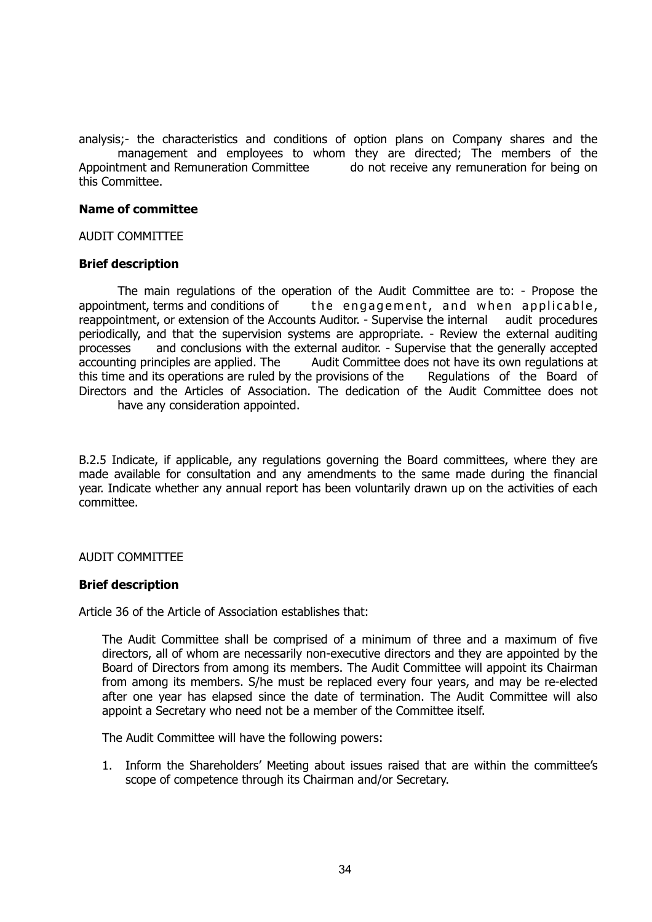analysis;- the characteristics and conditions of option plans on Company shares and the management and employees to whom they are directed; The members of the Appointment and Remuneration Committee do not receive any remuneration for being on this Committee.

#### **Name of committee**

AUDIT COMMITTEE

#### **Brief description**

The main regulations of the operation of the Audit Committee are to: - Propose the appointment, terms and conditions of the engagement, and when applicable, reappointment, or extension of the Accounts Auditor. - Supervise the internal audit procedures periodically, and that the supervision systems are appropriate. - Review the external auditing processes and conclusions with the external auditor. - Supervise that the generally accepted accounting principles are applied. The Audit Committee does not have its own regulations at this time and its operations are ruled by the provisions of the Regulations of the Board of Directors and the Articles of Association. The dedication of the Audit Committee does not have any consideration appointed.

B.2.5 Indicate, if applicable, any regulations governing the Board committees, where they are made available for consultation and any amendments to the same made during the financial year. Indicate whether any annual report has been voluntarily drawn up on the activities of each committee.

## AUDIT COMMITTEE

#### **Brief description**

Article 36 of the Article of Association establishes that:

 The Audit Committee shall be comprised of a minimum of three and a maximum of five directors, all of whom are necessarily non-executive directors and they are appointed by the Board of Directors from among its members. The Audit Committee will appoint its Chairman from among its members. S/he must be replaced every four years, and may be re-elected after one year has elapsed since the date of termination. The Audit Committee will also appoint a Secretary who need not be a member of the Committee itself.

The Audit Committee will have the following powers:

1. Inform the Shareholders' Meeting about issues raised that are within the committee's scope of competence through its Chairman and/or Secretary.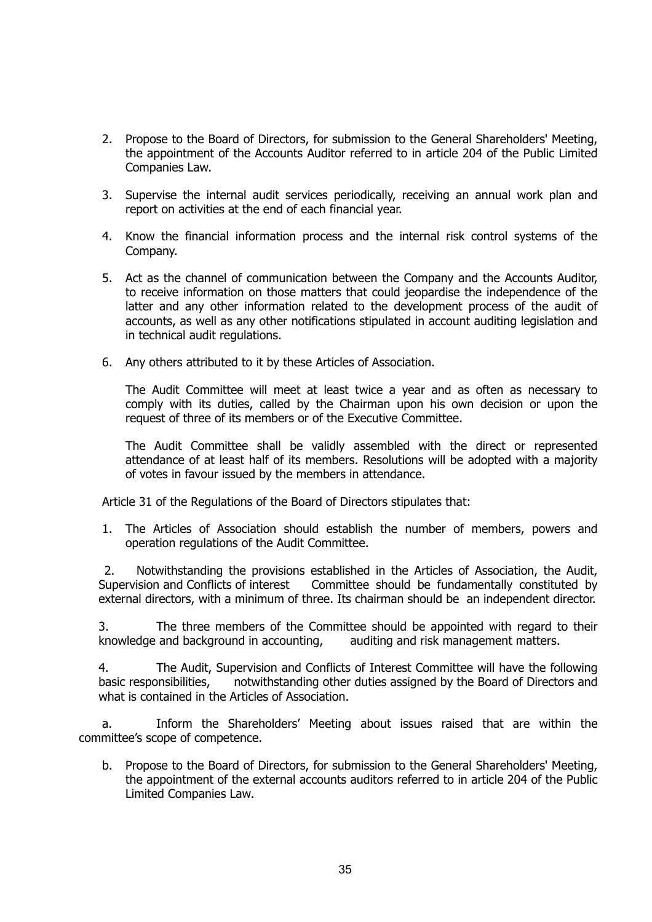- 2. Propose to the Board of Directors, for submission to the General Shareholders' Meeting, the appointment of the Accounts Auditor referred to in article 204 of the Public Limited Companies Law.
- 3. Supervise the internal audit services periodically, receiving an annual work plan and report on activities at the end of each financial year.
- 4. Know the financial information process and the internal risk control systems of the Company.
- 5. Act as the channel of communication between the Company and the Accounts Auditor, to receive information on those matters that could jeopardise the independence of the latter and any other information related to the development process of the audit of accounts, as well as any other notifications stipulated in account auditing legislation and in technical audit regulations.
- 6. Any others attributed to it by these Articles of Association.

 The Audit Committee will meet at least twice a year and as often as necessary to comply with its duties, called by the Chairman upon his own decision or upon the request of three of its members or of the Executive Committee.

 The Audit Committee shall be validly assembled with the direct or represented attendance of at least half of its members. Resolutions will be adopted with a majority of votes in favour issued by the members in attendance.

Article 31 of the Regulations of the Board of Directors stipulates that:

1. The Articles of Association should establish the number of members, powers and operation regulations of the Audit Committee.

 2. Notwithstanding the provisions established in the Articles of Association, the Audit, Supervision and Conflicts of interest Committee should be fundamentally constituted by external directors, with a minimum of three. Its chairman should be an independent director.

 3. The three members of the Committee should be appointed with regard to their knowledge and background in accounting, auditing and risk management matters.

 4. The Audit, Supervision and Conflicts of Interest Committee will have the following basic responsibilities, notwithstanding other duties assigned by the Board of Directors and what is contained in the Articles of Association.

a. Inform the Shareholders' Meeting about issues raised that are within the committee's scope of competence.

b. Propose to the Board of Directors, for submission to the General Shareholders' Meeting, the appointment of the external accounts auditors referred to in article 204 of the Public Limited Companies Law.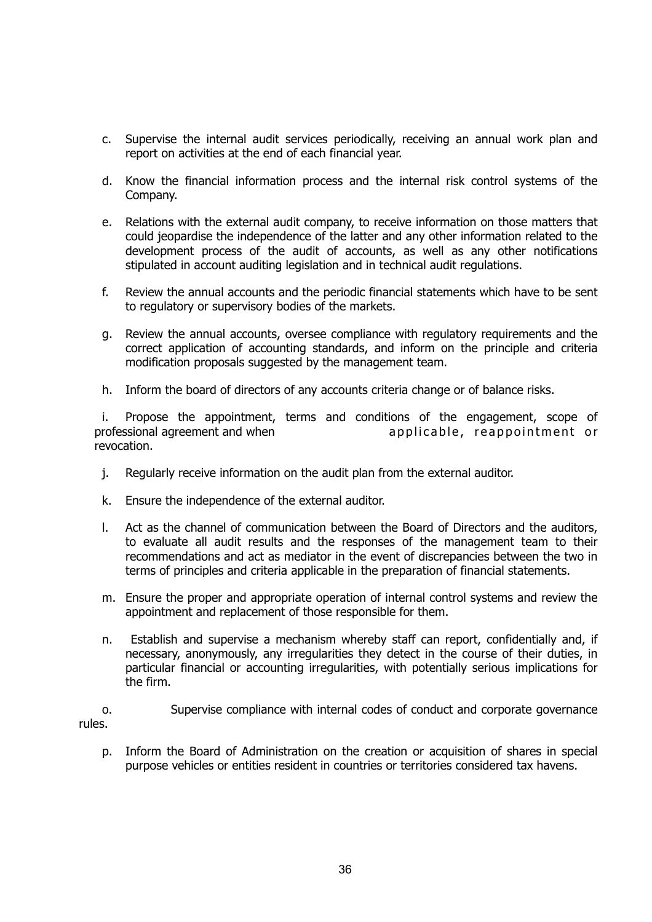- c. Supervise the internal audit services periodically, receiving an annual work plan and report on activities at the end of each financial year.
- d. Know the financial information process and the internal risk control systems of the Company.
- e. Relations with the external audit company, to receive information on those matters that could jeopardise the independence of the latter and any other information related to the development process of the audit of accounts, as well as any other notifications stipulated in account auditing legislation and in technical audit regulations.
- f. Review the annual accounts and the periodic financial statements which have to be sent to regulatory or supervisory bodies of the markets.
- g. Review the annual accounts, oversee compliance with regulatory requirements and the correct application of accounting standards, and inform on the principle and criteria modification proposals suggested by the management team.
- h. Inform the board of directors of any accounts criteria change or of balance risks.

i. Propose the appointment, terms and conditions of the engagement, scope of professional agreement and when and applicable, reappointment or revocation.

- j. Regularly receive information on the audit plan from the external auditor.
- k. Ensure the independence of the external auditor.
- l. Act as the channel of communication between the Board of Directors and the auditors, to evaluate all audit results and the responses of the management team to their recommendations and act as mediator in the event of discrepancies between the two in terms of principles and criteria applicable in the preparation of financial statements.
- m. Ensure the proper and appropriate operation of internal control systems and review the appointment and replacement of those responsible for them.
- n. Establish and supervise a mechanism whereby staff can report, confidentially and, if necessary, anonymously, any irregularities they detect in the course of their duties, in particular financial or accounting irregularities, with potentially serious implications for the firm.
- o. Supervise compliance with internal codes of conduct and corporate governance rules.
	- p. Inform the Board of Administration on the creation or acquisition of shares in special purpose vehicles or entities resident in countries or territories considered tax havens.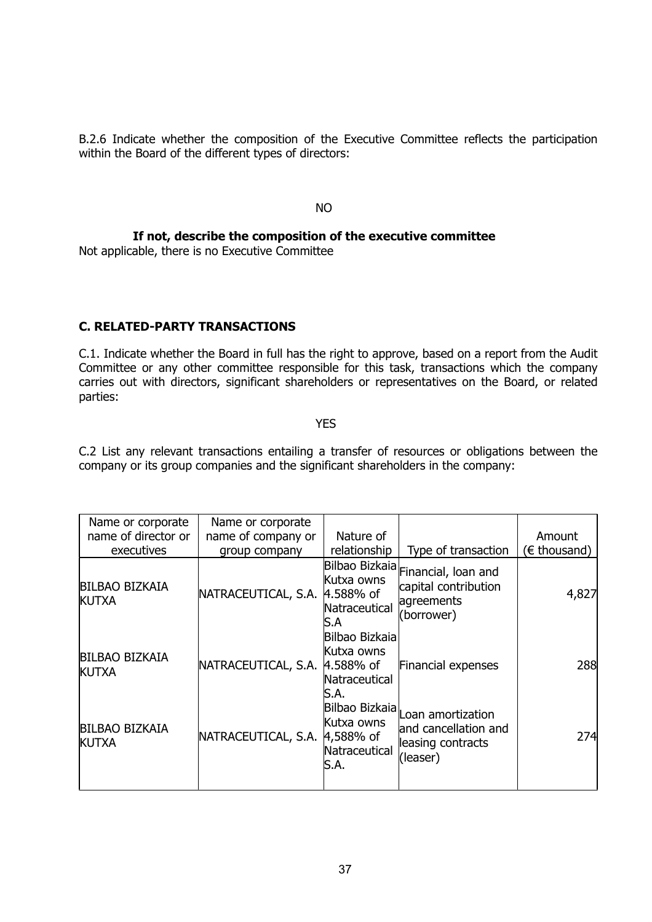B.2.6 Indicate whether the composition of the Executive Committee reflects the participation within the Board of the different types of directors:

NO

**If not, describe the composition of the executive committee**

Not applicable, there is no Executive Committee

## **C. RELATED-PARTY TRANSACTIONS**

C.1. Indicate whether the Board in full has the right to approve, based on a report from the Audit Committee or any other committee responsible for this task, transactions which the company carries out with directors, significant shareholders or representatives on the Board, or related parties:

YES

C.2 List any relevant transactions entailing a transfer of resources or obligations between the company or its group companies and the significant shareholders in the company:

| Name or corporate                     | Name or corporate   |                                                                     |                                                                                           |              |
|---------------------------------------|---------------------|---------------------------------------------------------------------|-------------------------------------------------------------------------------------------|--------------|
| name of director or                   | name of company or  | Nature of                                                           |                                                                                           | Amount       |
| executives                            | group company       | relationship                                                        | Type of transaction                                                                       | (€ thousand) |
| <b>BILBAO BIZKAIA</b><br><b>KUTXA</b> | NATRACEUTICAL, S.A. | Kutxa owns<br>4.588% of<br>Natraceutical<br>ß.A                     | Bilbao Bizkaia Financial, Ioan and<br>capital contribution<br>agreements<br>(borrower)    | 4,827        |
| <b>BILBAO BIZKAIA</b><br><b>KUTXA</b> | NATRACEUTICAL, S.A. | Bilbao Bizkaia<br>Kutxa owns<br>4.588% of<br>Natraceutical<br>lS.A. | Financial expenses                                                                        | 288          |
| <b>BILBAO BIZKAIA</b><br><b>KUTXA</b> | NATRACEUTICAL, S.A. | Kutxa owns<br>$4,588%$ of<br>Natraceutical<br>S.A.                  | Bilbao Bizkaia Loan amortization<br>and cancellation and<br>leasing contracts<br>(leaser) | 274          |
|                                       |                     |                                                                     |                                                                                           |              |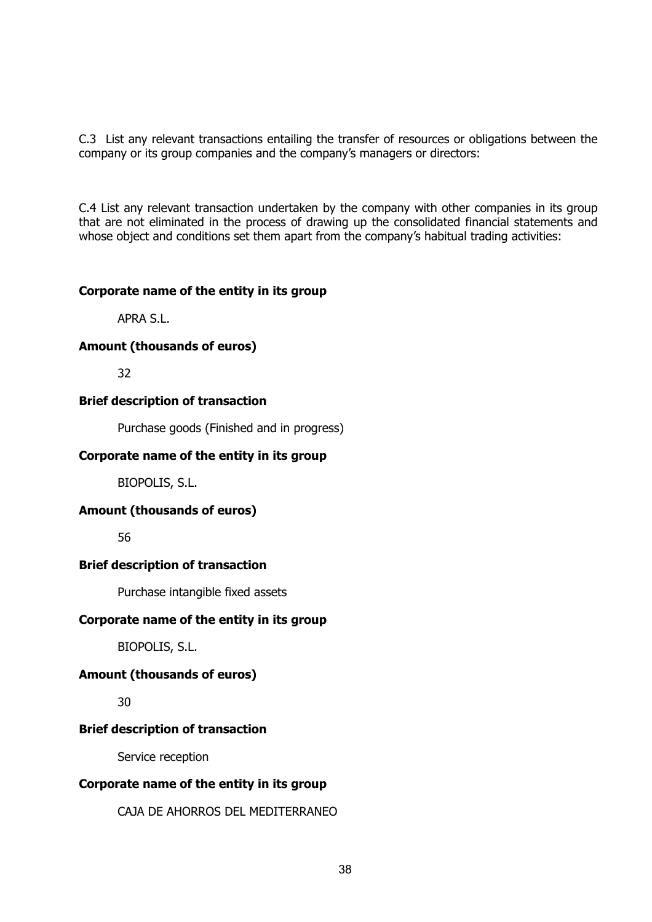C.3 List any relevant transactions entailing the transfer of resources or obligations between the company or its group companies and the company's managers or directors:

C.4 List any relevant transaction undertaken by the company with other companies in its group that are not eliminated in the process of drawing up the consolidated financial statements and whose object and conditions set them apart from the company's habitual trading activities:

## **Corporate name of the entity in its group**

APRA S.L.

## **Amount (thousands of euros)**

32

## **Brief description of transaction**

Purchase goods (Finished and in progress)

## **Corporate name of the entity in its group**

BIOPOLIS, S.L.

## **Amount (thousands of euros)**

56

## **Brief description of transaction**

Purchase intangible fixed assets

## **Corporate name of the entity in its group**

BIOPOLIS, S.L.

## **Amount (thousands of euros)**

30

## **Brief description of transaction**

Service reception

## **Corporate name of the entity in its group**

CAJA DE AHORROS DEL MEDITERRANEO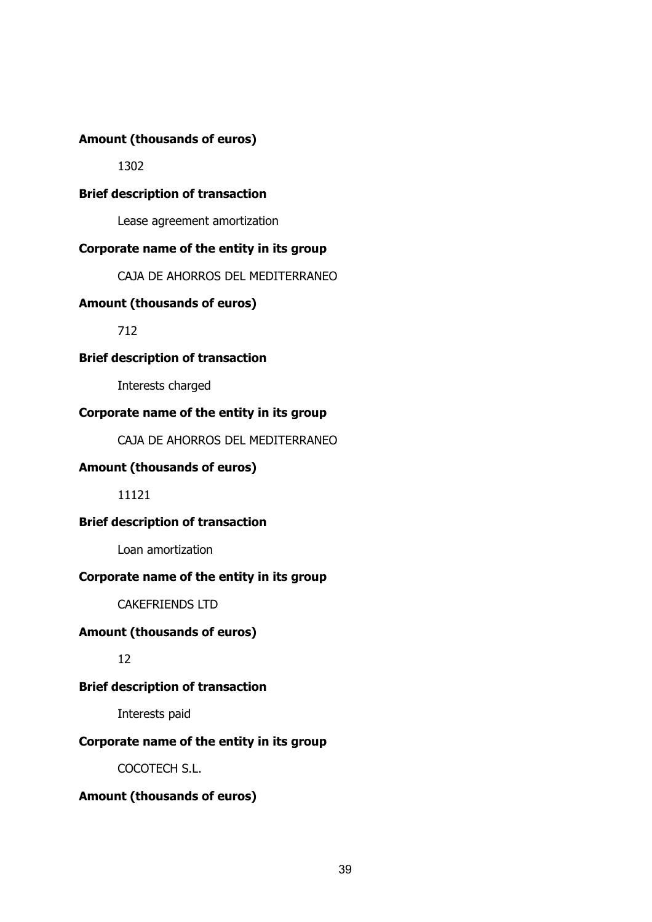## **Amount (thousands of euros)**

1302

## **Brief description of transaction**

Lease agreement amortization

## **Corporate name of the entity in its group**

CAJA DE AHORROS DEL MEDITERRANEO

## **Amount (thousands of euros)**

712

## **Brief description of transaction**

Interests charged

## **Corporate name of the entity in its group**

CAJA DE AHORROS DEL MEDITERRANEO

## **Amount (thousands of euros)**

11121

## **Brief description of transaction**

Loan amortization

## **Corporate name of the entity in its group**

CAKEFRIENDS LTD

## **Amount (thousands of euros)**

12

## **Brief description of transaction**

Interests paid

## **Corporate name of the entity in its group**

COCOTECH S.L.

## **Amount (thousands of euros)**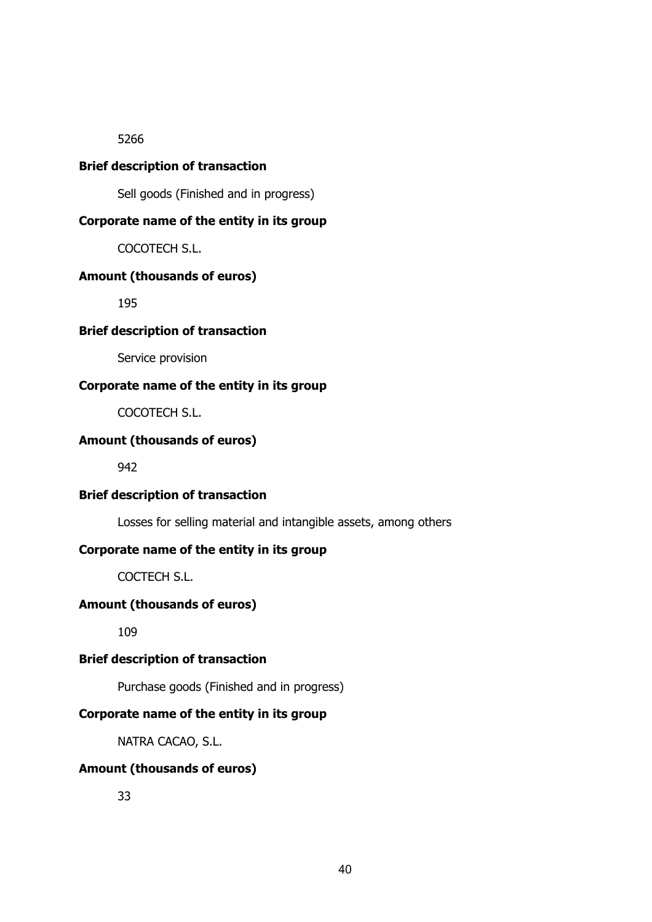5266

## **Brief description of transaction**

Sell goods (Finished and in progress)

## **Corporate name of the entity in its group**

COCOTECH S.L.

#### **Amount (thousands of euros)**

195

## **Brief description of transaction**

Service provision

## **Corporate name of the entity in its group**

COCOTECH S.L.

## **Amount (thousands of euros)**

942

## **Brief description of transaction**

Losses for selling material and intangible assets, among others

## **Corporate name of the entity in its group**

COCTECH S.L.

#### **Amount (thousands of euros)**

109

## **Brief description of transaction**

Purchase goods (Finished and in progress)

## **Corporate name of the entity in its group**

NATRA CACAO, S.L.

#### **Amount (thousands of euros)**

33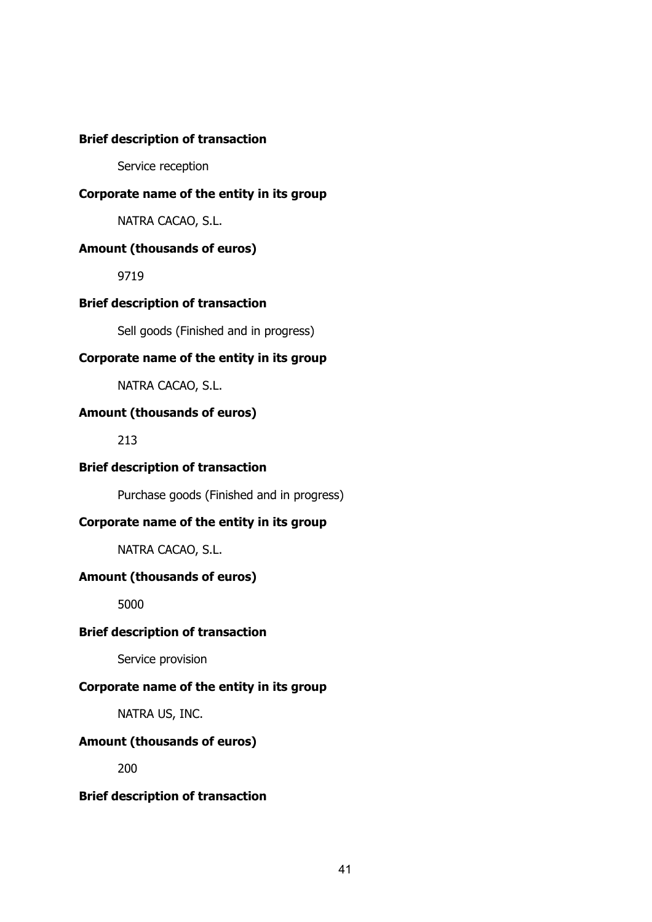## **Brief description of transaction**

Service reception

## **Corporate name of the entity in its group**

NATRA CACAO, S.L.

## **Amount (thousands of euros)**

9719

## **Brief description of transaction**

Sell goods (Finished and in progress)

## **Corporate name of the entity in its group**

NATRA CACAO, S.L.

## **Amount (thousands of euros)**

213

## **Brief description of transaction**

Purchase goods (Finished and in progress)

## **Corporate name of the entity in its group**

NATRA CACAO, S.L.

## **Amount (thousands of euros)**

5000

## **Brief description of transaction**

Service provision

## **Corporate name of the entity in its group**

NATRA US, INC.

## **Amount (thousands of euros)**

200

## **Brief description of transaction**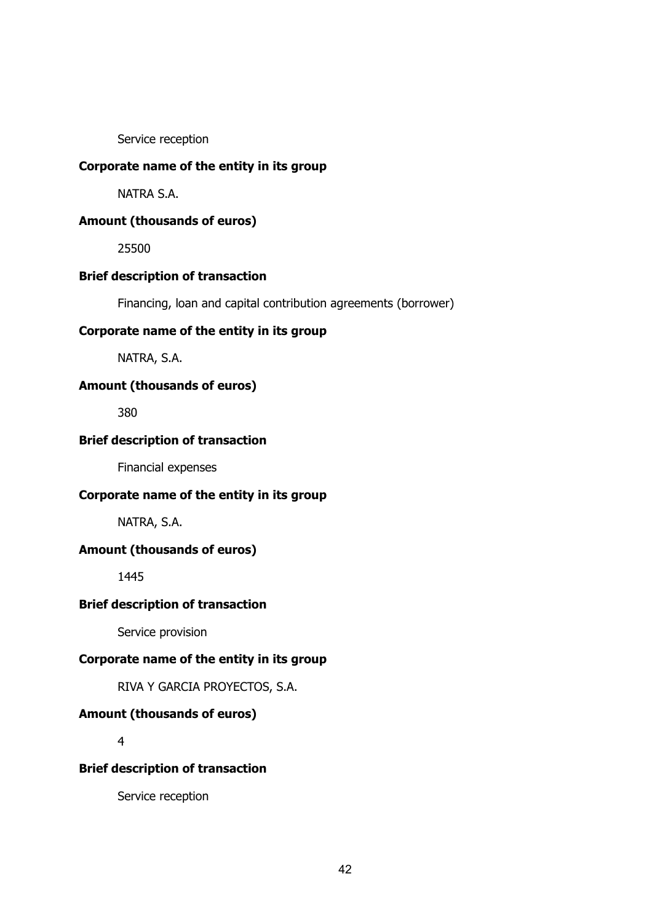Service reception

## **Corporate name of the entity in its group**

NATRA S.A.

## **Amount (thousands of euros)**

25500

#### **Brief description of transaction**

Financing, loan and capital contribution agreements (borrower)

## **Corporate name of the entity in its group**

NATRA, S.A.

## **Amount (thousands of euros)**

380

## **Brief description of transaction**

Financial expenses

#### **Corporate name of the entity in its group**

NATRA, S.A.

#### **Amount (thousands of euros)**

1445

## **Brief description of transaction**

Service provision

## **Corporate name of the entity in its group**

RIVA Y GARCIA PROYECTOS, S.A.

#### **Amount (thousands of euros)**

4

#### **Brief description of transaction**

Service reception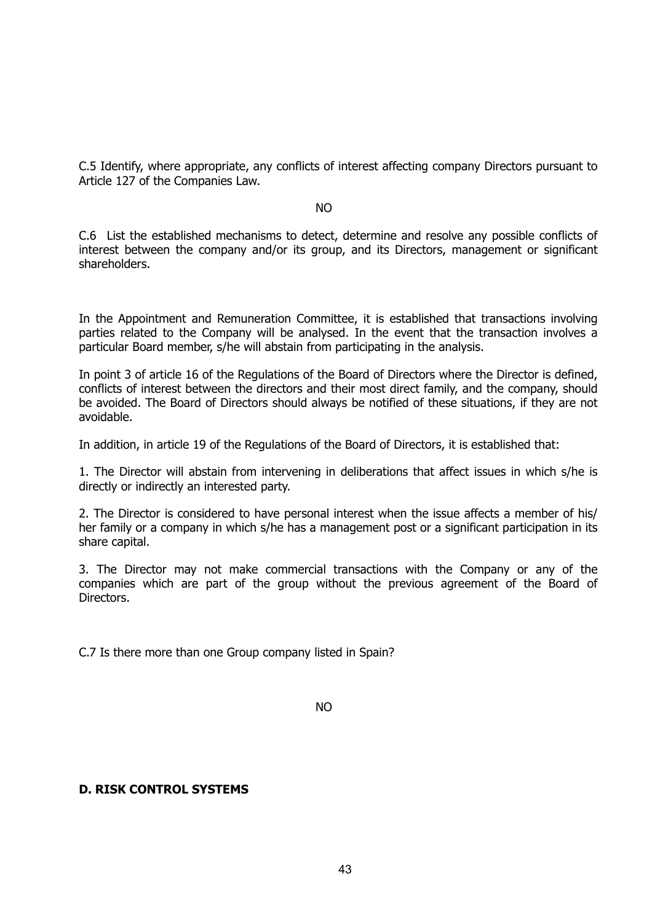C.5 Identify, where appropriate, any conflicts of interest affecting company Directors pursuant to Article 127 of the Companies Law.

#### NO

C.6 List the established mechanisms to detect, determine and resolve any possible conflicts of interest between the company and/or its group, and its Directors, management or significant shareholders.

In the Appointment and Remuneration Committee, it is established that transactions involving parties related to the Company will be analysed. In the event that the transaction involves a particular Board member, s/he will abstain from participating in the analysis.

In point 3 of article 16 of the Regulations of the Board of Directors where the Director is defined, conflicts of interest between the directors and their most direct family, and the company, should be avoided. The Board of Directors should always be notified of these situations, if they are not avoidable.

In addition, in article 19 of the Regulations of the Board of Directors, it is established that:

1. The Director will abstain from intervening in deliberations that affect issues in which s/he is directly or indirectly an interested party.

2. The Director is considered to have personal interest when the issue affects a member of his/ her family or a company in which s/he has a management post or a significant participation in its share capital.

3. The Director may not make commercial transactions with the Company or any of the companies which are part of the group without the previous agreement of the Board of Directors.

C.7 Is there more than one Group company listed in Spain?

NO

## **D. RISK CONTROL SYSTEMS**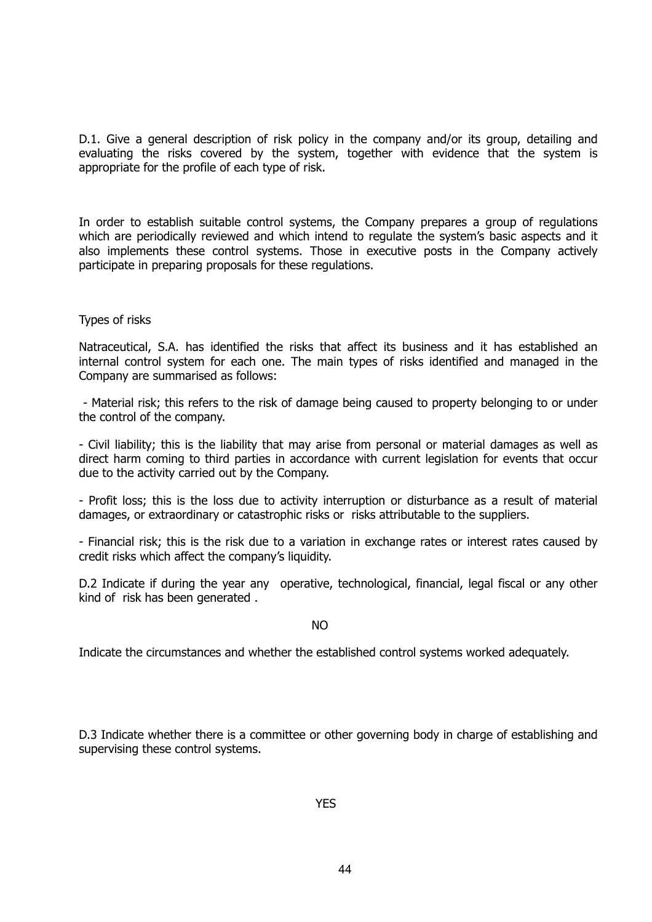D.1. Give a general description of risk policy in the company and/or its group, detailing and evaluating the risks covered by the system, together with evidence that the system is appropriate for the profile of each type of risk.

In order to establish suitable control systems, the Company prepares a group of regulations which are periodically reviewed and which intend to regulate the system's basic aspects and it also implements these control systems. Those in executive posts in the Company actively participate in preparing proposals for these regulations.

#### Types of risks

Natraceutical, S.A. has identified the risks that affect its business and it has established an internal control system for each one. The main types of risks identified and managed in the Company are summarised as follows:

 - Material risk; this refers to the risk of damage being caused to property belonging to or under the control of the company.

- Civil liability; this is the liability that may arise from personal or material damages as well as direct harm coming to third parties in accordance with current legislation for events that occur due to the activity carried out by the Company.

- Profit loss; this is the loss due to activity interruption or disturbance as a result of material damages, or extraordinary or catastrophic risks or risks attributable to the suppliers.

- Financial risk; this is the risk due to a variation in exchange rates or interest rates caused by credit risks which affect the company's liquidity.

D.2 Indicate if during the year any operative, technological, financial, legal fiscal or any other kind of risk has been generated .

not a series and the series of the series of the series of the series of the series of the series of the series

Indicate the circumstances and whether the established control systems worked adequately.

D.3 Indicate whether there is a committee or other governing body in charge of establishing and supervising these control systems.

YES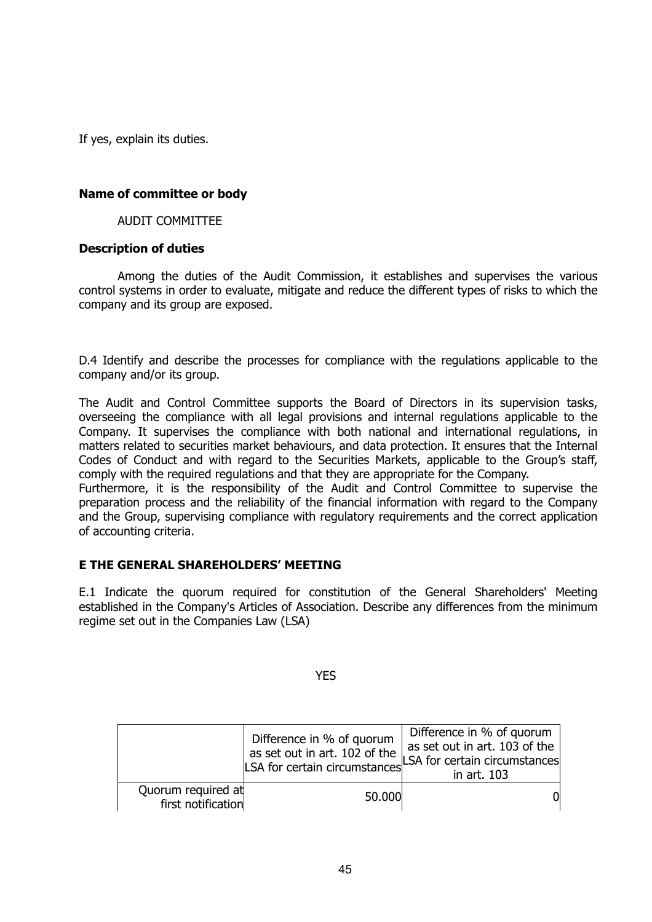If yes, explain its duties.

#### **Name of committee or body**

#### AUDIT COMMITTEE

#### **Description of duties**

Among the duties of the Audit Commission, it establishes and supervises the various control systems in order to evaluate, mitigate and reduce the different types of risks to which the company and its group are exposed.

D.4 Identify and describe the processes for compliance with the regulations applicable to the company and/or its group.

The Audit and Control Committee supports the Board of Directors in its supervision tasks, overseeing the compliance with all legal provisions and internal regulations applicable to the Company. It supervises the compliance with both national and international regulations, in matters related to securities market behaviours, and data protection. It ensures that the Internal Codes of Conduct and with regard to the Securities Markets, applicable to the Group's staff, comply with the required regulations and that they are appropriate for the Company.

Furthermore, it is the responsibility of the Audit and Control Committee to supervise the preparation process and the reliability of the financial information with regard to the Company and the Group, supervising compliance with regulatory requirements and the correct application of accounting criteria.

## **E THE GENERAL SHAREHOLDERS' MEETING**

E.1 Indicate the quorum required for constitution of the General Shareholders' Meeting established in the Company's Articles of Association. Describe any differences from the minimum regime set out in the Companies Law (LSA)

**YES** 

|                                          | Difference in % of quorum<br>as set out in art. 102 of the | Difference in % of quorum<br>as set out in art. 103 of the<br>LSA for certain circumstances LSA for certain circumstances<br>in art. 103 |
|------------------------------------------|------------------------------------------------------------|------------------------------------------------------------------------------------------------------------------------------------------|
| Quorum required at<br>first notification | 50.000                                                     | OI.                                                                                                                                      |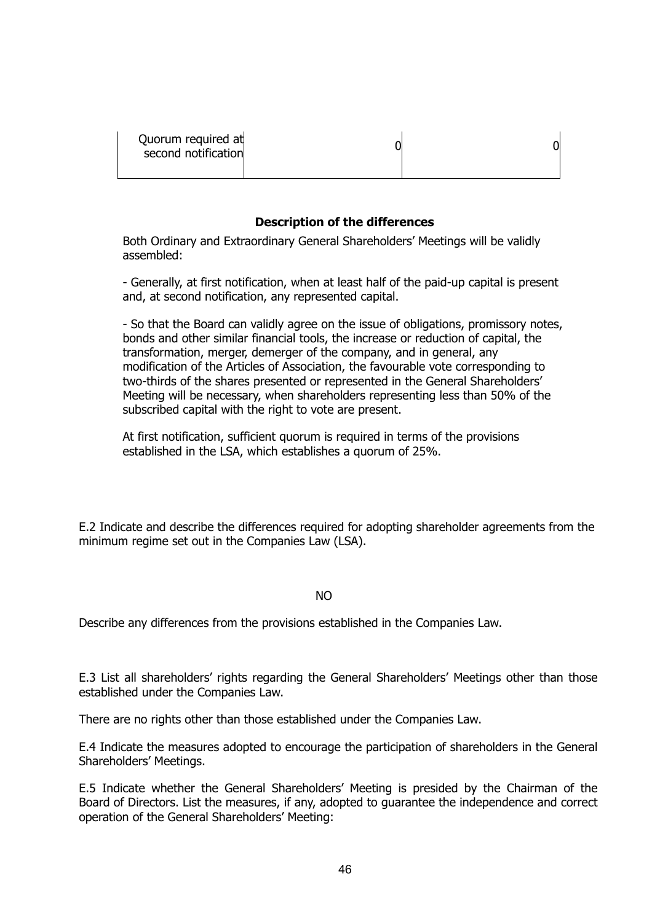## **Description of the differences**

Both Ordinary and Extraordinary General Shareholders' Meetings will be validly assembled:

- Generally, at first notification, when at least half of the paid-up capital is present and, at second notification, any represented capital.

- So that the Board can validly agree on the issue of obligations, promissory notes, bonds and other similar financial tools, the increase or reduction of capital, the transformation, merger, demerger of the company, and in general, any modification of the Articles of Association, the favourable vote corresponding to two-thirds of the shares presented or represented in the General Shareholders' Meeting will be necessary, when shareholders representing less than 50% of the subscribed capital with the right to vote are present.

At first notification, sufficient quorum is required in terms of the provisions established in the LSA, which establishes a quorum of 25%.

E.2 Indicate and describe the differences required for adopting shareholder agreements from the minimum regime set out in the Companies Law (LSA).

NO

Describe any differences from the provisions established in the Companies Law.

E.3 List all shareholders' rights regarding the General Shareholders' Meetings other than those established under the Companies Law.

There are no rights other than those established under the Companies Law.

E.4 Indicate the measures adopted to encourage the participation of shareholders in the General Shareholders' Meetings.

E.5 Indicate whether the General Shareholders' Meeting is presided by the Chairman of the Board of Directors. List the measures, if any, adopted to guarantee the independence and correct operation of the General Shareholders' Meeting: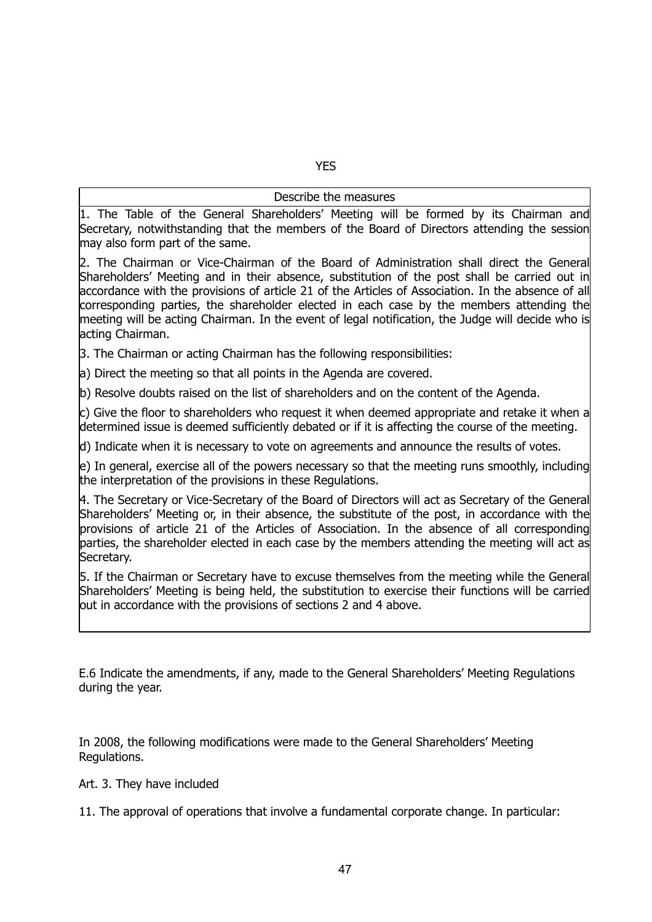# YES

## Describe the measures

1. The Table of the General Shareholders' Meeting will be formed by its Chairman and Secretary, notwithstanding that the members of the Board of Directors attending the session may also form part of the same.

2. The Chairman or Vice-Chairman of the Board of Administration shall direct the General Shareholders' Meeting and in their absence, substitution of the post shall be carried out in accordance with the provisions of article 21 of the Articles of Association. In the absence of all corresponding parties, the shareholder elected in each case by the members attending the meeting will be acting Chairman. In the event of legal notification, the Judge will decide who is acting Chairman.

3. The Chairman or acting Chairman has the following responsibilities:

a) Direct the meeting so that all points in the Agenda are covered.

b) Resolve doubts raised on the list of shareholders and on the content of the Agenda.

 $|c|$ ) Give the floor to shareholders who request it when deemed appropriate and retake it when a determined issue is deemed sufficiently debated or if it is affecting the course of the meeting.

d) Indicate when it is necessary to vote on agreements and announce the results of votes.

e) In general, exercise all of the powers necessary so that the meeting runs smoothly, including the interpretation of the provisions in these Regulations.

4. The Secretary or Vice-Secretary of the Board of Directors will act as Secretary of the General Shareholders' Meeting or, in their absence, the substitute of the post, in accordance with the provisions of article 21 of the Articles of Association. In the absence of all corresponding parties, the shareholder elected in each case by the members attending the meeting will act as Secretary.

5. If the Chairman or Secretary have to excuse themselves from the meeting while the General Shareholders' Meeting is being held, the substitution to exercise their functions will be carried out in accordance with the provisions of sections 2 and 4 above.

E.6 Indicate the amendments, if any, made to the General Shareholders' Meeting Regulations during the year.

In 2008, the following modifications were made to the General Shareholders' Meeting Regulations.

Art. 3. They have included

11. The approval of operations that involve a fundamental corporate change. In particular: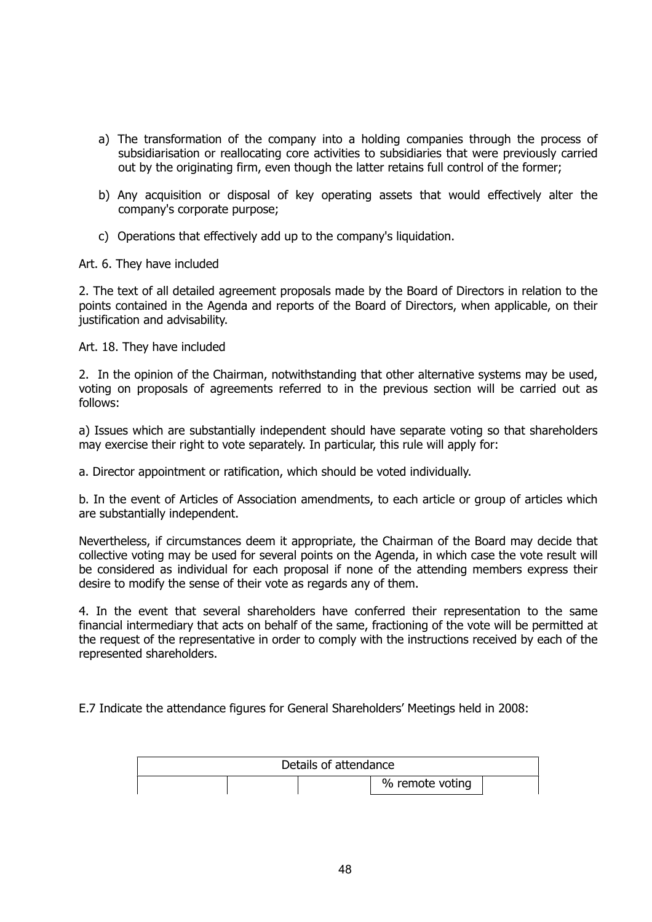- a) The transformation of the company into a holding companies through the process of subsidiarisation or reallocating core activities to subsidiaries that were previously carried out by the originating firm, even though the latter retains full control of the former;
- b) Any acquisition or disposal of key operating assets that would effectively alter the company's corporate purpose;
- c) Operations that effectively add up to the company's liquidation.

Art. 6. They have included

2. The text of all detailed agreement proposals made by the Board of Directors in relation to the points contained in the Agenda and reports of the Board of Directors, when applicable, on their justification and advisability.

Art. 18. They have included

2. In the opinion of the Chairman, notwithstanding that other alternative systems may be used, voting on proposals of agreements referred to in the previous section will be carried out as follows:

a) Issues which are substantially independent should have separate voting so that shareholders may exercise their right to vote separately. In particular, this rule will apply for:

a. Director appointment or ratification, which should be voted individually.

b. In the event of Articles of Association amendments, to each article or group of articles which are substantially independent.

Nevertheless, if circumstances deem it appropriate, the Chairman of the Board may decide that collective voting may be used for several points on the Agenda, in which case the vote result will be considered as individual for each proposal if none of the attending members express their desire to modify the sense of their vote as regards any of them.

4. In the event that several shareholders have conferred their representation to the same financial intermediary that acts on behalf of the same, fractioning of the vote will be permitted at the request of the representative in order to comply with the instructions received by each of the represented shareholders.

E.7 Indicate the attendance figures for General Shareholders' Meetings held in 2008:

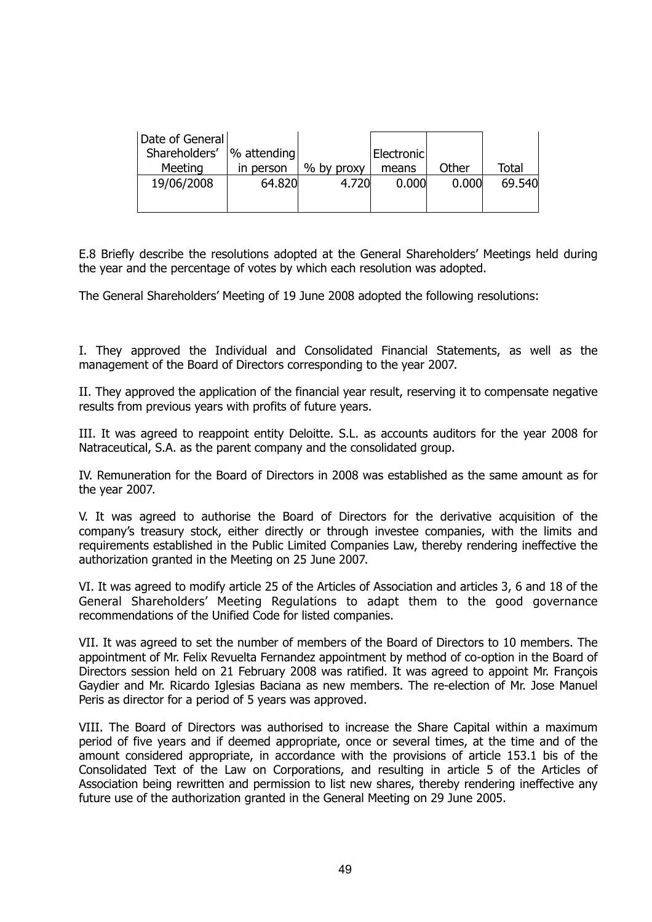| Date of General |                 |            |            |       |              |
|-----------------|-----------------|------------|------------|-------|--------------|
| Shareholders'   | $ \%$ attending |            | Electronic |       |              |
| Meeting         | in person       | % by proxy | means      | Other | <b>Total</b> |
| 19/06/2008      | 64.820          | 4.720      | 0.000      | 0.000 | 69.540       |
|                 |                 |            |            |       |              |
|                 |                 |            |            |       |              |

E.8 Briefly describe the resolutions adopted at the General Shareholders' Meetings held during the year and the percentage of votes by which each resolution was adopted.

The General Shareholders' Meeting of 19 June 2008 adopted the following resolutions:

I. They approved the Individual and Consolidated Financial Statements, as well as the management of the Board of Directors corresponding to the year 2007.

II. They approved the application of the financial year result, reserving it to compensate negative results from previous years with profits of future years.

III. It was agreed to reappoint entity Deloitte. S.L. as accounts auditors for the year 2008 for Natraceutical, S.A. as the parent company and the consolidated group.

IV. Remuneration for the Board of Directors in 2008 was established as the same amount as for the year 2007.

V. It was agreed to authorise the Board of Directors for the derivative acquisition of the company's treasury stock, either directly or through investee companies, with the limits and requirements established in the Public Limited Companies Law, thereby rendering ineffective the authorization granted in the Meeting on 25 June 2007.

VI. It was agreed to modify article 25 of the Articles of Association and articles 3, 6 and 18 of the General Shareholders' Meeting Regulations to adapt them to the good governance recommendations of the Unified Code for listed companies.

VII. It was agreed to set the number of members of the Board of Directors to 10 members. The appointment of Mr. Felix Revuelta Fernandez appointment by method of co-option in the Board of Directors session held on 21 February 2008 was ratified. It was agreed to appoint Mr. François Gaydier and Mr. Ricardo Iglesias Baciana as new members. The re-election of Mr. Jose Manuel Peris as director for a period of 5 years was approved.

VIII. The Board of Directors was authorised to increase the Share Capital within a maximum period of five years and if deemed appropriate, once or several times, at the time and of the amount considered appropriate, in accordance with the provisions of article 153.1 bis of the [Consolidated Text of the Law on Corporations,](http://www.proz.com/kudoz/spanish_to_english/other/127647-texto_refundido_de_la_ley_desociedades_an%C3%B3nimas.html) and resulting in article 5 of the Articles of Association being rewritten and permission to list new shares, thereby rendering ineffective any future use of the authorization granted in the General Meeting on 29 June 2005.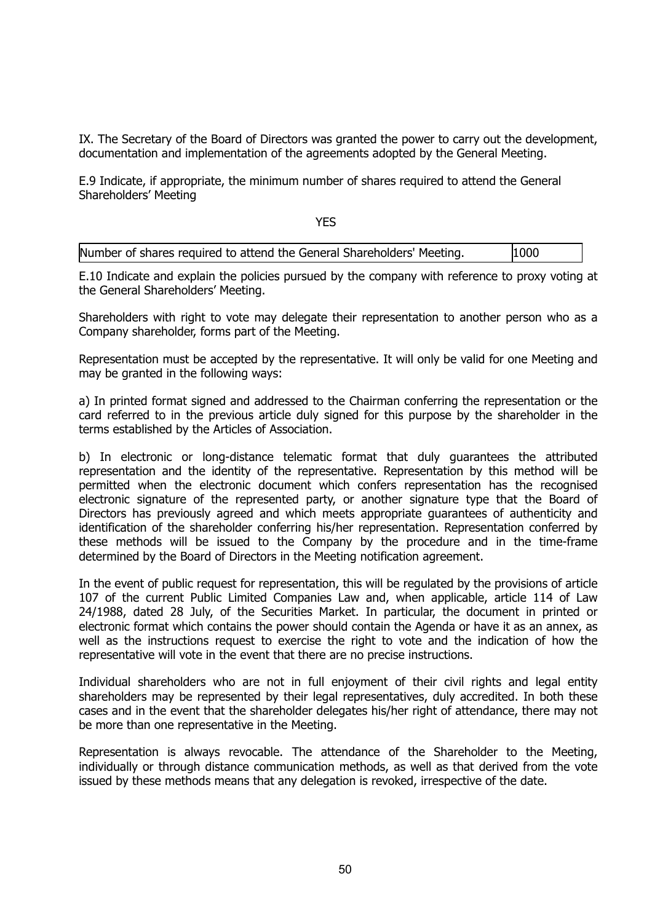IX. The Secretary of the Board of Directors was granted the power to carry out the development, documentation and implementation of the agreements adopted by the General Meeting.

E.9 Indicate, if appropriate, the minimum number of shares required to attend the General Shareholders' Meeting

YF<sub>S</sub>

| ----                                                                   |      |  |
|------------------------------------------------------------------------|------|--|
| Number of shares required to attend the General Shareholders' Meeting. | 1000 |  |

E.10 Indicate and explain the policies pursued by the company with reference to proxy voting at the General Shareholders' Meeting.

Shareholders with right to vote may delegate their representation to another person who as a Company shareholder, forms part of the Meeting.

Representation must be accepted by the representative. It will only be valid for one Meeting and may be granted in the following ways:

a) In printed format signed and addressed to the Chairman conferring the representation or the card referred to in the previous article duly signed for this purpose by the shareholder in the terms established by the Articles of Association.

b) In electronic or long-distance telematic format that duly guarantees the attributed representation and the identity of the representative. Representation by this method will be permitted when the electronic document which confers representation has the recognised electronic signature of the represented party, or another signature type that the Board of Directors has previously agreed and which meets appropriate guarantees of authenticity and identification of the shareholder conferring his/her representation. Representation conferred by these methods will be issued to the Company by the procedure and in the time-frame determined by the Board of Directors in the Meeting notification agreement.

In the event of public request for representation, this will be regulated by the provisions of article 107 of the current Public Limited Companies Law and, when applicable, article 114 of Law 24/1988, dated 28 July, of the Securities Market. In particular, the document in printed or electronic format which contains the power should contain the Agenda or have it as an annex, as well as the instructions request to exercise the right to vote and the indication of how the representative will vote in the event that there are no precise instructions.

Individual shareholders who are not in full enjoyment of their civil rights and legal entity shareholders may be represented by their legal representatives, duly accredited. In both these cases and in the event that the shareholder delegates his/her right of attendance, there may not be more than one representative in the Meeting.

Representation is always revocable. The attendance of the Shareholder to the Meeting, individually or through distance communication methods, as well as that derived from the vote issued by these methods means that any delegation is revoked, irrespective of the date.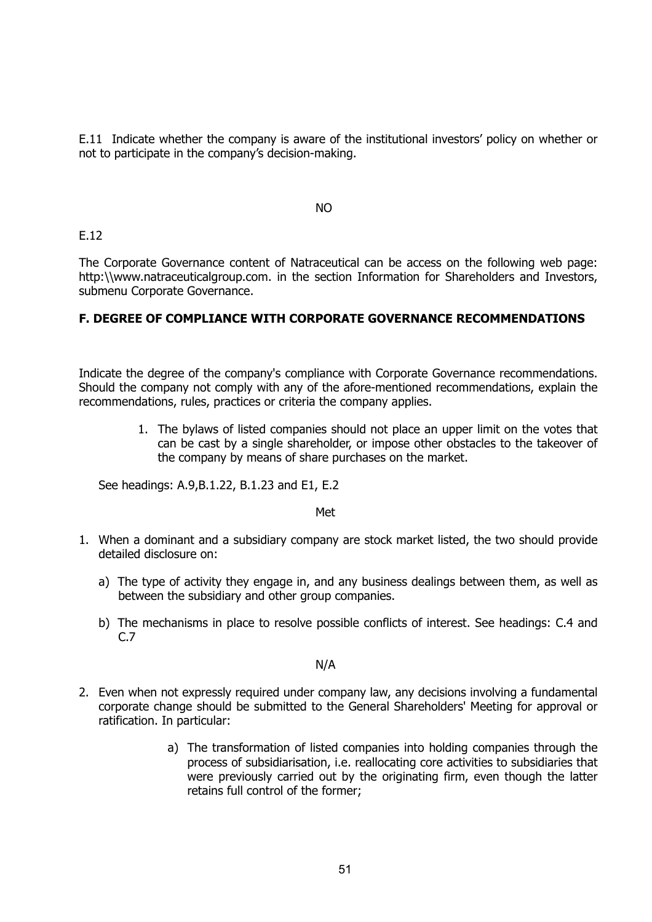E.11 Indicate whether the company is aware of the institutional investors' policy on whether or not to participate in the company's decision-making.

NO

## E.12

The Corporate Governance content of Natraceutical can be access on the following web page: http:\\www.natraceuticalgroup.com. in the section Information for Shareholders and Investors. submenu Corporate Governance.

# **F. DEGREE OF COMPLIANCE WITH CORPORATE GOVERNANCE RECOMMENDATIONS**

Indicate the degree of the company's compliance with Corporate Governance recommendations. Should the company not comply with any of the afore-mentioned recommendations, explain the recommendations, rules, practices or criteria the company applies.

> 1. The bylaws of listed companies should not place an upper limit on the votes that can be cast by a single shareholder, or impose other obstacles to the takeover of the company by means of share purchases on the market.

See headings: A.9,B.1.22, B.1.23 and E1, E.2

Met

- 1. When a dominant and a subsidiary company are stock market listed, the two should provide detailed disclosure on:
	- a) The type of activity they engage in, and any business dealings between them, as well as between the subsidiary and other group companies.
	- b) The mechanisms in place to resolve possible conflicts of interest. See headings: C.4 and C.7

N/A

- 2. Even when not expressly required under company law, any decisions involving a fundamental corporate change should be submitted to the General Shareholders' Meeting for approval or ratification. In particular:
	- a) The transformation of listed companies into holding companies through the process of subsidiarisation, i.e. reallocating core activities to subsidiaries that were previously carried out by the originating firm, even though the latter retains full control of the former;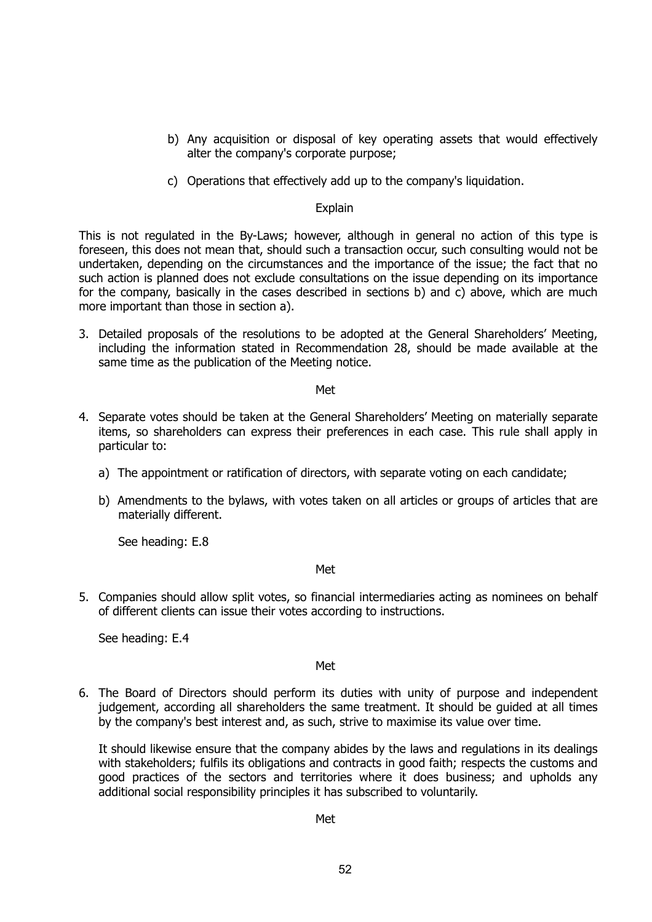- b) Any acquisition or disposal of key operating assets that would effectively alter the company's corporate purpose;
- c) Operations that effectively add up to the company's liquidation.

#### Explain

This is not regulated in the By-Laws; however, although in general no action of this type is foreseen, this does not mean that, should such a transaction occur, such consulting would not be undertaken, depending on the circumstances and the importance of the issue; the fact that no such action is planned does not exclude consultations on the issue depending on its importance for the company, basically in the cases described in sections b) and c) above, which are much more important than those in section a).

3. Detailed proposals of the resolutions to be adopted at the General Shareholders' Meeting, including the information stated in Recommendation 28, should be made available at the same time as the publication of the Meeting notice.

Met

- 4. Separate votes should be taken at the General Shareholders' Meeting on materially separate items, so shareholders can express their preferences in each case. This rule shall apply in particular to:
	- a) The appointment or ratification of directors, with separate voting on each candidate;
	- b) Amendments to the bylaws, with votes taken on all articles or groups of articles that are materially different.

See heading: E.8

Met

5. Companies should allow split votes, so financial intermediaries acting as nominees on behalf of different clients can issue their votes according to instructions.

See heading: E.4

#### Met

6. The Board of Directors should perform its duties with unity of purpose and independent judgement, according all shareholders the same treatment. It should be guided at all times by the company's best interest and, as such, strive to maximise its value over time.

It should likewise ensure that the company abides by the laws and regulations in its dealings with stakeholders; fulfils its obligations and contracts in good faith; respects the customs and good practices of the sectors and territories where it does business; and upholds any additional social responsibility principles it has subscribed to voluntarily.

#### Met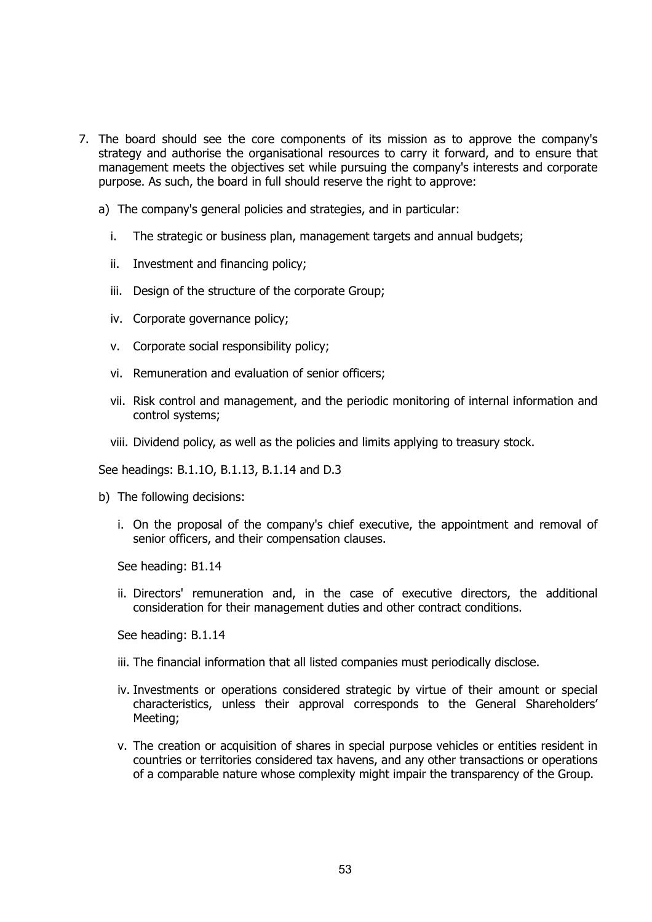- 7. The board should see the core components of its mission as to approve the company's strategy and authorise the organisational resources to carry it forward, and to ensure that management meets the objectives set while pursuing the company's interests and corporate purpose. As such, the board in full should reserve the right to approve:
	- a) The company's general policies and strategies, and in particular:
		- i. The strategic or business plan, management targets and annual budgets;
		- ii. Investment and financing policy;
		- iii. Design of the structure of the corporate Group;
		- iv. Corporate governance policy;
		- v. Corporate social responsibility policy;
		- vi. Remuneration and evaluation of senior officers;
		- vii. Risk control and management, and the periodic monitoring of internal information and control systems;
		- viii. Dividend policy, as well as the policies and limits applying to treasury stock.

See headings: B.1.1O, B.1.13, B.1.14 and D.3

- b) The following decisions:
	- i. On the proposal of the company's chief executive, the appointment and removal of senior officers, and their compensation clauses.

See heading: B1.14

ii. Directors' remuneration and, in the case of executive directors, the additional consideration for their management duties and other contract conditions.

See heading: B.1.14

- iii. The financial information that all listed companies must periodically disclose.
- iv. Investments or operations considered strategic by virtue of their amount or special characteristics, unless their approval corresponds to the General Shareholders' Meeting;
- v. The creation or acquisition of shares in special purpose vehicles or entities resident in countries or territories considered tax havens, and any other transactions or operations of a comparable nature whose complexity might impair the transparency of the Group.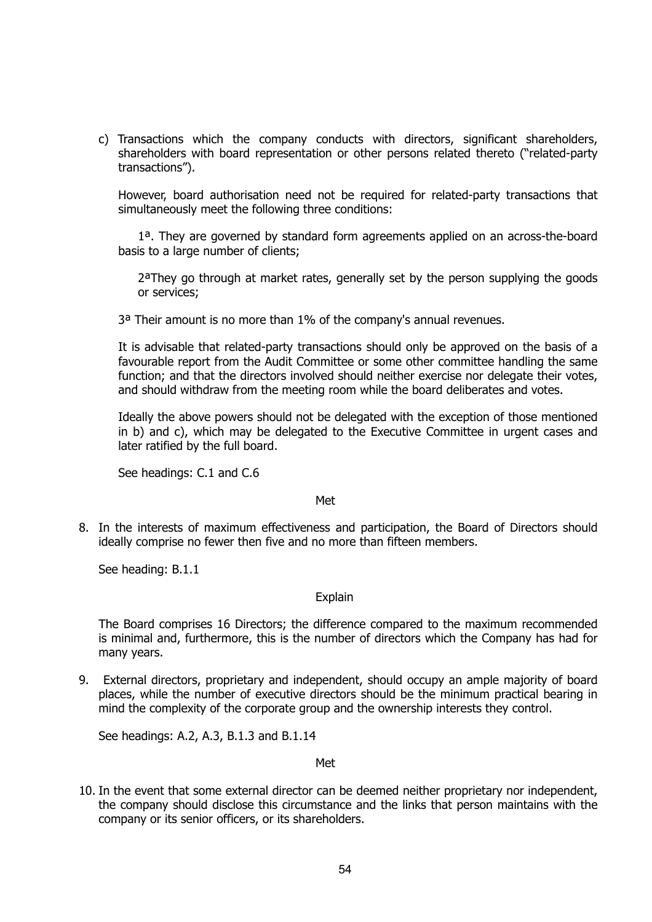c) Transactions which the company conducts with directors, significant shareholders, shareholders with board representation or other persons related thereto ("related-party transactions").

However, board authorisation need not be required for related-party transactions that simultaneously meet the following three conditions:

1ª. They are governed by standard form agreements applied on an across-the-board basis to a large number of clients;

2ªThey go through at market rates, generally set by the person supplying the goods or services;

3ª Their amount is no more than 1% of the company's annual revenues.

It is advisable that related-party transactions should only be approved on the basis of a favourable report from the Audit Committee or some other committee handling the same function; and that the directors involved should neither exercise nor delegate their votes, and should withdraw from the meeting room while the board deliberates and votes.

Ideally the above powers should not be delegated with the exception of those mentioned in b) and c), which may be delegated to the Executive Committee in urgent cases and later ratified by the full board.

See headings: C.1 and C.6

#### Met

8. In the interests of maximum effectiveness and participation, the Board of Directors should ideally comprise no fewer then five and no more than fifteen members.

See heading: B.1.1

## Explain

The Board comprises 16 Directors; the difference compared to the maximum recommended is minimal and, furthermore, this is the number of directors which the Company has had for many years.

9. External directors, proprietary and independent, should occupy an ample majority of board places, while the number of executive directors should be the minimum practical bearing in mind the complexity of the corporate group and the ownership interests they control.

See headings: A.2, A.3, B.1.3 and B.1.14

#### Met

10. In the event that some external director can be deemed neither proprietary nor independent, the company should disclose this circumstance and the links that person maintains with the company or its senior officers, or its shareholders.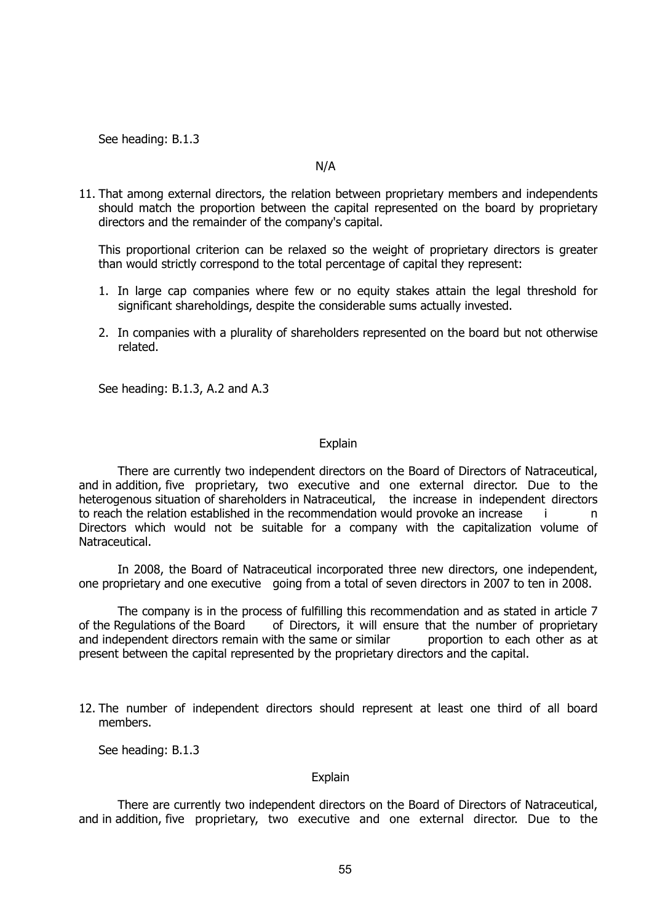See heading: B.1.3

#### N/A

11. That among external directors, the relation between proprietary members and independents should match the proportion between the capital represented on the board by proprietary directors and the remainder of the company's capital.

This proportional criterion can be relaxed so the weight of proprietary directors is greater than would strictly correspond to the total percentage of capital they represent:

- 1. In large cap companies where few or no equity stakes attain the legal threshold for significant shareholdings, despite the considerable sums actually invested.
- 2. In companies with a plurality of shareholders represented on the board but not otherwise related.

See heading: B.1.3, A.2 and A.3

#### **Explain**

 There are currently two independent directors on the Board of Directors of Natraceutical, and in addition, five proprietary, two executive and one external director. Due to the heterogenous situation of shareholders in Natraceutical, the increase in independent directors to reach the relation established in the recommendation would provoke an increase i Directors which would not be suitable for a company with the capitalization volume of Natraceutical.

 In 2008, the Board of Natraceutical incorporated three new directors, one independent, one proprietary and one executive going from a total of seven directors in 2007 to ten in 2008.

 The company is in the process of fulfilling this recommendation and as stated in article 7 of the Regulations of the Board of Directors, it will ensure that the number of proprietary and independent directors remain with the same or similar proportion to each other as at present between the capital represented by the proprietary directors and the capital.

12. The number of independent directors should represent at least one third of all board members.

See heading: B.1.3

#### **Explain**

 There are currently two independent directors on the Board of Directors of Natraceutical, and in addition, five proprietary, two executive and one external director. Due to the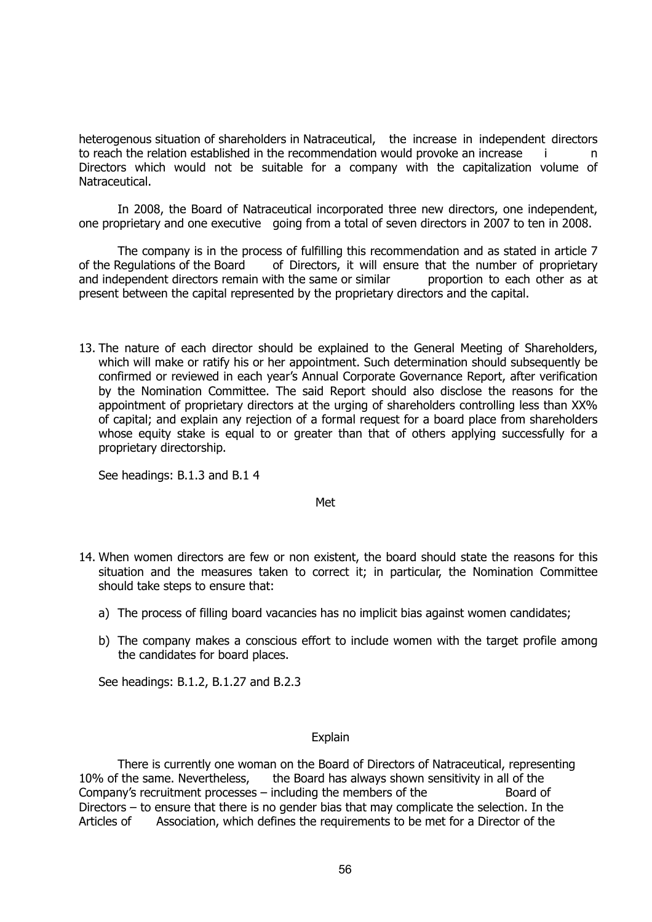heterogenous situation of shareholders in Natraceutical, the increase in independent directors to reach the relation established in the recommendation would provoke an increase i Directors which would not be suitable for a company with the capitalization volume of Natraceutical.

 In 2008, the Board of Natraceutical incorporated three new directors, one independent, one proprietary and one executive going from a total of seven directors in 2007 to ten in 2008.

 The company is in the process of fulfilling this recommendation and as stated in article 7 of the Regulations of the Board of Directors, it will ensure that the number of proprietary and independent directors remain with the same or similar bether proportion to each other as at present between the capital represented by the proprietary directors and the capital.

13. The nature of each director should be explained to the General Meeting of Shareholders, which will make or ratify his or her appointment. Such determination should subsequently be confirmed or reviewed in each year's Annual Corporate Governance Report, after verification by the Nomination Committee. The said Report should also disclose the reasons for the appointment of proprietary directors at the urging of shareholders controlling less than XX% of capital; and explain any rejection of a formal request for a board place from shareholders whose equity stake is equal to or greater than that of others applying successfully for a proprietary directorship.

See headings: B.1.3 and B.1 4

Met

- 14. When women directors are few or non existent, the board should state the reasons for this situation and the measures taken to correct it; in particular, the Nomination Committee should take steps to ensure that:
	- a) The process of filling board vacancies has no implicit bias against women candidates;
	- b) The company makes a conscious effort to include women with the target profile among the candidates for board places.

See headings: B.1.2, B.1.27 and B.2.3

#### Explain

 There is currently one woman on the Board of Directors of Natraceutical, representing 10% of the same. Nevertheless, the Board has always shown sensitivity in all of the Company's recruitment processes – including the members of the  $\sim$  Board of Directors – to ensure that there is no gender bias that may complicate the selection. In the Articles of Association, which defines the requirements to be met for a Director of the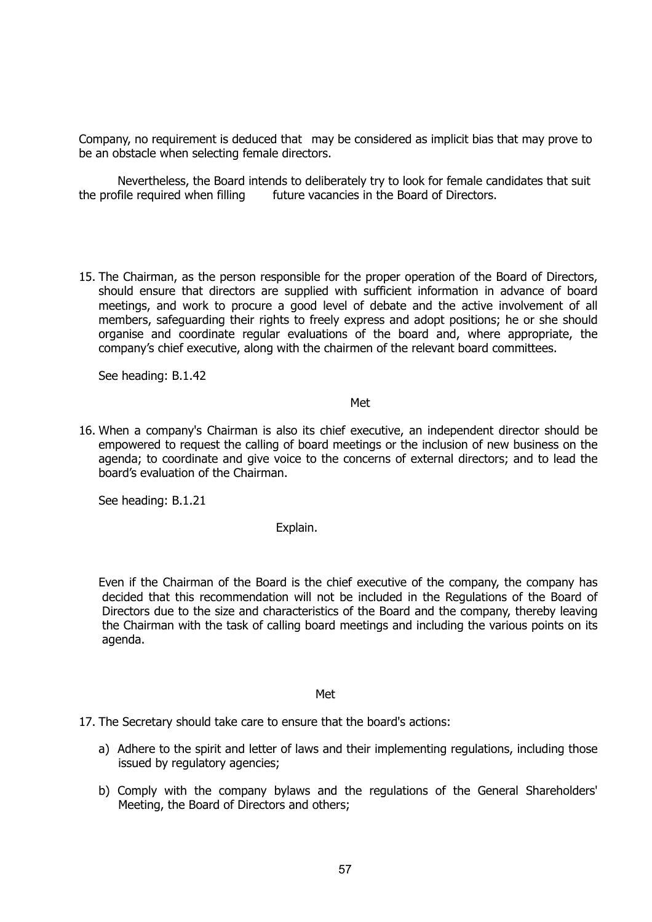Company, no requirement is deduced that may be considered as implicit bias that may prove to be an obstacle when selecting female directors.

 Nevertheless, the Board intends to deliberately try to look for female candidates that suit the profile required when filling future vacancies in the Board of Directors.

15. The Chairman, as the person responsible for the proper operation of the Board of Directors, should ensure that directors are supplied with sufficient information in advance of board meetings, and work to procure a good level of debate and the active involvement of all members, safeguarding their rights to freely express and adopt positions; he or she should organise and coordinate regular evaluations of the board and, where appropriate, the company's chief executive, along with the chairmen of the relevant board committees.

See heading: B.1.42

#### **Methods and the contract of the Contract of the Contract of the Contract of the Contract of the Contract of t**

16. When a company's Chairman is also its chief executive, an independent director should be empowered to request the calling of board meetings or the inclusion of new business on the agenda; to coordinate and give voice to the concerns of external directors; and to lead the board's evaluation of the Chairman.

See heading: B.1.21

Explain.

Even if the Chairman of the Board is the chief executive of the company, the company has decided that this recommendation will not be included in the Regulations of the Board of Directors due to the size and characteristics of the Board and the company, thereby leaving the Chairman with the task of calling board meetings and including the various points on its agenda.

#### Met

17. The Secretary should take care to ensure that the board's actions:

- a) Adhere to the spirit and letter of laws and their implementing regulations, including those issued by regulatory agencies;
- b) Comply with the company bylaws and the regulations of the General Shareholders' Meeting, the Board of Directors and others;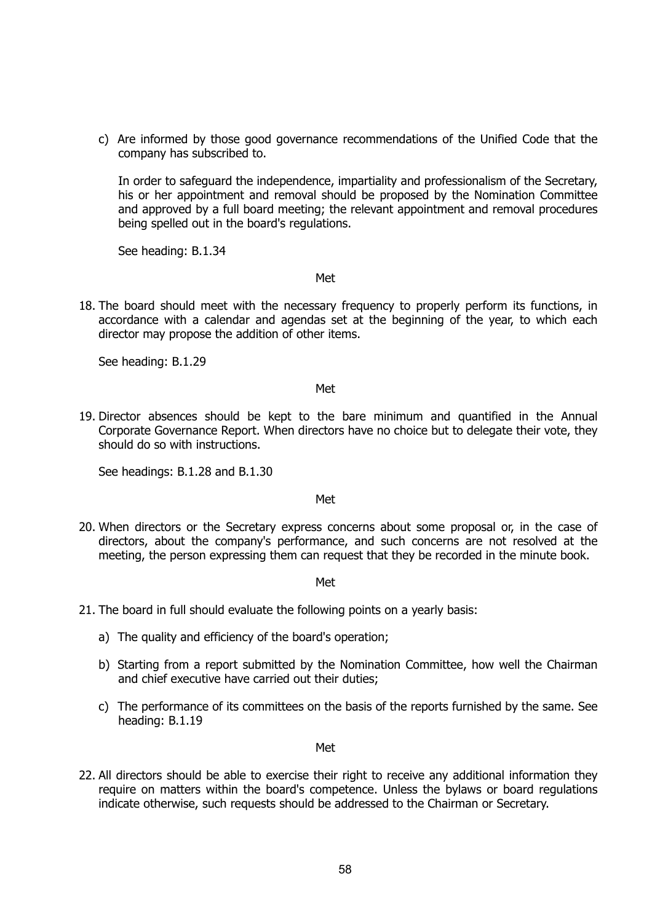c) Are informed by those good governance recommendations of the Unified Code that the company has subscribed to.

In order to safeguard the independence, impartiality and professionalism of the Secretary, his or her appointment and removal should be proposed by the Nomination Committee and approved by a full board meeting; the relevant appointment and removal procedures being spelled out in the board's regulations.

See heading: B.1.34

Met

18. The board should meet with the necessary frequency to properly perform its functions, in accordance with a calendar and agendas set at the beginning of the year, to which each director may propose the addition of other items.

See heading: B.1.29

#### Met

19. Director absences should be kept to the bare minimum and quantified in the Annual Corporate Governance Report. When directors have no choice but to delegate their vote, they should do so with instructions.

See headings: B.1.28 and B.1.30

#### Met

20. When directors or the Secretary express concerns about some proposal or, in the case of directors, about the company's performance, and such concerns are not resolved at the meeting, the person expressing them can request that they be recorded in the minute book.

Met

- 21. The board in full should evaluate the following points on a yearly basis:
	- a) The quality and efficiency of the board's operation;
	- b) Starting from a report submitted by the Nomination Committee, how well the Chairman and chief executive have carried out their duties;
	- c) The performance of its committees on the basis of the reports furnished by the same. See heading: B.1.19

#### Met

22. All directors should be able to exercise their right to receive any additional information they require on matters within the board's competence. Unless the bylaws or board regulations indicate otherwise, such requests should be addressed to the Chairman or Secretary.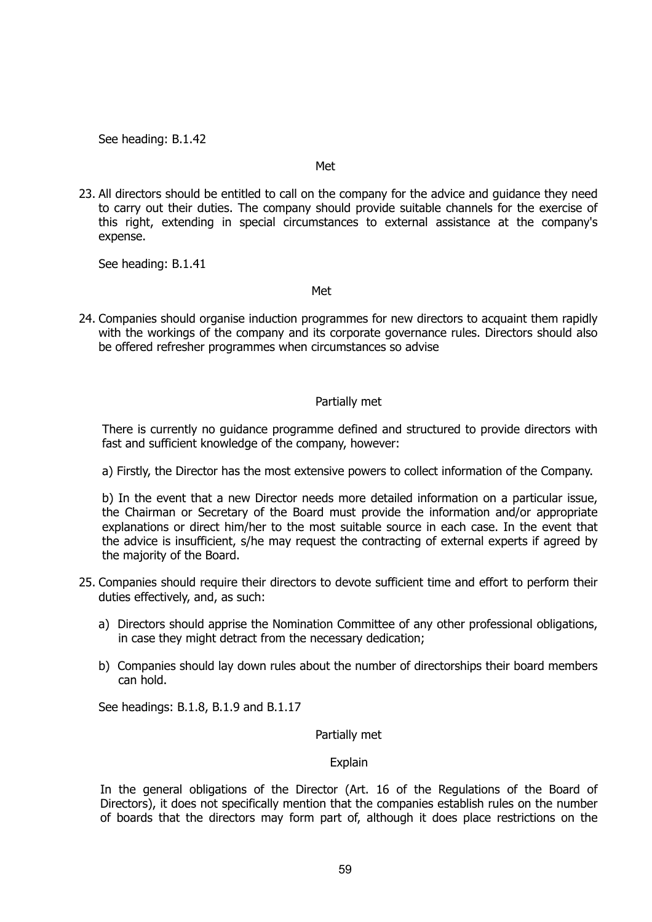See heading: B.1.42

#### Met

23. All directors should be entitled to call on the company for the advice and guidance they need to carry out their duties. The company should provide suitable channels for the exercise of this right, extending in special circumstances to external assistance at the company's expense.

See heading: B.1.41

#### <u>Metallicus (1999), and the contract of the Metallicus (1999), and the contract of the contract of the contract of the contract of the contract of the contract of the contract of the contract of the contract of the contrac</u>

24. Companies should organise induction programmes for new directors to acquaint them rapidly with the workings of the company and its corporate governance rules. Directors should also be offered refresher programmes when circumstances so advise

## Partially met

There is currently no guidance programme defined and structured to provide directors with fast and sufficient knowledge of the company, however:

a) Firstly, the Director has the most extensive powers to collect information of the Company.

b) In the event that a new Director needs more detailed information on a particular issue, the Chairman or Secretary of the Board must provide the information and/or appropriate explanations or direct him/her to the most suitable source in each case. In the event that the advice is insufficient, s/he may request the contracting of external experts if agreed by the majority of the Board.

- 25. Companies should require their directors to devote sufficient time and effort to perform their duties effectively, and, as such:
	- a) Directors should apprise the Nomination Committee of any other professional obligations, in case they might detract from the necessary dedication;
	- b) Companies should lay down rules about the number of directorships their board members can hold.

See headings: B.1.8, B.1.9 and B.1.17

## Partially met

## Explain

In the general obligations of the Director (Art. 16 of the Regulations of the Board of Directors), it does not specifically mention that the companies establish rules on the number of boards that the directors may form part of, although it does place restrictions on the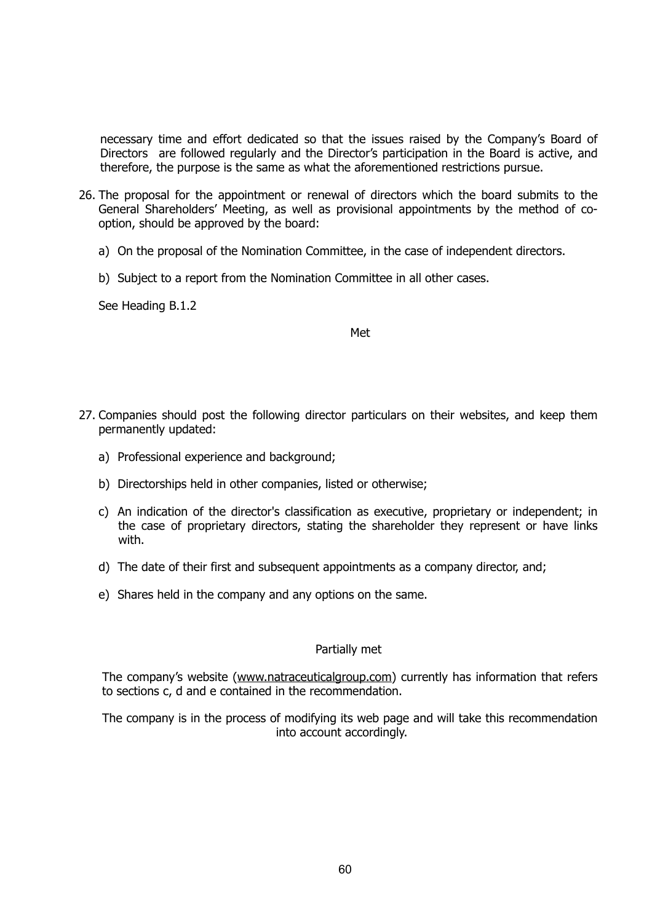necessary time and effort dedicated so that the issues raised by the Company's Board of Directors are followed regularly and the Director's participation in the Board is active, and therefore, the purpose is the same as what the aforementioned restrictions pursue.

- 26. The proposal for the appointment or renewal of directors which the board submits to the General Shareholders' Meeting, as well as provisional appointments by the method of cooption, should be approved by the board:
	- a) On the proposal of the Nomination Committee, in the case of independent directors.
	- b) Subject to a report from the Nomination Committee in all other cases.

See Heading B.1.2

**Methods and the contract of the contract of the contract of the contract of the contract of the contract of th** 

- 27. Companies should post the following director particulars on their websites, and keep them permanently updated:
	- a) Professional experience and background;
	- b) Directorships held in other companies, listed or otherwise;
	- c) An indication of the director's classification as executive, proprietary or independent; in the case of proprietary directors, stating the shareholder they represent or have links with.
	- d) The date of their first and subsequent appointments as a company director, and;
	- e) Shares held in the company and any options on the same.

#### Partially met

The company's website ([www.natraceuticalgroup.com](http://www.natraceuticalgroup.com)) currently has information that refers to sections c, d and e contained in the recommendation.

The company is in the process of modifying its web page and will take this recommendation into account accordingly.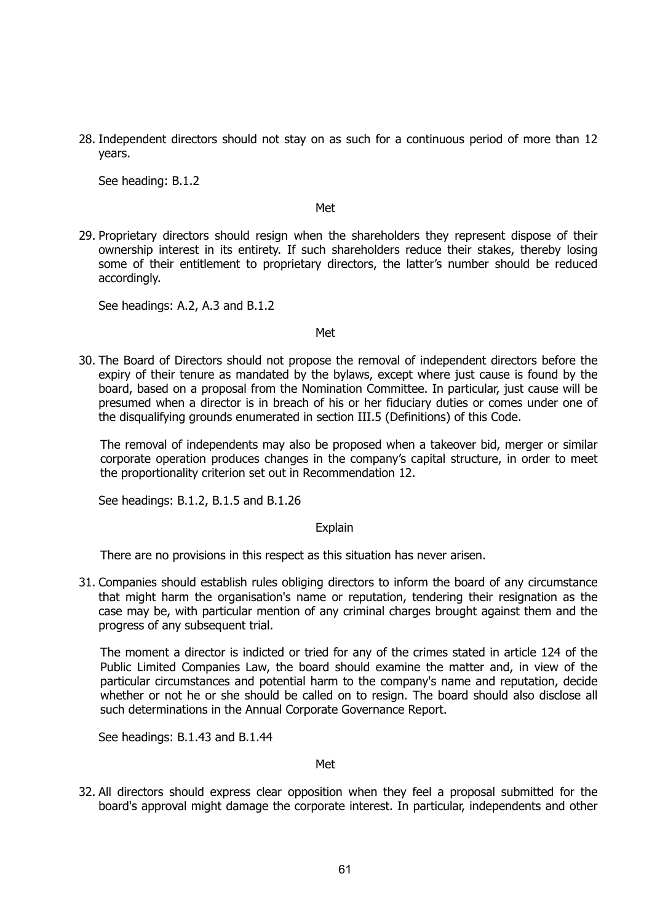28. Independent directors should not stay on as such for a continuous period of more than 12 years.

See heading: B.1.2

#### Met

29. Proprietary directors should resign when the shareholders they represent dispose of their ownership interest in its entirety. If such shareholders reduce their stakes, thereby losing some of their entitlement to proprietary directors, the latter's number should be reduced accordingly.

See headings: A.2, A.3 and B.1.2

#### Met

30. The Board of Directors should not propose the removal of independent directors before the expiry of their tenure as mandated by the bylaws, except where just cause is found by the board, based on a proposal from the Nomination Committee. In particular, just cause will be presumed when a director is in breach of his or her fiduciary duties or comes under one of the disqualifying grounds enumerated in section III.5 (Definitions) of this Code.

The removal of independents may also be proposed when a takeover bid, merger or similar corporate operation produces changes in the company's capital structure, in order to meet the proportionality criterion set out in Recommendation 12.

See headings: B.1.2, B.1.5 and B.1.26

#### **Explain**

There are no provisions in this respect as this situation has never arisen.

31. Companies should establish rules obliging directors to inform the board of any circumstance that might harm the organisation's name or reputation, tendering their resignation as the case may be, with particular mention of any criminal charges brought against them and the progress of any subsequent trial.

The moment a director is indicted or tried for any of the crimes stated in article 124 of the Public Limited Companies Law, the board should examine the matter and, in view of the particular circumstances and potential harm to the company's name and reputation, decide whether or not he or she should be called on to resign. The board should also disclose all such determinations in the Annual Corporate Governance Report.

See headings: B.1.43 and B.1.44

#### Met

32. All directors should express clear opposition when they feel a proposal submitted for the board's approval might damage the corporate interest. In particular, independents and other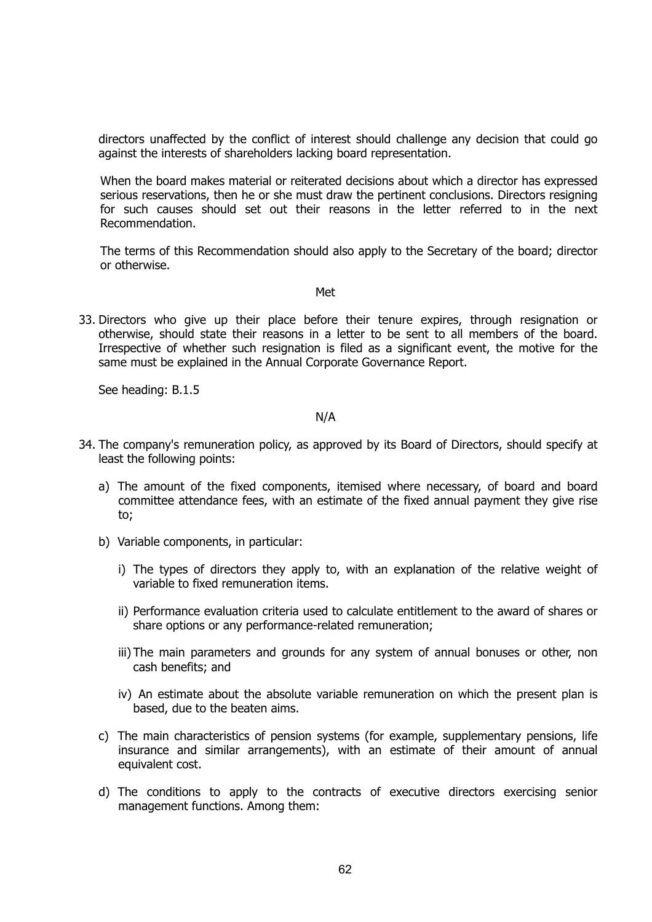directors unaffected by the conflict of interest should challenge any decision that could go against the interests of shareholders lacking board representation.

When the board makes material or reiterated decisions about which a director has expressed serious reservations, then he or she must draw the pertinent conclusions. Directors resigning for such causes should set out their reasons in the letter referred to in the next Recommendation.

The terms of this Recommendation should also apply to the Secretary of the board; director or otherwise.

#### Met

33. Directors who give up their place before their tenure expires, through resignation or otherwise, should state their reasons in a letter to be sent to all members of the board. Irrespective of whether such resignation is filed as a significant event, the motive for the same must be explained in the Annual Corporate Governance Report.

See heading: B.1.5

## N/A

- 34. The company's remuneration policy, as approved by its Board of Directors, should specify at least the following points:
	- a) The amount of the fixed components, itemised where necessary, of board and board committee attendance fees, with an estimate of the fixed annual payment they give rise to;
	- b) Variable components, in particular:
		- i) The types of directors they apply to, with an explanation of the relative weight of variable to fixed remuneration items.
		- ii) Performance evaluation criteria used to calculate entitlement to the award of shares or share options or any performance-related remuneration;
		- iii) The main parameters and grounds for any system of annual bonuses or other, non cash benefits; and
		- iv) An estimate about the absolute variable remuneration on which the present plan is based, due to the beaten aims.
	- c) The main characteristics of pension systems (for example, supplementary pensions, life insurance and similar arrangements), with an estimate of their amount of annual equivalent cost.
	- d) The conditions to apply to the contracts of executive directors exercising senior management functions. Among them: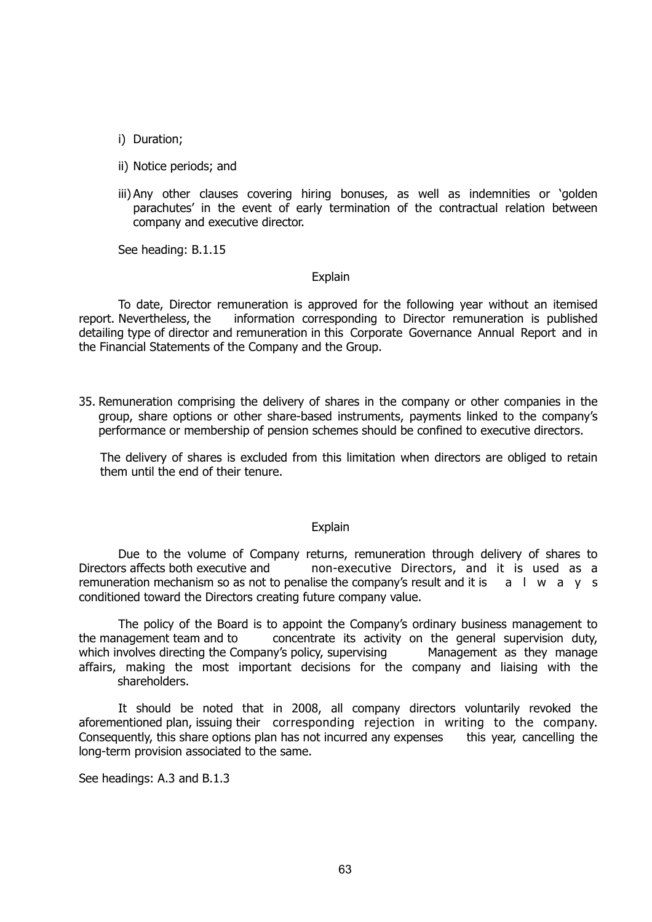- i) Duration;
- ii) Notice periods; and
- iii) Any other clauses covering hiring bonuses, as well as indemnities or 'golden parachutes' in the event of early termination of the contractual relation between company and executive director.

See heading: B.1.15

#### Explain

To date, Director remuneration is approved for the following year without an itemised report. Nevertheless, the information corresponding to Director remuneration is published detailing type of director and remuneration in this Corporate Governance Annual Report and in the Financial Statements of the Company and the Group.

35. Remuneration comprising the delivery of shares in the company or other companies in the group, share options or other share-based instruments, payments linked to the company's performance or membership of pension schemes should be confined to executive directors.

The delivery of shares is excluded from this limitation when directors are obliged to retain them until the end of their tenure.

#### Explain

Due to the volume of Company returns, remuneration through delivery of shares to Directors affects both executive and non-executive Directors, and it is used as a remuneration mechanism so as not to penalise the company's result and it is  $a + b$  w a y s conditioned toward the Directors creating future company value.

The policy of the Board is to appoint the Company's ordinary business management to the management team and to concentrate its activity on the general supervision duty, which involves directing the Company's policy, supervising Management as they manage affairs, making the most important decisions for the company and liaising with the shareholders.

It should be noted that in 2008, all company directors voluntarily revoked the aforementioned plan, issuing their corresponding rejection in writing to the company. Consequently, this share options plan has not incurred any expenses this year, cancelling the long-term provision associated to the same.

See headings: A.3 and B.1.3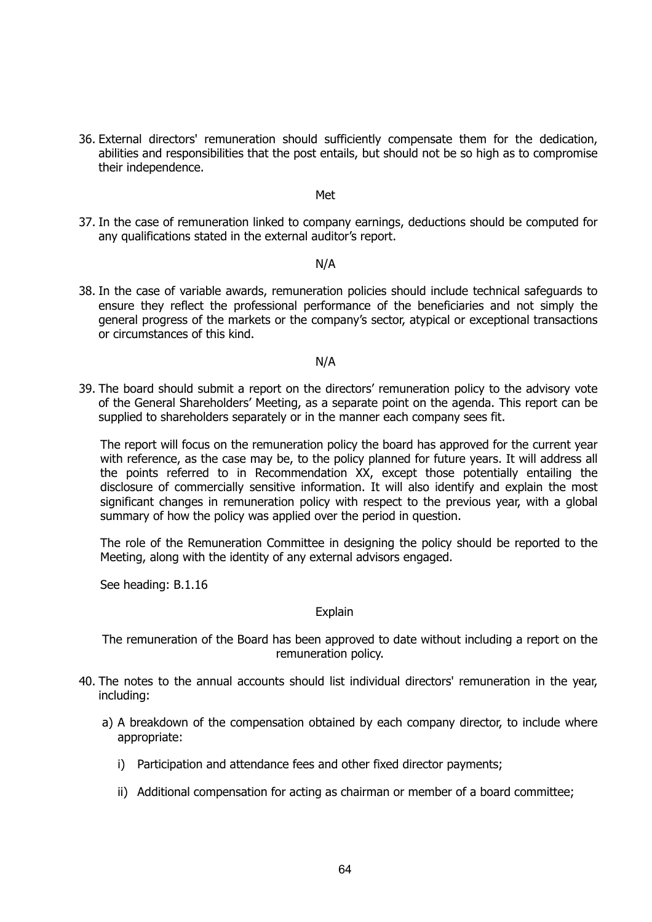36. External directors' remuneration should sufficiently compensate them for the dedication, abilities and responsibilities that the post entails, but should not be so high as to compromise their independence.

#### Met

37. In the case of remuneration linked to company earnings, deductions should be computed for any qualifications stated in the external auditor's report.

#### N/A

38. In the case of variable awards, remuneration policies should include technical safeguards to ensure they reflect the professional performance of the beneficiaries and not simply the general progress of the markets or the company's sector, atypical or exceptional transactions or circumstances of this kind.

#### N/A

39. The board should submit a report on the directors' remuneration policy to the advisory vote of the General Shareholders' Meeting, as a separate point on the agenda. This report can be supplied to shareholders separately or in the manner each company sees fit.

The report will focus on the remuneration policy the board has approved for the current year with reference, as the case may be, to the policy planned for future years. It will address all the points referred to in Recommendation XX, except those potentially entailing the disclosure of commercially sensitive information. It will also identify and explain the most significant changes in remuneration policy with respect to the previous year, with a global summary of how the policy was applied over the period in question.

The role of the Remuneration Committee in designing the policy should be reported to the Meeting, along with the identity of any external advisors engaged.

See heading: B.1.16

#### **Explain**

The remuneration of the Board has been approved to date without including a report on the remuneration policy.

- 40. The notes to the annual accounts should list individual directors' remuneration in the year, including:
	- a) A breakdown of the compensation obtained by each company director, to include where appropriate:
		- i) Participation and attendance fees and other fixed director payments;
		- ii) Additional compensation for acting as chairman or member of a board committee;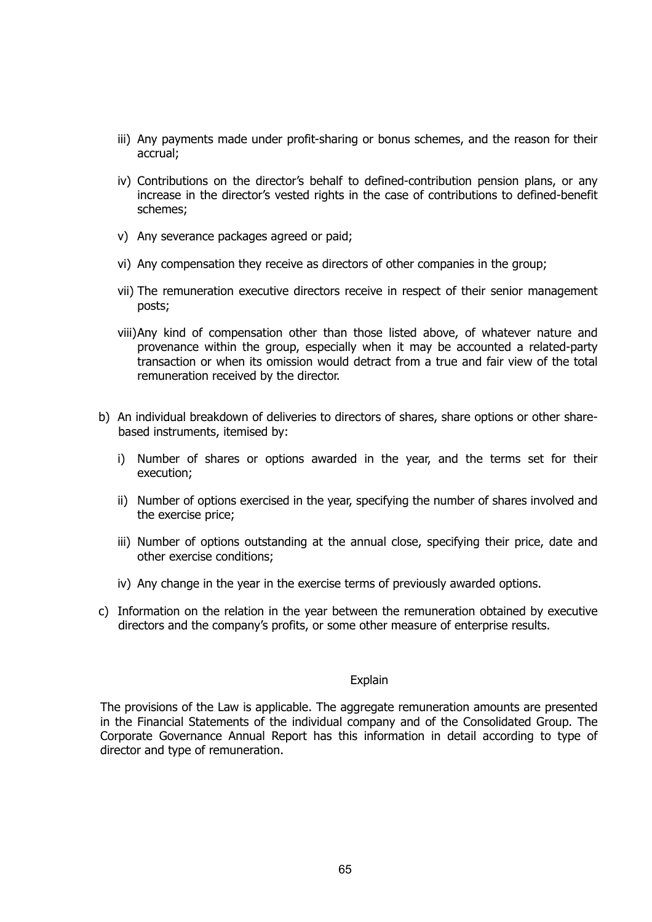- iii) Any payments made under profit-sharing or bonus schemes, and the reason for their accrual;
- iv) Contributions on the director's behalf to defined-contribution pension plans, or any increase in the director's vested rights in the case of contributions to defined-benefit schemes;
- v) Any severance packages agreed or paid;
- vi) Any compensation they receive as directors of other companies in the group;
- vii) The remuneration executive directors receive in respect of their senior management posts;
- viii)Any kind of compensation other than those listed above, of whatever nature and provenance within the group, especially when it may be accounted a related-party transaction or when its omission would detract from a true and fair view of the total remuneration received by the director.
- b) An individual breakdown of deliveries to directors of shares, share options or other sharebased instruments, itemised by:
	- i) Number of shares or options awarded in the year, and the terms set for their execution;
	- ii) Number of options exercised in the year, specifying the number of shares involved and the exercise price;
	- iii) Number of options outstanding at the annual close, specifying their price, date and other exercise conditions;
	- iv) Any change in the year in the exercise terms of previously awarded options.
- c) Information on the relation in the year between the remuneration obtained by executive directors and the company's profits, or some other measure of enterprise results.

#### Explain

The provisions of the Law is applicable. The aggregate remuneration amounts are presented in the Financial Statements of the individual company and of the Consolidated Group. The Corporate Governance Annual Report has this information in detail according to type of director and type of remuneration.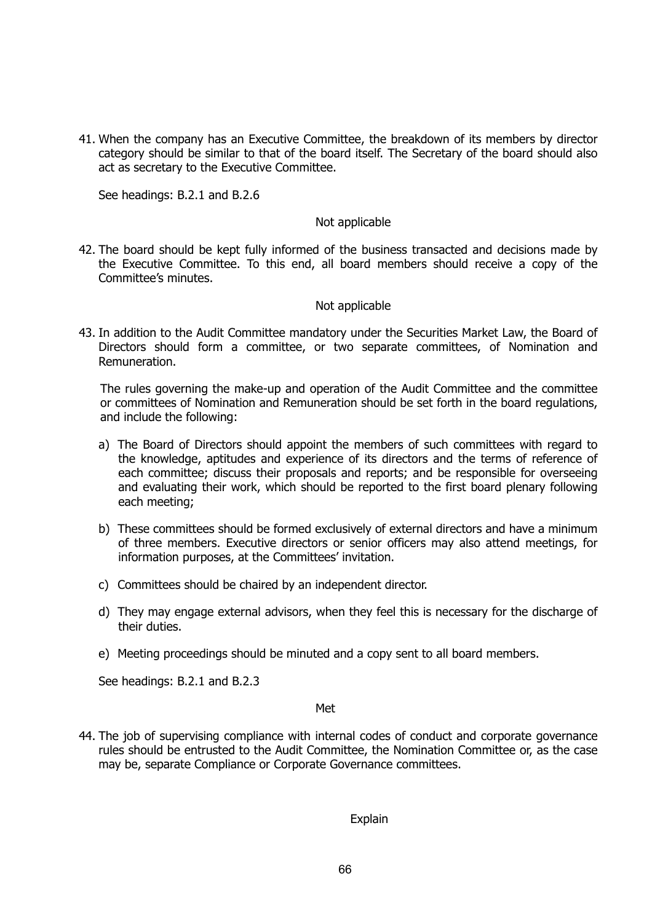41. When the company has an Executive Committee, the breakdown of its members by director category should be similar to that of the board itself. The Secretary of the board should also act as secretary to the Executive Committee.

See headings: B.2.1 and B.2.6

#### Not applicable

42. The board should be kept fully informed of the business transacted and decisions made by the Executive Committee. To this end, all board members should receive a copy of the Committee's minutes.

#### Not applicable

43. In addition to the Audit Committee mandatory under the Securities Market Law, the Board of Directors should form a committee, or two separate committees, of Nomination and Remuneration.

The rules governing the make-up and operation of the Audit Committee and the committee or committees of Nomination and Remuneration should be set forth in the board regulations, and include the following:

- a) The Board of Directors should appoint the members of such committees with regard to the knowledge, aptitudes and experience of its directors and the terms of reference of each committee; discuss their proposals and reports; and be responsible for overseeing and evaluating their work, which should be reported to the first board plenary following each meeting;
- b) These committees should be formed exclusively of external directors and have a minimum of three members. Executive directors or senior officers may also attend meetings, for information purposes, at the Committees' invitation.
- c) Committees should be chaired by an independent director.
- d) They may engage external advisors, when they feel this is necessary for the discharge of their duties.
- e) Meeting proceedings should be minuted and a copy sent to all board members.

See headings: B.2.1 and B.2.3

#### Met

44. The job of supervising compliance with internal codes of conduct and corporate governance rules should be entrusted to the Audit Committee, the Nomination Committee or, as the case may be, separate Compliance or Corporate Governance committees.

Explain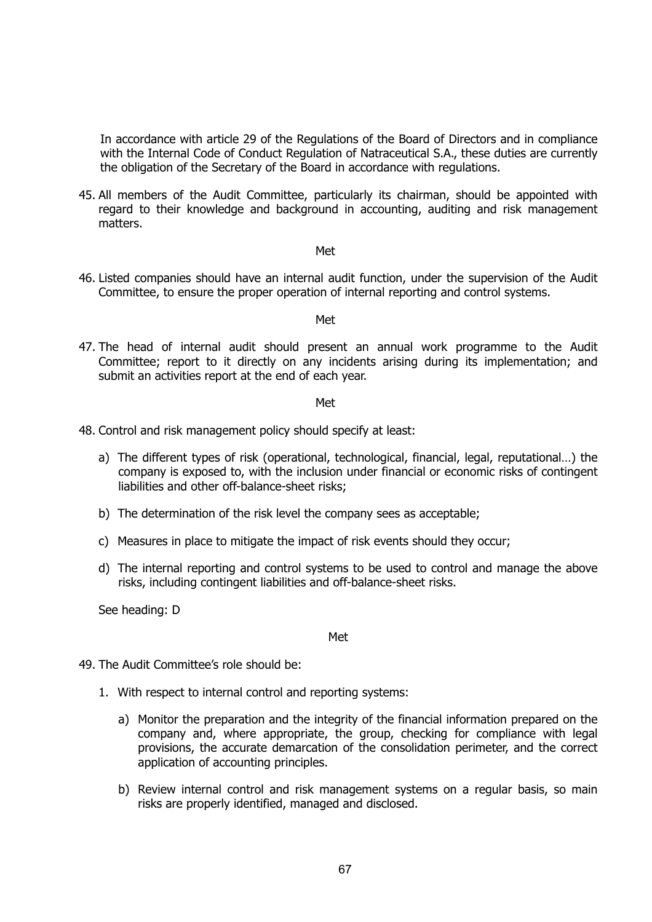In accordance with article 29 of the Regulations of the Board of Directors and in compliance with the Internal Code of Conduct Regulation of Natraceutical S.A., these duties are currently the obligation of the Secretary of the Board in accordance with regulations.

45. All members of the Audit Committee, particularly its chairman, should be appointed with regard to their knowledge and background in accounting, auditing and risk management matters.

#### Met

46. Listed companies should have an internal audit function, under the supervision of the Audit Committee, to ensure the proper operation of internal reporting and control systems.

#### Met

47. The head of internal audit should present an annual work programme to the Audit Committee; report to it directly on any incidents arising during its implementation; and submit an activities report at the end of each year.

#### Met

- 48. Control and risk management policy should specify at least:
	- a) The different types of risk (operational, technological, financial, legal, reputational…) the company is exposed to, with the inclusion under financial or economic risks of contingent liabilities and other off-balance-sheet risks;
	- b) The determination of the risk level the company sees as acceptable;
	- c) Measures in place to mitigate the impact of risk events should they occur;
	- d) The internal reporting and control systems to be used to control and manage the above risks, including contingent liabilities and off-balance-sheet risks.

See heading: D

Met

- 49. The Audit Committee's role should be:
	- 1. With respect to internal control and reporting systems:
		- a) Monitor the preparation and the integrity of the financial information prepared on the company and, where appropriate, the group, checking for compliance with legal provisions, the accurate demarcation of the consolidation perimeter, and the correct application of accounting principles.
		- b) Review internal control and risk management systems on a regular basis, so main risks are properly identified, managed and disclosed.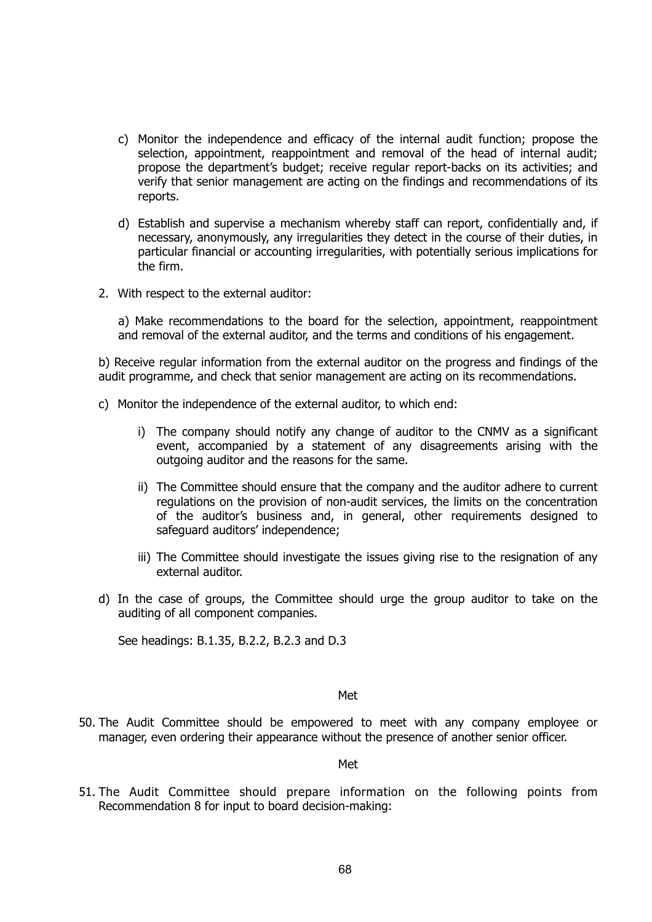- c) Monitor the independence and efficacy of the internal audit function; propose the selection, appointment, reappointment and removal of the head of internal audit; propose the department's budget; receive regular report-backs on its activities; and verify that senior management are acting on the findings and recommendations of its reports.
- d) Establish and supervise a mechanism whereby staff can report, confidentially and, if necessary, anonymously, any irregularities they detect in the course of their duties, in particular financial or accounting irregularities, with potentially serious implications for the firm.
- 2. With respect to the external auditor:

a) Make recommendations to the board for the selection, appointment, reappointment and removal of the external auditor, and the terms and conditions of his engagement.

b) Receive regular information from the external auditor on the progress and findings of the audit programme, and check that senior management are acting on its recommendations.

- c) Monitor the independence of the external auditor, to which end:
	- i) The company should notify any change of auditor to the CNMV as a significant event, accompanied by a statement of any disagreements arising with the outgoing auditor and the reasons for the same.
	- ii) The Committee should ensure that the company and the auditor adhere to current regulations on the provision of non-audit services, the limits on the concentration of the auditor's business and, in general, other requirements designed to safeguard auditors' independence;
	- iii) The Committee should investigate the issues giving rise to the resignation of any external auditor.
- d) In the case of groups, the Committee should urge the group auditor to take on the auditing of all component companies.

See headings: B.1.35, B.2.2, B.2.3 and D.3

#### <u>Metal and the contract of the contract of the contract of the contract of the contract of the contract of the con</u>

50. The Audit Committee should be empowered to meet with any company employee or manager, even ordering their appearance without the presence of another senior officer.

#### Met

51. The Audit Committee should prepare information on the following points from Recommendation 8 for input to board decision-making: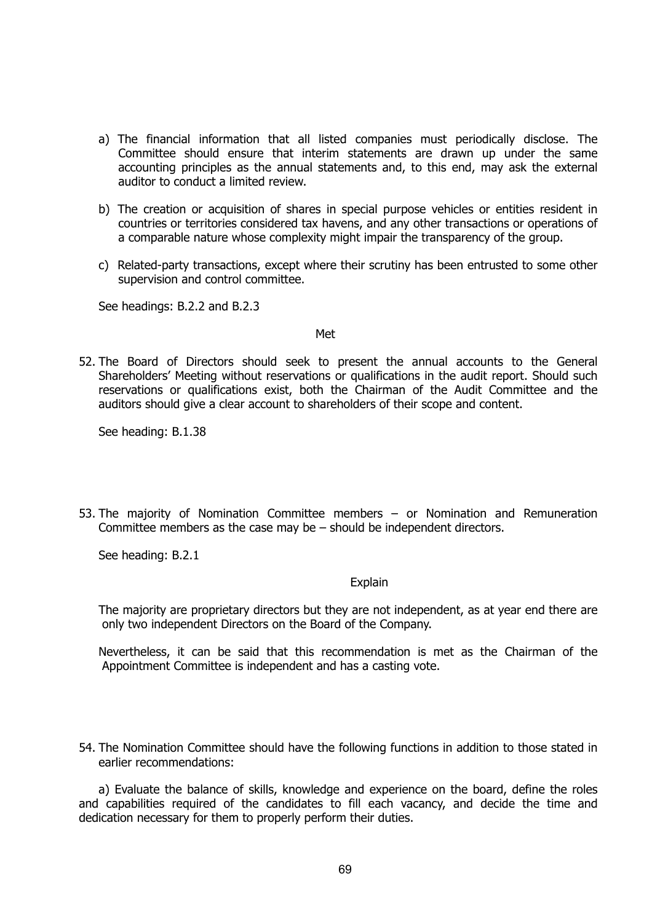- a) The financial information that all listed companies must periodically disclose. The Committee should ensure that interim statements are drawn up under the same accounting principles as the annual statements and, to this end, may ask the external auditor to conduct a limited review.
- b) The creation or acquisition of shares in special purpose vehicles or entities resident in countries or territories considered tax havens, and any other transactions or operations of a comparable nature whose complexity might impair the transparency of the group.
- c) Related-party transactions, except where their scrutiny has been entrusted to some other supervision and control committee.

See headings: B.2.2 and B.2.3

#### Met

52. The Board of Directors should seek to present the annual accounts to the General Shareholders' Meeting without reservations or qualifications in the audit report. Should such reservations or qualifications exist, both the Chairman of the Audit Committee and the auditors should give a clear account to shareholders of their scope and content.

See heading: B.1.38

53. The majority of Nomination Committee members – or Nomination and Remuneration Committee members as the case may be – should be independent directors.

See heading: B.2.1

#### **Explain**

The majority are proprietary directors but they are not independent, as at year end there are only two independent Directors on the Board of the Company.

Nevertheless, it can be said that this recommendation is met as the Chairman of the Appointment Committee is independent and has a casting vote.

54. The Nomination Committee should have the following functions in addition to those stated in earlier recommendations:

a) Evaluate the balance of skills, knowledge and experience on the board, define the roles and capabilities required of the candidates to fill each vacancy, and decide the time and dedication necessary for them to properly perform their duties.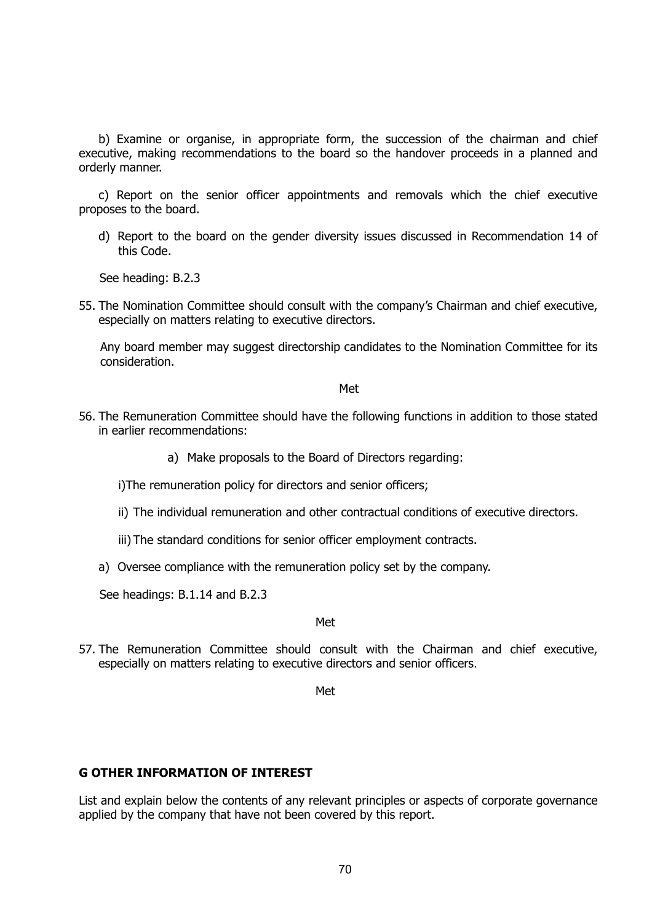b) Examine or organise, in appropriate form, the succession of the chairman and chief executive, making recommendations to the board so the handover proceeds in a planned and orderly manner.

c) Report on the senior officer appointments and removals which the chief executive proposes to the board.

d) Report to the board on the gender diversity issues discussed in Recommendation 14 of this Code.

See heading: B.2.3

55. The Nomination Committee should consult with the company's Chairman and chief executive, especially on matters relating to executive directors.

Any board member may suggest directorship candidates to the Nomination Committee for its consideration.

#### Met

- 56. The Remuneration Committee should have the following functions in addition to those stated in earlier recommendations:
	- a) Make proposals to the Board of Directors regarding:

i)The remuneration policy for directors and senior officers;

- ii) The individual remuneration and other contractual conditions of executive directors.
- iii) The standard conditions for senior officer employment contracts.
- a) Oversee compliance with the remuneration policy set by the company.

See headings: B.1.14 and B.2.3

#### Met

57. The Remuneration Committee should consult with the Chairman and chief executive, especially on matters relating to executive directors and senior officers.

Met

#### **G OTHER INFORMATION OF INTEREST**

List and explain below the contents of any relevant principles or aspects of corporate governance applied by the company that have not been covered by this report.